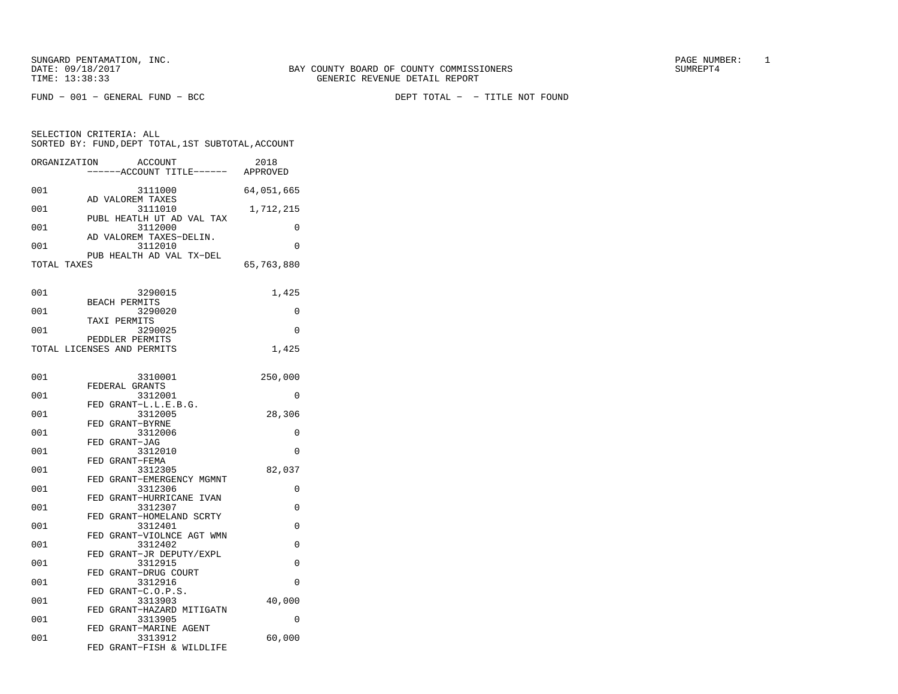FUND − 001 − GENERAL FUND − BCC DEPT TOTAL − − TITLE NOT FOUND

| SELECTION CRITERIA: ALL                            |                 |      |
|----------------------------------------------------|-----------------|------|
| SORTED BY: FUND, DEPT TOTAL, 1ST SUBTOTAL, ACCOUNT |                 |      |
| ORCANIZATION                                       | <b>ACCOLINT</b> | 2018 |

| UNGHNIZHIIUN | <b>ACCOONI</b><br>-----ACCOUNT TITLE------ APPROVED | <b>4010</b> |
|--------------|-----------------------------------------------------|-------------|
|              |                                                     |             |
| 001          | 3111000<br>AD VALOREM TAXES                         | 64,051,665  |
| 001          | 3111010                                             | 1,712,215   |
|              | PUBL HEATLH UT AD VAL TAX                           |             |
| 001          | 3112000<br>AD VALOREM TAXES-DELIN.                  | 0           |
| 001          | 3112010                                             | 0           |
|              | PUB HEALTH AD VAL TX-DEL                            |             |
| TOTAL TAXES  |                                                     | 65,763,880  |
|              |                                                     |             |
| 001          | 3290015                                             | 1,425       |
|              | <b>BEACH PERMITS</b>                                |             |
| 001          | 3290020<br>TAXI PERMITS                             | 0           |
| 001          | 3290025                                             | 0           |
|              | PEDDLER PERMITS                                     |             |
|              | TOTAL LICENSES AND PERMITS                          | 1,425       |
|              |                                                     |             |
| 001          | 3310001                                             | 250,000     |
|              | FEDERAL GRANTS                                      |             |
| 001          | 3312001                                             | 0           |
| 001          | FED GRANT-L.L.E.B.G.<br>3312005                     | 28,306      |
|              | FED GRANT-BYRNE                                     |             |
| 001          | 3312006                                             | 0           |
|              | FED GRANT-JAG                                       |             |
| 001          | 3312010<br>FED GRANT-FEMA                           | $\Omega$    |
| 001          | 3312305                                             | 82,037      |
|              | FED GRANT-EMERGENCY MGMNT                           |             |
| 001          | 3312306                                             | 0           |
| 001          | FED GRANT-HURRICANE IVAN<br>3312307                 | 0           |
|              | FED GRANT-HOMELAND SCRTY                            |             |
| 001          | 3312401                                             | 0           |
|              | FED GRANT-VIOLNCE AGT WMN                           |             |
| 001          | 3312402<br>FED GRANT-JR DEPUTY/EXPL                 | 0           |
| 001          | 3312915                                             | 0           |
|              | FED GRANT-DRUG COURT                                |             |
| 001          | 3312916                                             | $\Omega$    |
| 001          | FED GRANT-C.O.P.S.<br>3313903                       | 40,000      |
|              | FED GRANT-HAZARD MITIGATN                           |             |
| 001          | 3313905                                             | $\Omega$    |
| 001          | FED GRANT-MARINE AGENT                              |             |
|              | 3313912<br>FED GRANT-FISH & WILDLIFE                | 60,000      |
|              |                                                     |             |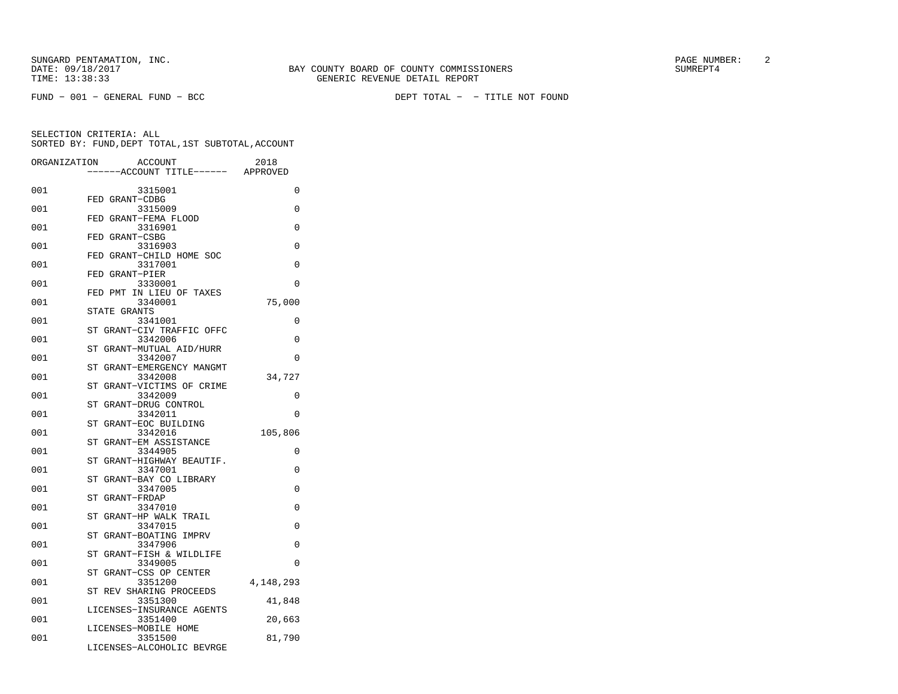FUND − 001 − GENERAL FUND − BCC DEPT TOTAL − − TITLE NOT FOUND

| ORGANIZATION | ACCOUNT<br>---ACCOUNT TITLE------ APPROVED     | 2018      |
|--------------|------------------------------------------------|-----------|
|              |                                                |           |
| 001          | 3315001                                        | 0         |
|              | FED GRANT-CDBG                                 |           |
| 001          | 3315009<br>FED GRANT-FEMA FLOOD                | 0         |
| 001          | 3316901                                        | 0         |
|              | FED GRANT-CSBG                                 |           |
| 001          | 3316903                                        | 0         |
|              | FED GRANT-CHILD HOME SOC                       |           |
| 001          | 3317001                                        | 0         |
|              | FED GRANT-PIER                                 |           |
| 001          | 3330001                                        | $\Omega$  |
|              | IN LIEU OF TAXES<br>FED PMT                    |           |
| 001          | 3340001                                        | 75,000    |
|              | STATE GRANTS                                   |           |
| 001          | 3341001<br>GRANT-CIV TRAFFIC OFFC<br>ST        | 0         |
| 001          | 3342006                                        | 0         |
|              | GRANT-MUTUAL AID/HURR<br>ST                    |           |
| 001          | 3342007                                        | 0         |
|              | GRANT-EMERGENCY MANGMT<br>ST                   |           |
| 001          | 3342008                                        | 34,727    |
|              | GRANT-VICTIMS OF CRIME<br>ST                   |           |
| 001          | 3342009                                        | 0         |
|              | ST<br>GRANT-DRUG CONTROL                       |           |
| 001          | 3342011                                        | 0         |
|              | GRANT-EOC BUILDING<br>ST                       |           |
| 001          | 3342016                                        | 105,806   |
|              | GRANT-EM ASSISTANCE<br>ST                      | $\Omega$  |
| 001          | 3344905<br>GRANT-HIGHWAY BEAUTIF.<br><b>ST</b> |           |
| 001          | 3347001                                        | 0         |
|              | GRANT-BAY CO LIBRARY<br>ST                     |           |
| 001          | 3347005                                        | 0         |
|              | GRANT-FRDAP<br>ST                              |           |
| 001          | 3347010                                        | 0         |
|              | GRANT-HP WALK TRAIL<br>ST                      |           |
| 001          | 3347015                                        | 0         |
|              | GRANT-BOATING IMPRV<br>ST                      |           |
| 001          | 3347906                                        | 0         |
|              | GRANT-FISH & WILDLIFE<br>SТ                    |           |
| 001          | 3349005<br>GRANT-CSS OP CENTER<br>ST           | 0         |
| 001          | 3351200                                        | 4,148,293 |
|              | ST REV SHARING PROCEEDS                        |           |
| 001          | 3351300                                        | 41,848    |
|              | LICENSES-INSURANCE AGENTS                      |           |
| 001          | 3351400                                        | 20,663    |
|              | LICENSES-MOBILE HOME                           |           |
| 001          | 3351500                                        | 81,790    |
|              | LICENSES-ALCOHOLIC BEVRGE                      |           |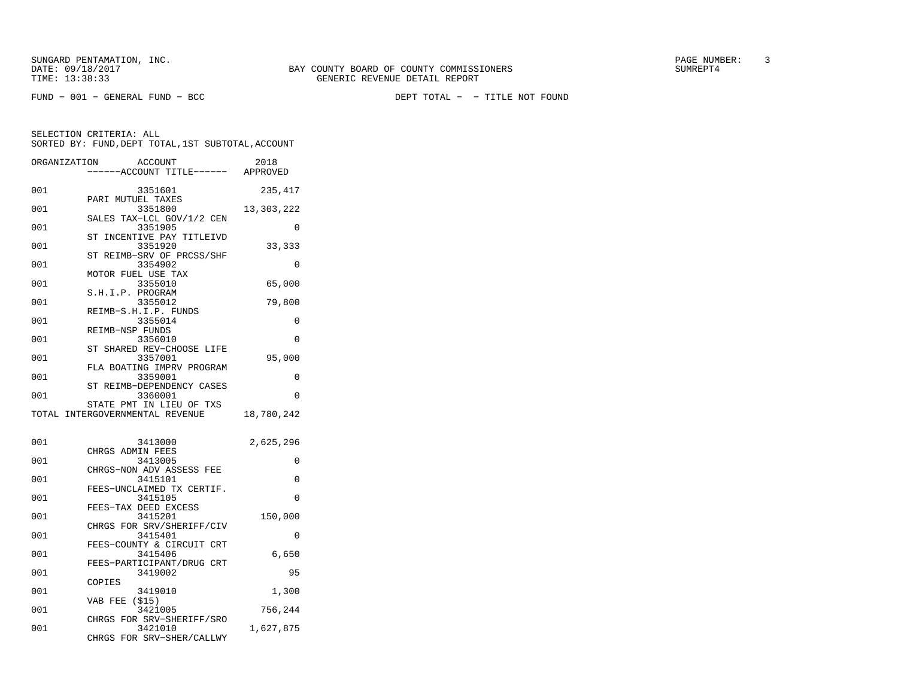FUND − 001 − GENERAL FUND − BCC DEPT TOTAL − − TITLE NOT FOUND

SELECTION CRITERIA: ALL

|              | SORTED BY: FUND, DEPT TOTAL, 1ST SUBTOTAL, ACCOUNT          |            |
|--------------|-------------------------------------------------------------|------------|
| ORGANIZATION | ACCOUNT<br>-----ACCOUNT TITLE------ APPROVED                | 2018       |
| 001          | 3351601                                                     | 235,417    |
| 001          | PARI MUTUEL TAXES<br>3351800                                | 13,303,222 |
| 001          | SALES TAX-LCL GOV/1/2 CEN<br>3351905                        | 0          |
| 001          | INCENTIVE PAY TITLEIVD<br>ST<br>3351920                     | 33,333     |
| 001          | ST REIMB-SRV OF PRCSS/SHF<br>3354902                        | $\Omega$   |
| 001          | MOTOR FUEL USE TAX<br>3355010                               | 65,000     |
| 001          | S.H.I.P. PROGRAM<br>3355012                                 | 79,800     |
| 001          | REIMB-S.H.I.P. FUNDS<br>3355014                             | 0          |
| 001          | REIMB-NSP FUNDS<br>3356010                                  | 0          |
| 001          | ST SHARED REV-CHOOSE LIFE<br>3357001                        | 95,000     |
| 001          | FLA BOATING IMPRV PROGRAM<br>3359001                        | 0          |
| 001          | ST REIMB-DEPENDENCY CASES<br>3360001                        | $\Omega$   |
|              | STATE PMT IN LIEU OF TXS<br>TOTAL INTERGOVERNMENTAL REVENUE | 18,780,242 |
| 001          | 3413000                                                     | 2,625,296  |
| 001          | CHRGS ADMIN FEES<br>3413005                                 | 0          |
| 001          | CHRGS-NON ADV ASSESS FEE<br>3415101                         | 0          |
| 001          | FEES-UNCLAIMED TX CERTIF.<br>3415105                        | 0          |
| 001          | FEES-TAX DEED EXCESS<br>3415201                             | 150,000    |
| 001          | CHRGS FOR SRV/SHERIFF/CIV<br>3415401                        | $\Omega$   |
| 001          | FEES-COUNTY & CIRCUIT CRT<br>3415406                        | 6,650      |
| 001          | FEES-PARTICIPANT/DRUG CRT<br>3419002                        | 95         |
| 001          | COPIES<br>3419010                                           | 1,300      |
| 001          | VAB FEE (\$15)<br>3421005                                   | 756,244    |
| 001          | CHRGS FOR SRV-SHERIFF/SRO<br>3421010                        |            |
|              | CHRGS FOR SRV-SHER/CALLWY                                   | 1,627,875  |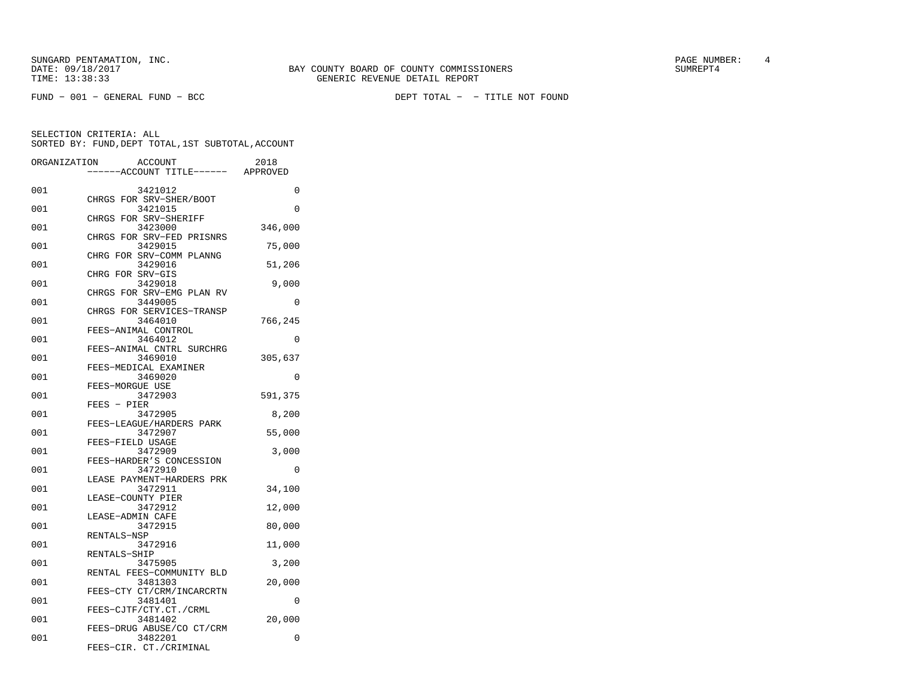SUNGARD PENTAMATION, INC.<br>
BAY COUNTY BOARD OF COUNTY COMMISSIONERS AND SUNREPT4 SUMREPT4

| ORGANIZATION | ACCOUNT<br>---ACCOUNT TITLE------                                 | 2018<br>APPROVED |
|--------------|-------------------------------------------------------------------|------------------|
| 001          | 3421012                                                           | 0                |
| 001          | CHRGS FOR SRV-SHER/BOOT<br>3421015                                | 0                |
| 001          | CHRGS FOR SRV-SHERIFF<br>3423000                                  | 346,000          |
| 001          | CHRGS FOR SRV-FED PRISNRS<br>3429015                              | 75,000           |
| 001          | CHRG FOR SRV-COMM PLANNG<br>3429016                               | 51,206           |
| 001          | CHRG FOR SRV-GIS<br>3429018                                       | 9,000            |
| 001          | CHRGS FOR SRV-EMG PLAN RV<br>3449005<br>CHRGS FOR SERVICES-TRANSP | 0                |
| 001          | 3464010<br>FEES-ANIMAL CONTROL                                    | 766,245          |
| 001          | 3464012<br>FEES-ANIMAL CNTRL SURCHRG                              | 0                |
| 001          | 3469010<br>FEES-MEDICAL EXAMINER                                  | 305,637          |
| 001          | 3469020<br>FEES-MORGUE USE                                        | 0                |
| 001          | 3472903<br>FEES - PIER                                            | 591,375          |
| 001          | 3472905<br>FEES-LEAGUE/HARDERS PARK                               | 8,200            |
| 001          | 3472907<br>FEES-FIELD USAGE                                       | 55,000           |
| 001          | 3472909<br>FEES-HARDER'S CONCESSION                               | 3,000            |
| 001          | 3472910<br>LEASE PAYMENT-HARDERS PRK                              | 0                |
| 001          | 3472911<br>LEASE-COUNTY PIER                                      | 34,100           |
| 001          | 3472912<br>LEASE-ADMIN CAFE                                       | 12,000           |
| 001          | 3472915<br>RENTALS-NSP                                            | 80,000           |
| 001          | 3472916<br>RENTALS-SHIP                                           | 11,000           |
| 001          | 3475905<br>RENTAL FEES-COMMUNITY BLD                              | 3,200            |
| 001          | 3481303<br>FEES-CTY CT/CRM/INCARCRTN                              | 20,000           |
| 001          | 3481401<br>FEES-CJTF/CTY.CT./CRML                                 | 0                |
| 001          | 3481402<br>FEES-DRUG ABUSE/CO CT/CRM                              | 20,000           |
| 001          | 3482201<br>FEES-CIR. CT./CRIMINAL                                 | 0                |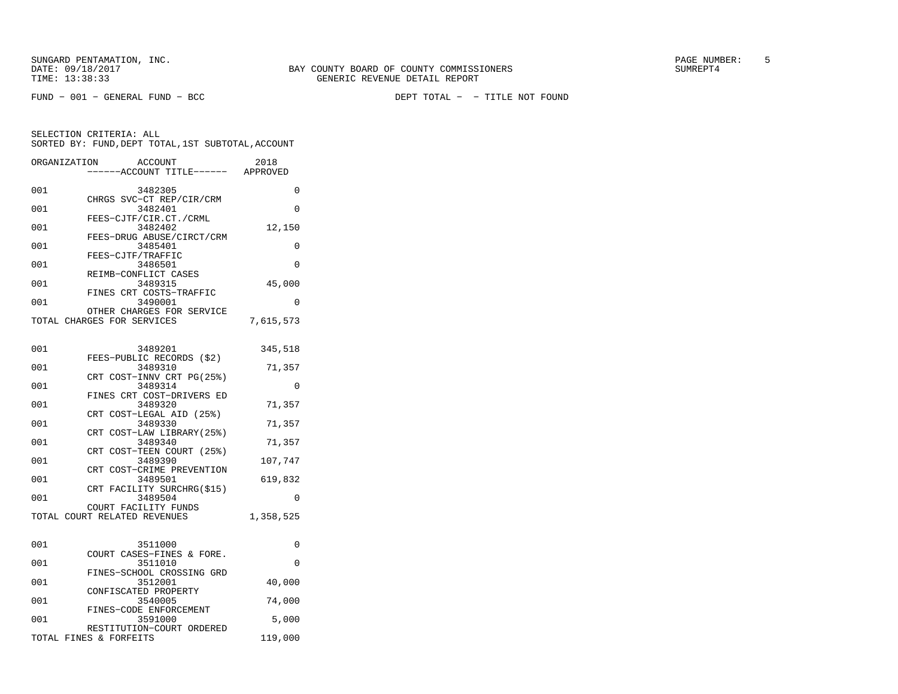FUND − 001 − GENERAL FUND − BCC DEPT TOTAL − − TITLE NOT FOUND

| ORGANIZATION | <b>ACCOUNT</b><br>----ACCOUNT TITLE------ APPROVED      | 2018      |
|--------------|---------------------------------------------------------|-----------|
| 001          | 3482305                                                 | 0         |
| 001          | CHRGS SVC-CT REP/CIR/CRM<br>3482401                     | 0         |
| 001          | FEES-CJTF/CIR.CT./CRML<br>3482402                       | 12,150    |
| 001          | FEES-DRUG ABUSE/CIRCT/CRM<br>3485401                    | 0         |
| 001          | FEES-CJTF/TRAFFIC<br>3486501                            | 0         |
| 001          | REIMB-CONFLICT CASES<br>3489315                         | 45,000    |
| 001          | FINES CRT COSTS-TRAFFIC<br>3490001                      | 0         |
|              | OTHER CHARGES FOR SERVICE<br>TOTAL CHARGES FOR SERVICES | 7,615,573 |
|              |                                                         |           |
| 001          | 3489201                                                 | 345,518   |
| 001          | FEES-PUBLIC RECORDS (\$2)<br>3489310                    | 71,357    |
| 001          | CRT COST-INNV CRT PG(25%)<br>3489314                    | $\Omega$  |
| 001          | FINES CRT COST-DRIVERS ED<br>3489320                    | 71,357    |
| 001          | CRT COST-LEGAL AID (25%)<br>3489330                     | 71,357    |
| 001          | CRT COST-LAW LIBRARY (25%)<br>3489340                   | 71,357    |
| 001          | CRT COST-TEEN COURT (25%)<br>3489390                    | 107,747   |
| 001          | CRT COST-CRIME PREVENTION<br>3489501                    | 619,832   |
| 001          | CRT FACILITY SURCHRG(\$15)<br>3489504                   | 0         |
|              | COURT FACILITY FUNDS<br>TOTAL COURT RELATED REVENUES    | 1,358,525 |
|              |                                                         |           |
| 001          | 3511000                                                 | 0         |
| 001          | COURT CASES-FINES & FORE.<br>3511010                    | $\Omega$  |
| 001          | FINES-SCHOOL CROSSING GRD<br>3512001                    | 40,000    |
| 001          | CONFISCATED PROPERTY<br>3540005                         | 74,000    |
| 001          | FINES-CODE ENFORCEMENT<br>3591000                       | 5,000     |
|              | RESTITUTION-COURT ORDERED<br>TOTAL FINES & FORFEITS     | 119,000   |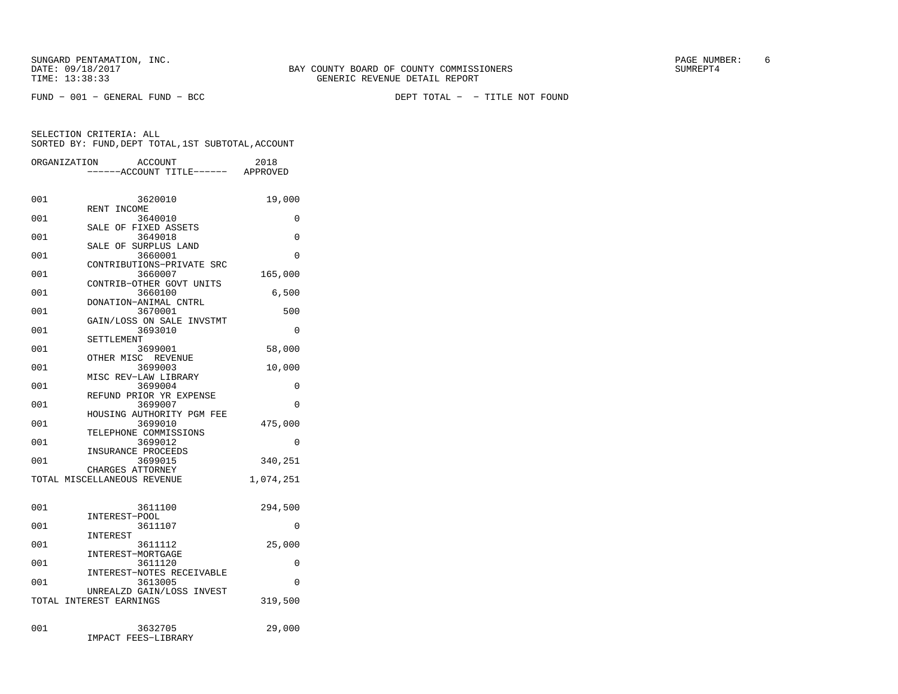|     | ORGANIZATION<br>ACCOUNT          | 2018      |
|-----|----------------------------------|-----------|
|     | ----ACCOUNT TITLE------ APPROVED |           |
|     |                                  |           |
|     |                                  |           |
| 001 | 3620010                          | 19,000    |
|     | RENT INCOME                      |           |
| 001 | 3640010                          | 0         |
| 001 | SALE OF FIXED ASSETS<br>3649018  | 0         |
|     | SALE OF SURPLUS LAND             |           |
| 001 | 3660001                          | $\Omega$  |
|     | CONTRIBUTIONS-PRIVATE SRC        |           |
| 001 | 3660007                          | 165,000   |
|     | CONTRIB-OTHER GOVT UNITS         |           |
| 001 | 3660100                          | 6,500     |
|     | DONATION-ANIMAL CNTRL            |           |
| 001 | 3670001                          | 500       |
|     | GAIN/LOSS ON SALE INVSTMT        |           |
| 001 | 3693010                          | 0         |
|     | SETTLEMENT                       |           |
| 001 | 3699001<br>OTHER MISC REVENUE    | 58,000    |
| 001 | 3699003                          | 10,000    |
|     | MISC REV-LAW LIBRARY             |           |
| 001 | 3699004                          | 0         |
|     | REFUND PRIOR YR EXPENSE          |           |
| 001 | 3699007                          | $\Omega$  |
|     | HOUSING AUTHORITY PGM FEE        |           |
| 001 | 3699010                          | 475,000   |
|     | TELEPHONE COMMISSIONS            |           |
| 001 | 3699012                          | 0         |
|     | INSURANCE PROCEEDS               |           |
| 001 | 3699015                          | 340,251   |
|     | CHARGES ATTORNEY                 |           |
|     | TOTAL MISCELLANEOUS REVENUE      | 1,074,251 |
|     |                                  |           |
| 001 | 3611100                          | 294,500   |
|     | INTEREST-POOL                    |           |
| 001 | 3611107                          | 0         |
|     | INTEREST                         |           |
| 001 | 3611112                          | 25,000    |
|     | INTEREST-MORTGAGE                |           |
| 001 | 3611120                          | 0         |
|     | INTEREST-NOTES RECEIVABLE        |           |
| 001 | 3613005                          | $\Omega$  |
|     | UNREALZD GAIN/LOSS INVEST        |           |
|     | TOTAL INTEREST EARNINGS          | 319,500   |
|     |                                  |           |
| 001 | 3632705                          |           |
|     | IMPACT FEES-LIBRARY              | 29,000    |
|     |                                  |           |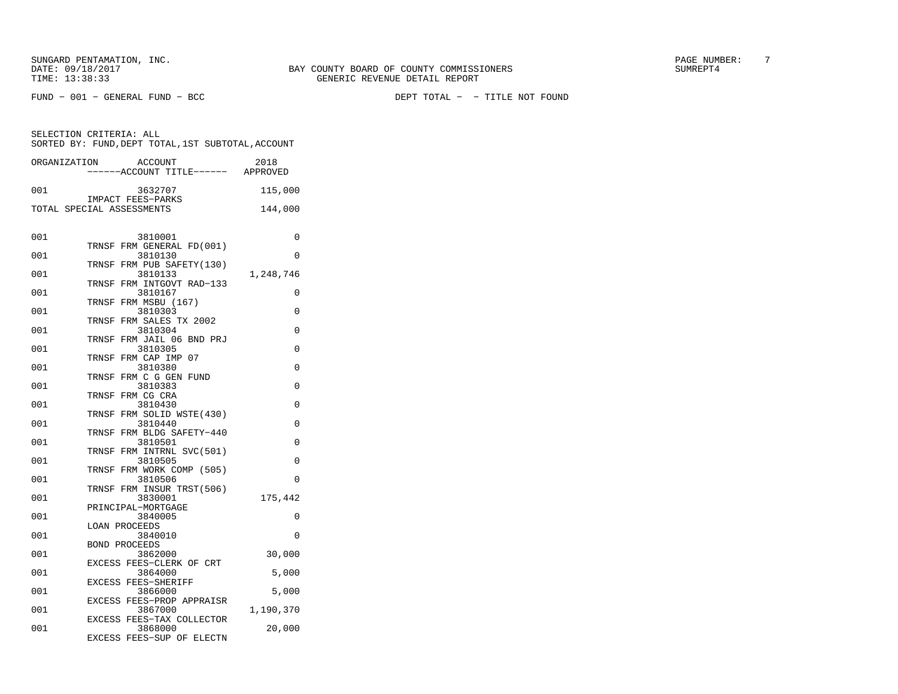FUND − 001 − GENERAL FUND − BCC DEPT TOTAL − − TITLE NOT FOUND

| ORGANIZATION              |                      | ACCOUNT                              | 2018      |
|---------------------------|----------------------|--------------------------------------|-----------|
|                           |                      | ----ACCOUNT TITLE------ APPROVED     |           |
| 001                       |                      | 3632707                              | 115,000   |
|                           |                      | IMPACT FEES-PARKS                    |           |
| TOTAL SPECIAL ASSESSMENTS |                      |                                      | 144,000   |
|                           |                      |                                      |           |
| 001                       |                      |                                      | 0         |
|                           | TRNSF                | 3810001<br>FRM GENERAL FD(001)       |           |
| 001                       |                      | 3810130                              | $\Omega$  |
|                           | TRNSF                | FRM PUB SAFETY(130)                  |           |
| 001                       |                      | 3810133                              | 1,248,746 |
| 001                       | TRNSF                | FRM INTGOVT RAD-133                  |           |
|                           | TRNSF                | 3810167<br>FRM MSBU (167)            | 0         |
| 001                       |                      | 3810303                              | 0         |
|                           | TRNSF                | FRM SALES TX 2002                    |           |
| 001                       |                      | 3810304                              | 0         |
| 001                       | TRNSF                | FRM JAIL 06 BND PRJ<br>3810305       | 0         |
|                           | TRNSF                | FRM CAP IMP 07                       |           |
| 001                       |                      | 3810380                              | $\Omega$  |
|                           | TRNSF                | FRM C G GEN FUND                     |           |
| 001                       |                      | 3810383                              | 0         |
| 001                       | TRNSF                | FRM CG CRA                           | 0         |
|                           | TRNSF                | 3810430<br>FRM SOLID WSTE(430)       |           |
| 001                       |                      | 3810440                              | $\Omega$  |
|                           | TRNSF                | FRM BLDG SAFETY-440                  |           |
| 001                       |                      | 3810501                              | 0         |
| 001                       | TRNSF                | FRM INTRNL SVC(501)                  | 0         |
|                           | TRNSF                | 3810505<br>FRM WORK COMP (505)       |           |
| 001                       |                      | 3810506                              | 0         |
|                           |                      | TRNSF FRM INSUR TRST(506)            |           |
| 001                       |                      | 3830001                              | 175,442   |
| 001                       |                      | PRINCIPAL-MORTGAGE<br>3840005        | 0         |
|                           | LOAN PROCEEDS        |                                      |           |
| 001                       |                      | 3840010                              | 0         |
|                           | <b>BOND PROCEEDS</b> |                                      |           |
| 001                       |                      | 3862000                              | 30,000    |
| 001                       |                      | EXCESS FEES-CLERK OF CRT<br>3864000  | 5,000     |
|                           |                      | EXCESS FEES-SHERIFF                  |           |
| 001                       |                      | 3866000                              | 5,000     |
|                           |                      | EXCESS FEES-PROP APPRAISR            |           |
| 001                       |                      | 3867000                              | 1,190,370 |
| 001                       |                      | EXCESS FEES-TAX COLLECTOR<br>3868000 | 20,000    |
|                           |                      | EXCESS FEES-SUP OF ELECTN            |           |
|                           |                      |                                      |           |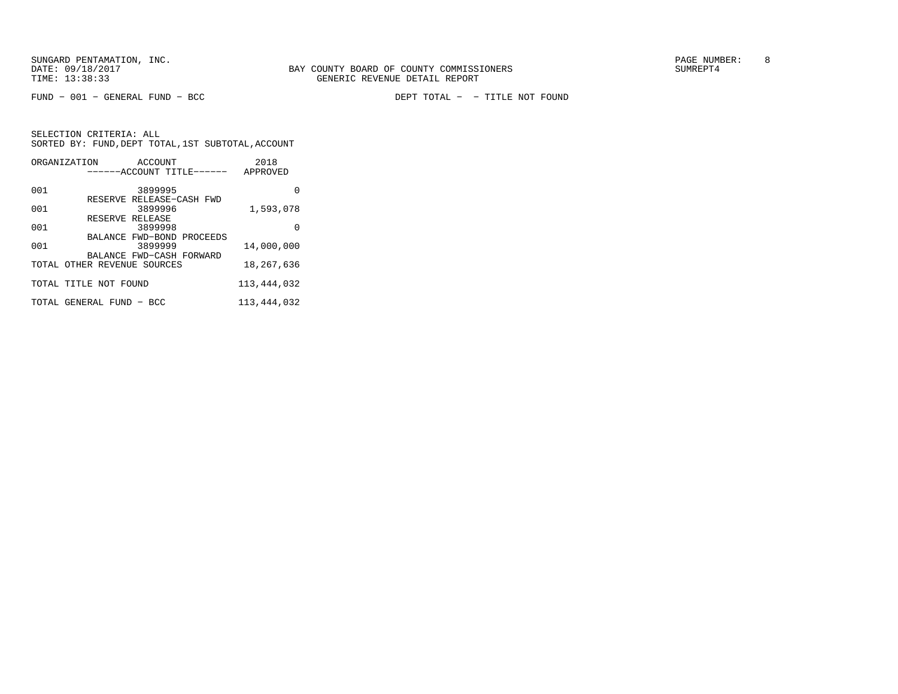FUND − 001 − GENERAL FUND − BCC DEPT TOTAL − − TITLE NOT FOUND

|     | ORGANIZATION<br>ACCOUNT              | 2018        |
|-----|--------------------------------------|-------------|
|     | ------ACCOUNT TITLE------            | APPROVED    |
| 001 | 3899995                              | O           |
|     | RESERVE RELEASE-CASH FWD             |             |
| 001 | 3899996                              | 1,593,078   |
|     | RESERVE RELEASE                      |             |
| 001 | 3899998                              | O           |
| 001 | BALANCE FWD-BOND PROCEEDS<br>3899999 | 14,000,000  |
|     | BALANCE FWD-CASH FORWARD             |             |
|     | TOTAL OTHER REVENUE SOURCES          | 18,267,636  |
|     | TOTAL TITLE NOT FOUND                | 113,444,032 |
|     | TOTAL GENERAL FUND - BCC             | 113,444,032 |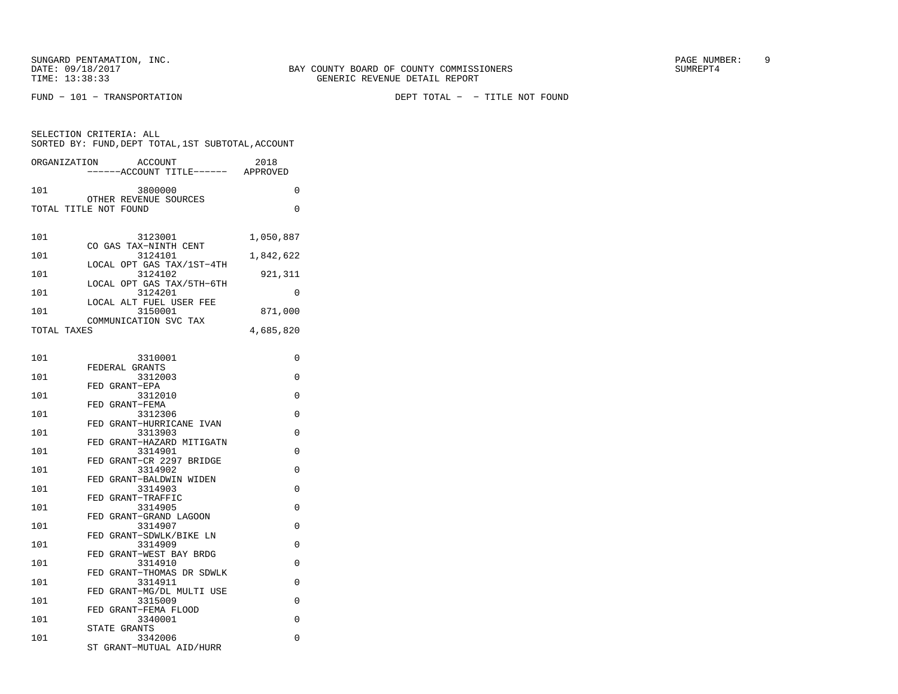SELECTION CRITERIA: ALL

FUND − 101 − TRANSPORTATION DEPT TOTAL − − TITLE NOT FOUND

| 0<br>101<br>3800000<br>OTHER REVENUE SOURCES<br>$\Omega$<br>TOTAL TITLE NOT FOUND<br>101<br>3123001<br>1,050,887<br>CO GAS TAX-NINTH CENT<br>3124101<br>101<br>1,842,622<br>LOCAL OPT GAS TAX/1ST-4TH<br>3124102<br>101<br>921,311<br>LOCAL OPT GAS TAX/5TH-6TH<br>3124201<br>101<br>0<br>LOCAL ALT FUEL USER FEE<br>101<br>3150001<br>871,000<br>COMMUNICATION SVC TAX<br>4,685,820<br>TOTAL TAXES<br>$\Omega$<br>101<br>3310001<br>FEDERAL GRANTS<br>$\Omega$<br>101<br>3312003<br>FED GRANT-EPA<br>0<br>101<br>3312010<br>FED GRANT-FEMA<br>3312306<br>0<br>101<br>FED GRANT-HURRICANE IVAN<br>3313903<br>0<br>101<br>FED GRANT-HAZARD MITIGATN<br>0<br>3314901<br>101<br>FED GRANT-CR 2297 BRIDGE<br>3314902<br>0<br>101<br>FED GRANT-BALDWIN WIDEN<br>$\Omega$<br>101<br>3314903<br>FED GRANT-TRAFFIC<br>0<br>101<br>3314905<br>FED GRANT-GRAND LAGOON<br>0<br>3314907<br>101<br>FED GRANT-SDWLK/BIKE LN<br>3314909<br>$\Omega$<br>101<br>FED GRANT-WEST BAY BRDG<br>$\Omega$<br>101<br>3314910<br>FED GRANT-THOMAS DR SDWLK<br>$\Omega$<br>101<br>3314911<br>FED GRANT-MG/DL MULTI USE<br>3315009<br>$\Omega$<br>101<br>FED GRANT-FEMA FLOOD<br>3340001<br>$\Omega$<br>101 | ORGANIZATION | ACCOUNT<br>------ACCOUNT TITLE------ APPROVED | 2018 |  |
|----------------------------------------------------------------------------------------------------------------------------------------------------------------------------------------------------------------------------------------------------------------------------------------------------------------------------------------------------------------------------------------------------------------------------------------------------------------------------------------------------------------------------------------------------------------------------------------------------------------------------------------------------------------------------------------------------------------------------------------------------------------------------------------------------------------------------------------------------------------------------------------------------------------------------------------------------------------------------------------------------------------------------------------------------------------------------------------------------------------------------------------------------------------------------------|--------------|-----------------------------------------------|------|--|
|                                                                                                                                                                                                                                                                                                                                                                                                                                                                                                                                                                                                                                                                                                                                                                                                                                                                                                                                                                                                                                                                                                                                                                                  |              |                                               |      |  |
|                                                                                                                                                                                                                                                                                                                                                                                                                                                                                                                                                                                                                                                                                                                                                                                                                                                                                                                                                                                                                                                                                                                                                                                  |              |                                               |      |  |
|                                                                                                                                                                                                                                                                                                                                                                                                                                                                                                                                                                                                                                                                                                                                                                                                                                                                                                                                                                                                                                                                                                                                                                                  |              |                                               |      |  |
|                                                                                                                                                                                                                                                                                                                                                                                                                                                                                                                                                                                                                                                                                                                                                                                                                                                                                                                                                                                                                                                                                                                                                                                  |              |                                               |      |  |
|                                                                                                                                                                                                                                                                                                                                                                                                                                                                                                                                                                                                                                                                                                                                                                                                                                                                                                                                                                                                                                                                                                                                                                                  |              |                                               |      |  |
|                                                                                                                                                                                                                                                                                                                                                                                                                                                                                                                                                                                                                                                                                                                                                                                                                                                                                                                                                                                                                                                                                                                                                                                  |              |                                               |      |  |
|                                                                                                                                                                                                                                                                                                                                                                                                                                                                                                                                                                                                                                                                                                                                                                                                                                                                                                                                                                                                                                                                                                                                                                                  |              |                                               |      |  |
|                                                                                                                                                                                                                                                                                                                                                                                                                                                                                                                                                                                                                                                                                                                                                                                                                                                                                                                                                                                                                                                                                                                                                                                  |              |                                               |      |  |
|                                                                                                                                                                                                                                                                                                                                                                                                                                                                                                                                                                                                                                                                                                                                                                                                                                                                                                                                                                                                                                                                                                                                                                                  |              |                                               |      |  |
|                                                                                                                                                                                                                                                                                                                                                                                                                                                                                                                                                                                                                                                                                                                                                                                                                                                                                                                                                                                                                                                                                                                                                                                  |              |                                               |      |  |
|                                                                                                                                                                                                                                                                                                                                                                                                                                                                                                                                                                                                                                                                                                                                                                                                                                                                                                                                                                                                                                                                                                                                                                                  |              |                                               |      |  |
|                                                                                                                                                                                                                                                                                                                                                                                                                                                                                                                                                                                                                                                                                                                                                                                                                                                                                                                                                                                                                                                                                                                                                                                  |              |                                               |      |  |
|                                                                                                                                                                                                                                                                                                                                                                                                                                                                                                                                                                                                                                                                                                                                                                                                                                                                                                                                                                                                                                                                                                                                                                                  |              |                                               |      |  |
|                                                                                                                                                                                                                                                                                                                                                                                                                                                                                                                                                                                                                                                                                                                                                                                                                                                                                                                                                                                                                                                                                                                                                                                  |              |                                               |      |  |
|                                                                                                                                                                                                                                                                                                                                                                                                                                                                                                                                                                                                                                                                                                                                                                                                                                                                                                                                                                                                                                                                                                                                                                                  |              |                                               |      |  |
|                                                                                                                                                                                                                                                                                                                                                                                                                                                                                                                                                                                                                                                                                                                                                                                                                                                                                                                                                                                                                                                                                                                                                                                  |              |                                               |      |  |
|                                                                                                                                                                                                                                                                                                                                                                                                                                                                                                                                                                                                                                                                                                                                                                                                                                                                                                                                                                                                                                                                                                                                                                                  |              |                                               |      |  |
|                                                                                                                                                                                                                                                                                                                                                                                                                                                                                                                                                                                                                                                                                                                                                                                                                                                                                                                                                                                                                                                                                                                                                                                  |              |                                               |      |  |
|                                                                                                                                                                                                                                                                                                                                                                                                                                                                                                                                                                                                                                                                                                                                                                                                                                                                                                                                                                                                                                                                                                                                                                                  |              |                                               |      |  |
|                                                                                                                                                                                                                                                                                                                                                                                                                                                                                                                                                                                                                                                                                                                                                                                                                                                                                                                                                                                                                                                                                                                                                                                  |              |                                               |      |  |
|                                                                                                                                                                                                                                                                                                                                                                                                                                                                                                                                                                                                                                                                                                                                                                                                                                                                                                                                                                                                                                                                                                                                                                                  |              |                                               |      |  |
|                                                                                                                                                                                                                                                                                                                                                                                                                                                                                                                                                                                                                                                                                                                                                                                                                                                                                                                                                                                                                                                                                                                                                                                  |              |                                               |      |  |
|                                                                                                                                                                                                                                                                                                                                                                                                                                                                                                                                                                                                                                                                                                                                                                                                                                                                                                                                                                                                                                                                                                                                                                                  |              | STATE GRANTS                                  |      |  |

 101 3342006 0 ST GRANT−MUTUAL AID/HURR

SORTED BY: FUND,DEPT TOTAL,1ST SUBTOTAL,ACCOUNT

| D GRANT-MG/DL MULTI USE |  |
|-------------------------|--|
| 3315009                 |  |
| D GRANT-FEMA FLOOD      |  |
| 3340001                 |  |
| סידוגוג כב? ידי ה       |  |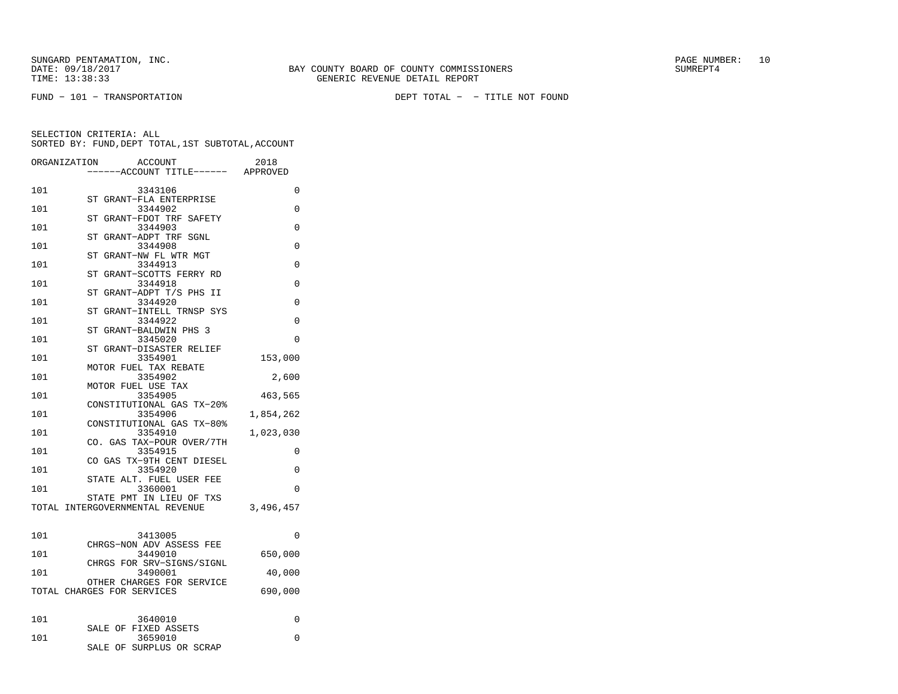FUND − 101 − TRANSPORTATION DEPT TOTAL − − TITLE NOT FOUND

| ORGANIZATION | <b>ACCOUNT</b>                                          | 2018      |
|--------------|---------------------------------------------------------|-----------|
|              | ----ACCOUNT TITLE------ APPROVED                        |           |
| 101          | 3343106                                                 | 0         |
| 101          | ST GRANT-FLA ENTERPRISE<br>3344902                      | $\Omega$  |
|              | ST<br>GRANT-FDOT TRF SAFETY                             |           |
| 101          | 3344903                                                 | 0         |
| 101          | GRANT-ADPT TRF SGNL<br>ST<br>3344908                    | 0         |
|              | ST GRANT-NW FL WTR MGT                                  |           |
| 101          | 3344913                                                 | 0         |
| 101          | ST GRANT-SCOTTS FERRY RD<br>3344918                     | 0         |
|              | ST GRANT-ADPT T/S PHS II                                |           |
| 101          | 3344920                                                 | 0         |
| 101          | ST GRANT-INTELL TRNSP SYS<br>3344922                    | $\Omega$  |
|              | ST GRANT-BALDWIN PHS 3                                  |           |
| 101          | 3345020                                                 | 0         |
|              | ST GRANT-DISASTER RELIEF                                |           |
| 101          | 3354901<br>MOTOR FUEL TAX REBATE                        | 153,000   |
| 101          | 3354902                                                 | 2,600     |
|              | MOTOR FUEL USE TAX                                      |           |
| 101          | 3354905<br>CONSTITUTIONAL GAS TX-20%                    | 463,565   |
| 101          | 3354906                                                 | 1,854,262 |
|              | CONSTITUTIONAL GAS TX-80%                               |           |
| 101          | 3354910<br>CO. GAS TAX-POUR OVER/7TH                    | 1,023,030 |
| 101          | 3354915                                                 | 0         |
|              | CO GAS TX-9TH CENT DIESEL                               |           |
| 101          | 3354920<br>STATE ALT. FUEL USER FEE                     | 0         |
| 101          | 3360001                                                 | 0         |
|              | STATE PMT IN LIEU OF TXS                                |           |
|              | TOTAL INTERGOVERNMENTAL REVENUE                         | 3,496,457 |
|              |                                                         |           |
| 101          | 3413005                                                 | 0         |
| 101          | CHRGS-NON ADV ASSESS FEE<br>3449010                     | 650,000   |
|              | CHRGS FOR SRV-SIGNS/SIGNL                               |           |
| 101          | 3490001                                                 | 40,000    |
|              | OTHER CHARGES FOR SERVICE<br>TOTAL CHARGES FOR SERVICES | 690,000   |
|              |                                                         |           |
|              |                                                         |           |
| 101          | 3640010<br>SALE OF FIXED ASSETS                         | 0         |
| 101          | 3659010                                                 | 0         |
|              | SALE OF SURPLUS OR SCRAP                                |           |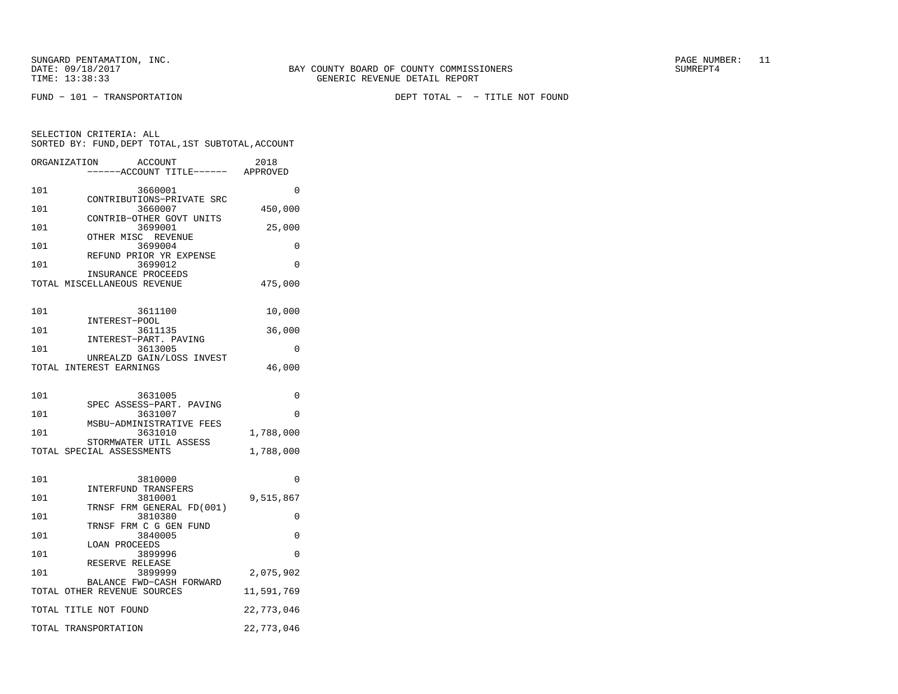SUNGARD PENTAMATION, INC. THE SUNGARD PAGE NUMBER: 11 DATE: 09/18/2017 BAY COUNTY BOARD OF COUNTY COMMISSIONERS SUMREPT4

SELECTION CRITERIA: ALL

101 3660001 0 CONTRIBUTIONS−PRIVATE SRC 101 3660007 450,000 CONTRIB−OTHER GOVT UNITS 101 3699001 25,000 OTHER MISC REVENUE101 3699004 0 REFUND PRIOR YR EXPENSE 101 3699012 0 INSURANCE PROCEEDS TOTAL MISCELLANEOUS REVENUE 475,000 101 3611100 10,000 INTEREST−POOL 101 3611135 36,000 INTEREST−PART. PAVING 101 3613005 0 UNREALZD GAIN/LOSS INVESTTOTAL INTEREST EARNINGS 46,000 101 3631005 0 SPEC ASSESS−PART. PAVING101 3631007 0 MSBU−ADMINISTRATIVE FEES 101 3631010 1,788,000 STORMWATER UTIL ASSESSTOTAL SPECIAL ASSESSMENTS 1,788,000

 SORTED BY: FUND,DEPT TOTAL,1ST SUBTOTAL,ACCOUNTORGANIZATION ACCOUNT 2018−−−−−−ACCOUNT TITLE−−−−−− APPROVED

| 101 | 3810000                     | $\Omega$   |
|-----|-----------------------------|------------|
|     | INTERFUND TRANSFERS         |            |
| 101 | 3810001                     | 9,515,867  |
|     | TRNSF FRM GENERAL FD(001)   |            |
| 101 | 3810380                     | 0          |
|     | TRNSF FRM C G GEN FUND      |            |
| 101 | 3840005                     | $\Omega$   |
|     | LOAN PROCEEDS               |            |
| 101 | 3899996                     | $\Omega$   |
|     | RESERVE RELEASE             |            |
| 101 | 3899999                     | 2,075,902  |
|     | BALANCE FWD-CASH FORWARD    |            |
|     | TOTAL OTHER REVENUE SOURCES | 11,591,769 |
|     | TOTAL TITLE NOT FOUND       | 22,773,046 |
|     |                             |            |
|     | TOTAL TRANSPORTATION        | 22,773,046 |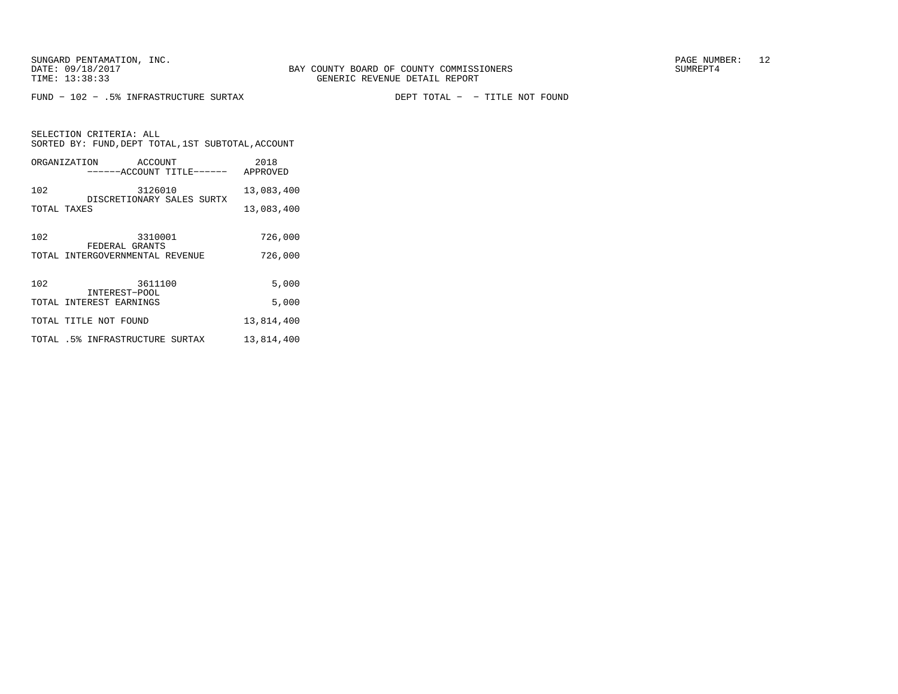SELECTION CRITERIA: ALL

FUND − 102 − .5% INFRASTRUCTURE SURTAX DEPT TOTAL − − TITLE NOT FOUND

|             |                         | SORTED BY: FUND, DEPT TOTAL, 1ST SUBTOTAL, ACCOUNT |            |
|-------------|-------------------------|----------------------------------------------------|------------|
|             | ORGANIZATION ACCOUNT    | ------ACCOUNT TITLE------ APPROVED                 | 2018       |
| 102         |                         | 3126010<br>DISCRETIONARY SALES SURTX               | 13,083,400 |
| TOTAL TAXES |                         |                                                    | 13,083,400 |
| 102         | FEDERAL GRANTS          | 3310001                                            | 726,000    |
|             |                         | TOTAL INTERGOVERNMENTAL REVENUE                    | 726,000    |
| 102         | INTEREST-POOL           | 3611100                                            | 5,000      |
|             | TOTAL INTEREST EARNINGS |                                                    | 5,000      |
|             | TOTAL TITLE NOT FOUND   |                                                    | 13,814,400 |
|             |                         | TOTAL .5% INFRASTRUCTURE SURTAX                    | 13,814,400 |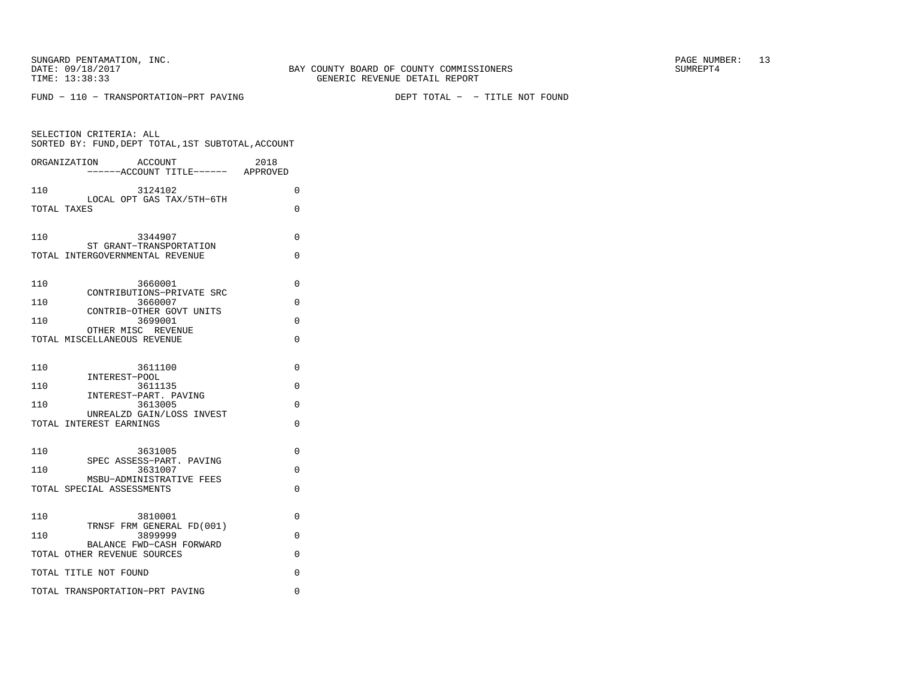FUND − 110 − TRANSPORTATION−PRT PAVING DEPT TOTAL − − TITLE NOT FOUND

| SELECTION CRITERIA: ALL<br>SORTED BY: FUND, DEPT TOTAL, 1ST SUBTOTAL, ACCOUNT |   |
|-------------------------------------------------------------------------------|---|
| ACCOUNT<br>2018<br>ORGANIZATION<br>----ACCOUNT TITLE------ APPROVED           |   |
| 3124102<br>110                                                                | 0 |
| LOCAL OPT GAS TAX/5TH-6TH<br>TOTAL TAXES                                      | 0 |
| 110<br>3344907                                                                | 0 |
| ST GRANT-TRANSPORTATION<br>TOTAL INTERGOVERNMENTAL REVENUE                    | 0 |
| 3660001<br>110<br>CONTRIBUTIONS-PRIVATE SRC                                   | 0 |
| 3660007<br>110                                                                | 0 |
| CONTRIB-OTHER GOVT UNITS<br>3699001<br>110                                    | 0 |
| OTHER MISC REVENUE<br>TOTAL MISCELLANEOUS REVENUE                             | 0 |
| 110<br>3611100                                                                | 0 |
| INTEREST-POOL<br>3611135<br>110                                               | 0 |
| INTEREST-PART. PAVING<br>3613005<br>110                                       | 0 |
| UNREALZD GAIN/LOSS INVEST<br>TOTAL INTEREST EARNINGS                          | 0 |
| 110<br>3631005<br>SPEC ASSESS-PART. PAVING                                    | 0 |
| 3631007<br>110                                                                | 0 |
| MSBU-ADMINISTRATIVE FEES<br>TOTAL SPECIAL ASSESSMENTS                         | 0 |
| 110<br>3810001                                                                | 0 |
| TRNSF FRM GENERAL FD(001)<br>110<br>3899999                                   | 0 |
| BALANCE FWD-CASH FORWARD<br>TOTAL OTHER REVENUE SOURCES                       | 0 |
| TOTAL TITLE NOT FOUND                                                         | 0 |
| TOTAL TRANSPORTATION-PRT PAVING                                               | 0 |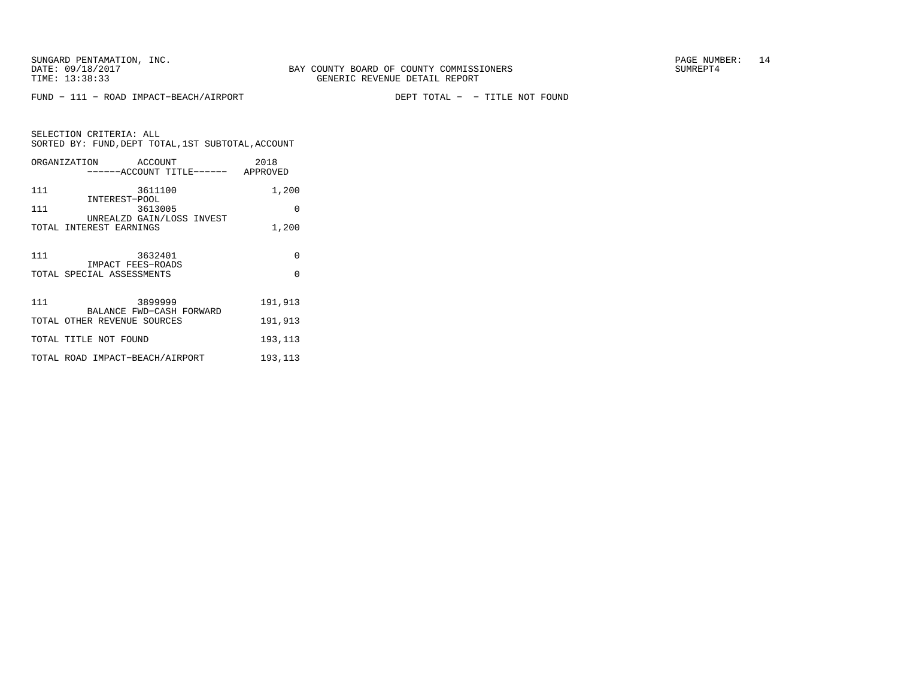FUND − 111 − ROAD IMPACT−BEACH/AIRPORT DEPT TOTAL − − TITLE NOT FOUND

| SELECTION CRITERIA: ALL                            |  |
|----------------------------------------------------|--|
| SORTED BY: FUND, DEPT TOTAL, 1ST SUBTOTAL, ACCOUNT |  |

|     | ORGANIZATION ACCOUNT<br>------ACCOUNT TITLE------ APPROVED | 2018     |
|-----|------------------------------------------------------------|----------|
| 111 | 3611100                                                    | 1,200    |
| 111 | INTEREST-POOL<br>3613005                                   | $\Omega$ |
|     | UNREALZD GAIN/LOSS INVEST<br>TOTAL INTEREST EARNINGS       | 1,200    |
|     |                                                            |          |
| 111 | 3632401<br>IMPACT FEES-ROADS                               | $\Omega$ |
|     | TOTAL SPECIAL ASSESSMENTS                                  | $\Omega$ |
|     |                                                            |          |
| 111 | 3899999<br>BALANCE FWD-CASH FORWARD                        | 191,913  |
|     | TOTAL OTHER REVENUE SOURCES                                | 191,913  |
|     | TOTAL TITLE NOT FOUND                                      | 193,113  |
|     | TOTAL ROAD IMPACT-BEACH/AIRPORT                            | 193,113  |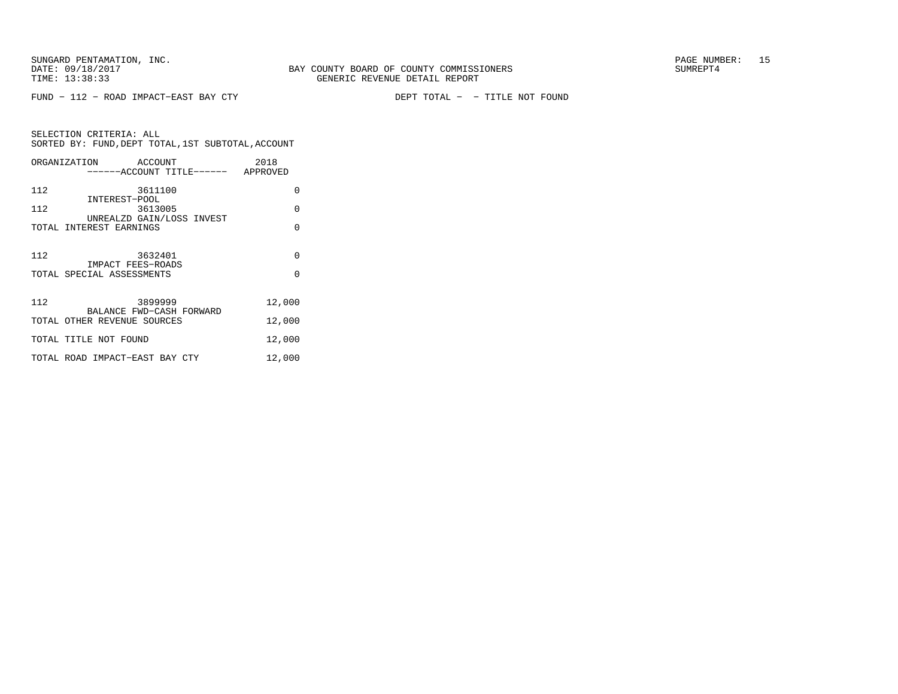FUND − 112 − ROAD IMPACT−EAST BAY CTY DEPT TOTAL − − TITLE NOT FOUND

SELECTION CRITERIA: ALL SORTED BY: FUND,DEPT TOTAL,1ST SUBTOTAL,ACCOUNTORGANIZATION ACCOUNT 2018

|     | ------ACCOUNT TITLE------ APPROVED             |          |
|-----|------------------------------------------------|----------|
| 112 | 3611100<br>INTEREST-POOL                       | $\Omega$ |
| 112 | 3613005<br>UNREALZD GAIN/LOSS INVEST           | $\Omega$ |
|     | TOTAL INTEREST EARNINGS                        | $\Omega$ |
| 112 | 3632401                                        | $\Omega$ |
|     | IMPACT FEES-ROADS<br>TOTAL SPECIAL ASSESSMENTS | $\Omega$ |
| 112 | 3899999<br>BALANCE FWD-CASH FORWARD            | 12,000   |
|     | TOTAL OTHER REVENUE SOURCES                    | 12,000   |
|     | TOTAL TITLE NOT FOUND                          | 12,000   |
|     | TOTAL ROAD IMPACT-EAST BAY CTY                 | 12,000   |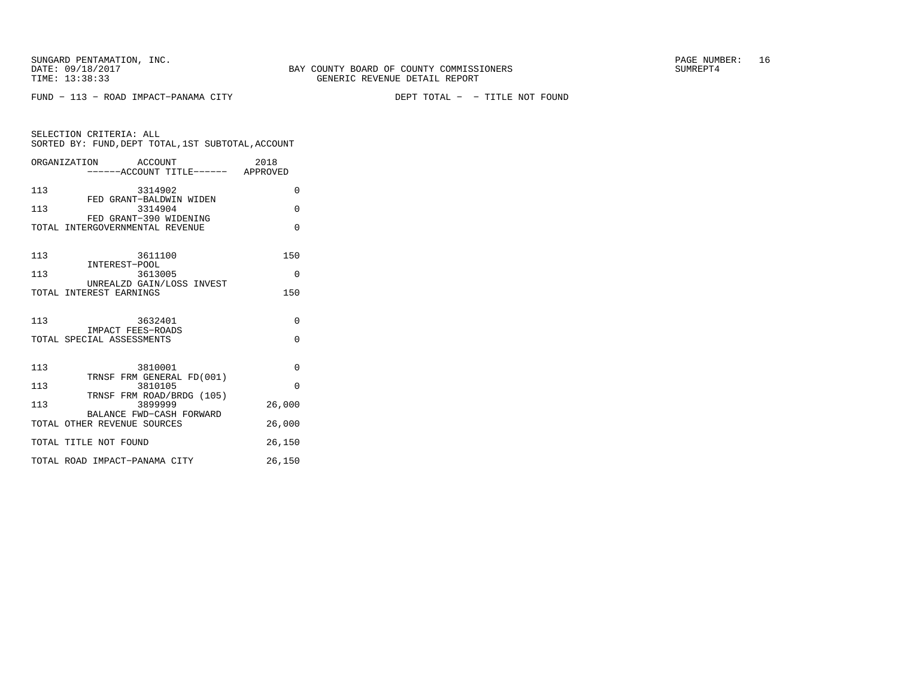FUND − 113 − ROAD IMPACT−PANAMA CITY DEPT TOTAL − − TITLE NOT FOUND

| SELECTION CRITERIA: ALL                            |                           |         |          |
|----------------------------------------------------|---------------------------|---------|----------|
| SORTED BY: FUND, DEPT TOTAL, 1ST SUBTOTAL, ACCOUNT |                           |         |          |
|                                                    |                           |         |          |
| ORGANIZATION                                       |                           | ACCOUNT | 2018     |
|                                                    | ------ACCOUNT TITLE------ |         | APPROVED |

|     | $\sim$                                                    | AF FINU V BL |
|-----|-----------------------------------------------------------|--------------|
| 113 | 3314902                                                   | $\Omega$     |
| 113 | FED GRANT-BALDWIN WIDEN<br>3314904                        | $\Omega$     |
|     | FED GRANT-390 WIDENING<br>TOTAL INTERGOVERNMENTAL REVENUE | $\Omega$     |
| 113 | 3611100<br>INTEREST-POOL                                  | 150          |
| 113 | 3613005                                                   | $\Omega$     |
|     | UNREALZD GAIN/LOSS INVEST<br>TOTAL INTEREST EARNINGS      | 150          |
| 113 | 3632401<br>IMPACT FEES-ROADS                              | $\Omega$     |
|     | TOTAL SPECIAL ASSESSMENTS                                 | $\Omega$     |
| 113 | 3810001<br>TRNSF FRM GENERAL FD(001)                      | $\Omega$     |
| 113 | 3810105<br>TRNSF FRM ROAD/BRDG (105)                      | $\Omega$     |
| 113 | 3899999                                                   | 26,000       |
|     | BALANCE FWD-CASH FORWARD<br>TOTAL OTHER REVENUE SOURCES   | 26,000       |
|     | TOTAL TITLE NOT FOUND                                     | 26,150       |
|     | TOTAL ROAD IMPACT-PANAMA CITY                             | 26,150       |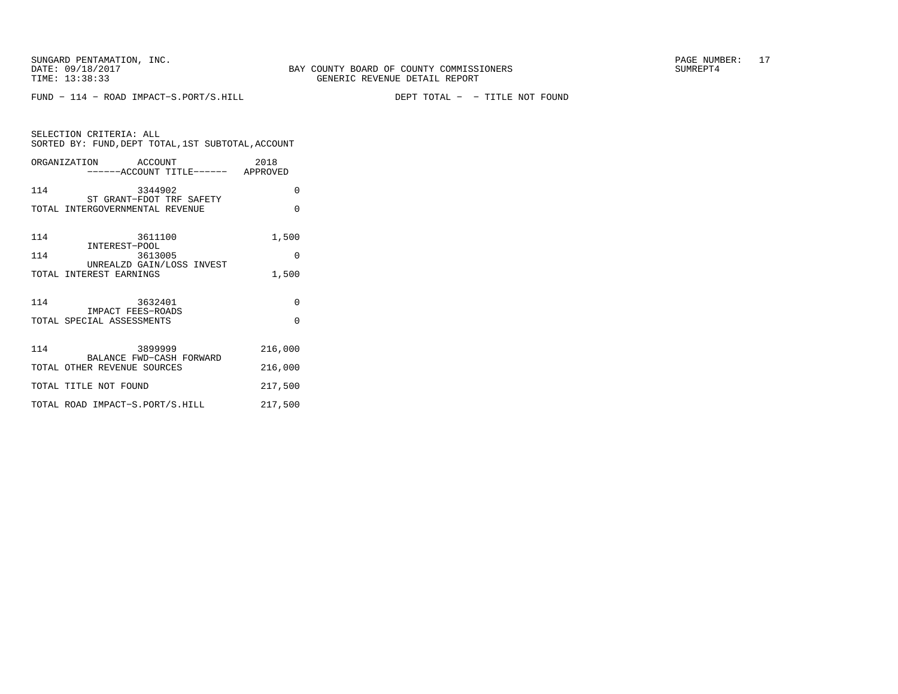FUND − 114 − ROAD IMPACT−S.PORT/S.HILL DEPT TOTAL − − TITLE NOT FOUND

| SELECTION CRITERIA: ALL<br>SORTED BY: FUND, DEPT TOTAL, 1ST SUBTOTAL, ACCOUNT |          |  |  |
|-------------------------------------------------------------------------------|----------|--|--|
| ORGANIZATION ACCOUNT<br>------ACCOUNT TITLE------ APPROVED                    | 2018     |  |  |
| 114<br>3344902<br>ST GRANT-FDOT TRF SAFETY                                    | $\Omega$ |  |  |
| TOTAL INTERGOVERNMENTAL REVENUE                                               | $\Omega$ |  |  |
| 114<br>3611100<br>INTEREST-POOL                                               | 1,500    |  |  |
| 114<br>3613005<br>UNREALZD GAIN/LOSS INVEST                                   | 0        |  |  |
| TOTAL INTEREST EARNINGS                                                       | 1,500    |  |  |
| 114<br>3632401<br>IMPACT FEES-ROADS                                           | $\Omega$ |  |  |
| TOTAL SPECIAL ASSESSMENTS                                                     | $\Omega$ |  |  |
| 114<br>3899999<br>BALANCE FWD-CASH FORWARD                                    | 216,000  |  |  |
| TOTAL OTHER REVENUE SOURCES                                                   | 216,000  |  |  |
| TOTAL TITLE NOT FOUND                                                         | 217,500  |  |  |
| TOTAL ROAD IMPACT-S.PORT/S.HILL                                               | 217,500  |  |  |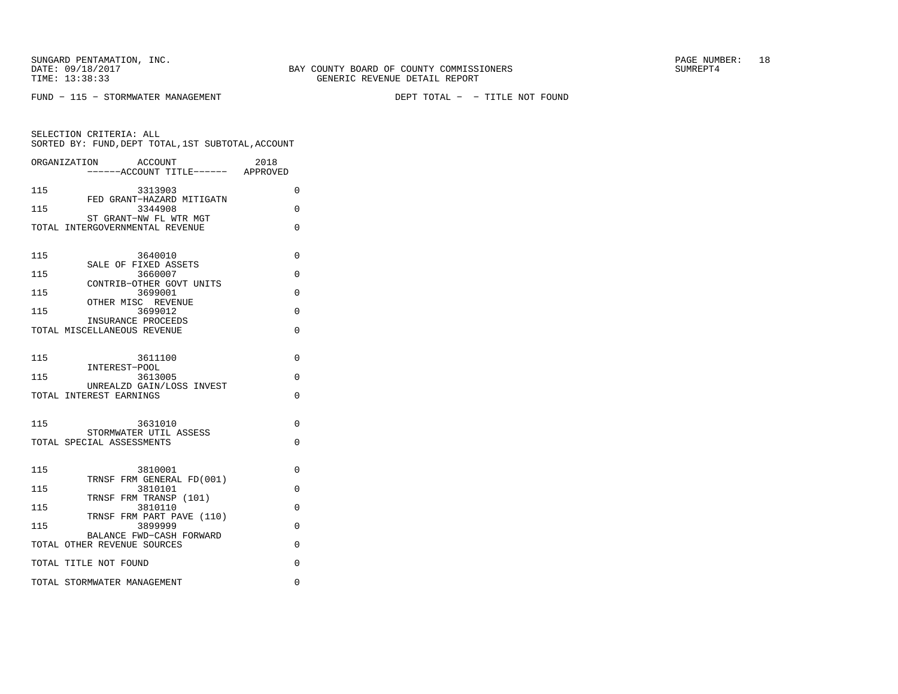SUNGARD PENTAMATION, INC. THE SUNGARD PAGE NUMBER: 18 DATE: 09/18/2017 BAY COUNTY BOARD OF COUNTY COMMISSIONERS SUMREPT4

SELECTION CRITERIA: ALL

FUND − 115 − STORMWATER MANAGEMENT DEPT TOTAL − − TITLE NOT FOUND

 SORTED BY: FUND,DEPT TOTAL,1ST SUBTOTAL,ACCOUNTORGANIZATION ACCOUNT 2018−−−−−−ACCOUNT TITLE−−−−−− APPROVED

115 3313903 0 FED GRANT−HAZARD MITIGATN 115 3344908 0 ST GRANT−NW FL WTR MGT TOTAL INTERGOVERNMENTAL REVENUE 0 115 3640010 0 SALE OF FIXED ASSETS115 3660007 0 CONTRIB−OTHER GOVT UNITS115 3699001 0 OTHER MISC REVENUE115 3699012 0 INSURANCE PROCEEDS TOTAL MISCELLANEOUS REVENUE 0 115 3611100 0 INTEREST−POOL 115 3613005 0 UNREALZD GAIN/LOSS INVESTTOTAL INTEREST EARNINGS 0 115 3631010 0 STORMWATER UTIL ASSESSTOTAL SPECIAL ASSESSMENTS 0 115 3810001 0 TRNSF FRM GENERAL FD(001)115 3810101 0 TRNSF FRM TRANSP (101)115 3810110 0 TRNSF FRM PART PAVE (110)115 3899999 0 BALANCE FWD−CASH FORWARDTOTAL OTHER REVENUE SOURCES 0 TOTAL TITLE NOT FOUND 0 TOTAL STORMWATER MANAGEMENT 0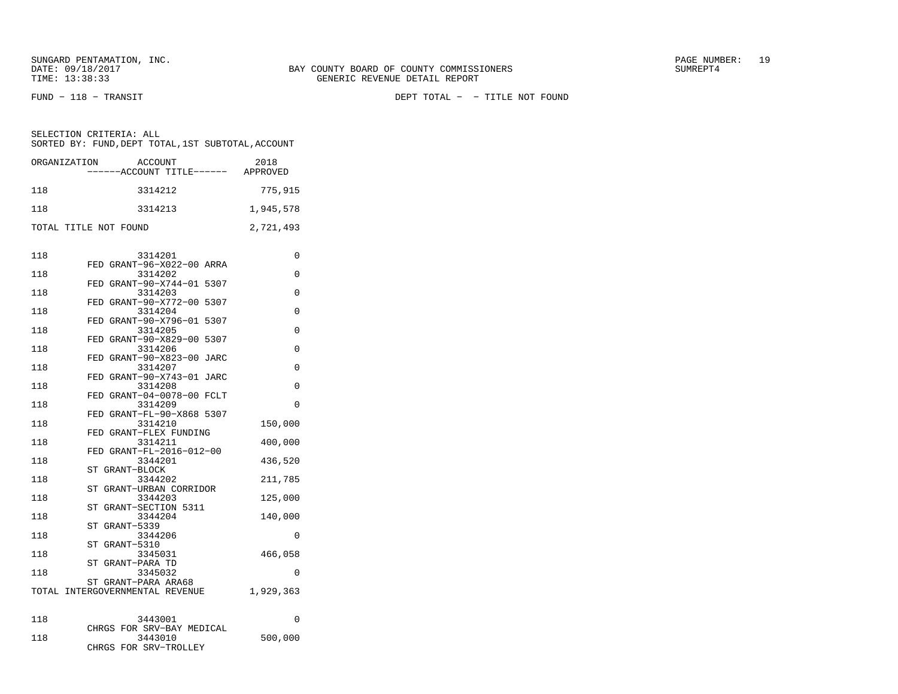FUND − 118 − TRANSIT DEPT TOTAL − − TITLE NOT FOUND

| ORGANIZATION          | ACCOUNT<br>------ACCOUNT TITLE------ | 2018<br>APPROVED |
|-----------------------|--------------------------------------|------------------|
| 118                   | 3314212                              | 775,915          |
| 118                   | 3314213                              | 1,945,578        |
| TOTAL TITLE NOT FOUND |                                      | 2,721,493        |

| 118 | 3314201                              | 0         |
|-----|--------------------------------------|-----------|
| 118 | FED GRANT-96-X022-00 ARRA<br>3314202 | 0         |
|     | FED GRANT-90-X744-01 5307            |           |
| 118 | 3314203                              | 0         |
|     | FED GRANT-90-X772-00 5307            |           |
| 118 | 3314204                              | 0         |
|     | GRANT-90-X796-01 5307<br>FED         |           |
| 118 | 3314205<br>FED GRANT-90-X829-00 5307 | 0         |
| 118 | 3314206                              | 0         |
|     | GRANT-90-X823-00 JARC<br>FED         |           |
| 118 | 3314207                              | 0         |
|     | FED GRANT-90-X743-01 JARC            |           |
| 118 | 3314208                              | 0         |
|     | GRANT-04-0078-00 FCLT<br>FED         |           |
| 118 | 3314209                              | 0         |
|     | FED GRANT-FL-90-X868 5307            |           |
| 118 | 3314210<br>GRANT-FLEX FUNDING<br>FED | 150,000   |
| 118 | 3314211                              | 400,000   |
|     | FED GRANT-FL-2016-012-00             |           |
| 118 | 3344201                              | 436,520   |
|     | ST<br>GRANT-BLOCK                    |           |
| 118 | 3344202                              | 211,785   |
|     | ST GRANT-URBAN CORRIDOR              |           |
| 118 | 3344203                              | 125,000   |
| 118 | ST<br>GRANT-SECTION 5311<br>3344204  |           |
|     | GRANT-5339<br>ST                     | 140,000   |
| 118 | 3344206                              | 0         |
|     | GRANT-5310<br>ST                     |           |
| 118 | 3345031                              | 466,058   |
|     | ST GRANT-PARA TD                     |           |
| 118 | 3345032                              | $\Omega$  |
|     | ST GRANT-PARA ARA68                  |           |
|     | TOTAL INTERGOVERNMENTAL REVENUE      | 1,929,363 |
|     |                                      |           |
| 118 | 3443001<br>CHRGS FOR SRV-BAY MEDICAL | 0         |
| 118 | 3443010                              | 500,000   |
|     | CHRGS FOR SRV-TROLLEY                |           |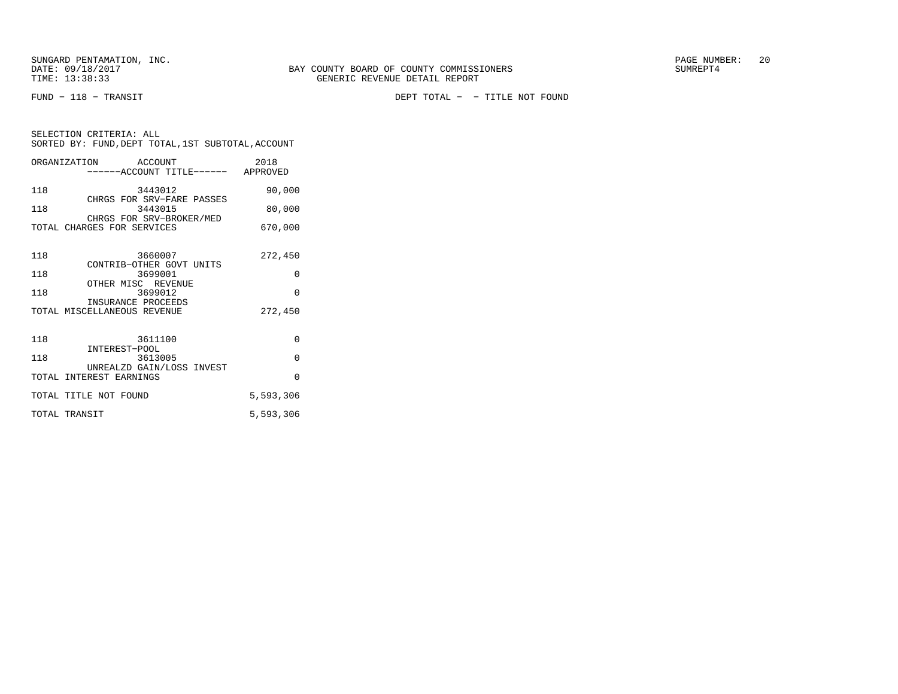FUND − 118 − TRANSIT DEPT TOTAL − − TITLE NOT FOUND

| SORTED BY: FUND, DEPT TOTAL, 1ST SUBTOTAL, ACCOUNT | SELECTION CRITERIA: ALL |  |
|----------------------------------------------------|-------------------------|--|
|                                                    |                         |  |

|               | ORGANIZATION ACCOUNT<br>------ACCOUNT TITLE------ APPROVED | 2018      |
|---------------|------------------------------------------------------------|-----------|
| 118           | 3443012<br>CHRGS FOR SRV-FARE PASSES                       | 90,000    |
| 118           | 3443015<br>CHRGS FOR SRV-BROKER/MED                        | 80,000    |
|               | TOTAL CHARGES FOR SERVICES                                 | 670,000   |
| 118           | 3660007<br>CONTRIB-OTHER GOVT UNITS                        | 272,450   |
| 118           | 3699001                                                    | 0         |
| 118           | OTHER MISC REVENUE<br>3699012                              | $\Omega$  |
|               | INSURANCE PROCEEDS<br>TOTAL MISCELLANEOUS REVENUE          | 272,450   |
| 118           | 3611100<br>INTEREST-POOL                                   | 0         |
| 118           | 3613005                                                    | 0         |
|               | UNREALZD GAIN/LOSS INVEST<br>TOTAL INTEREST EARNINGS       | $\Omega$  |
|               | TOTAL TITLE NOT FOUND                                      | 5,593,306 |
| TOTAL TRANSIT |                                                            | 5,593,306 |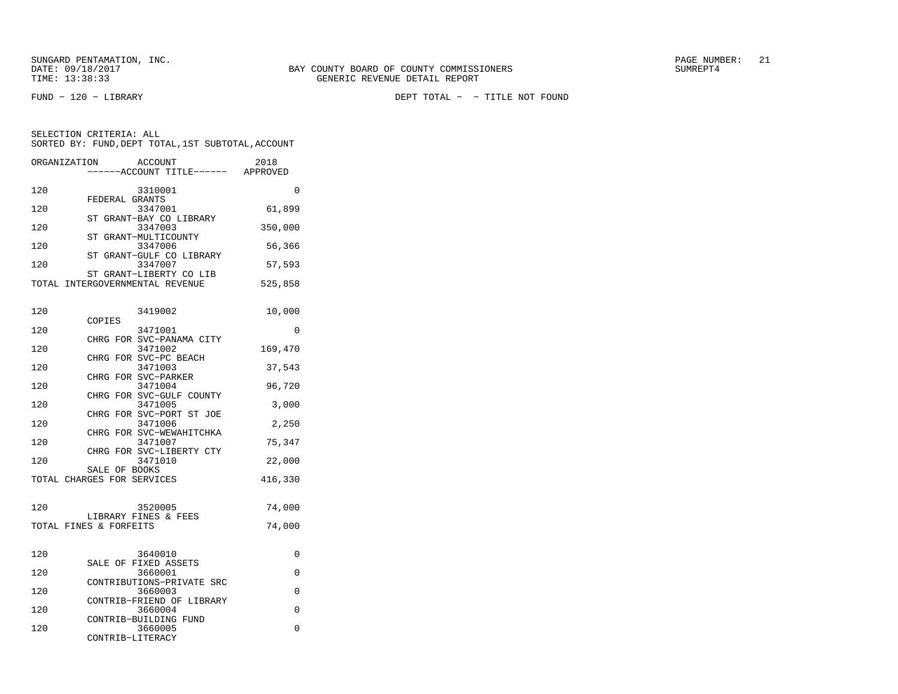SELECTION CRITERIA: ALL

|     | FEDERAL GRANTS                      |         |
|-----|-------------------------------------|---------|
| 120 | 3347001                             | 61,899  |
|     | ST GRANT-BAY CO LIBRARY             |         |
| 120 | 3347003                             | 350,000 |
|     | ST GRANT-MULTICOUNTY                |         |
| 120 | 3347006                             | 56,366  |
|     | ST GRANT-GULF CO LIBRARY            |         |
| 120 | 3347007                             | 57,593  |
|     | ST GRANT-LIBERTY CO LIB             |         |
|     | TOTAL INTERGOVERNMENTAL REVENUE     | 525,858 |
|     |                                     |         |
| 120 | 3419002                             | 10,000  |
|     | COPIES                              |         |
| 120 | 3471001                             | 0       |
|     | CHRG FOR SVC-PANAMA CITY            |         |
| 120 | 3471002                             | 169,470 |
|     | CHRG FOR SVC-PC BEACH               |         |
| 120 | 3471003                             | 37,543  |
|     | CHRG FOR SVC-PARKER                 |         |
| 120 | 3471004                             | 96,720  |
|     | CHRG FOR SVC-GULF COUNTY            |         |
| 120 | 3471005                             | 3,000   |
| 120 | CHRG FOR SVC-PORT ST JOE<br>3471006 |         |
|     | CHRG FOR SVC-WEWAHITCHKA            | 2,250   |
| 120 | 3471007                             | 75,347  |
|     | CHRG FOR SVC-LIBERTY CTY            |         |
| 120 | 3471010                             | 22,000  |
|     | SALE OF BOOKS                       |         |
|     | TOTAL CHARGES FOR SERVICES          | 416,330 |
|     |                                     |         |
| 120 | 3520005                             | 74,000  |
|     | LIBRARY FINES & FEES                |         |
|     | TOTAL FINES & FORFEITS              | 74,000  |
|     |                                     |         |
|     |                                     |         |
|     |                                     |         |

 SORTED BY: FUND,DEPT TOTAL,1ST SUBTOTAL,ACCOUNTORGANIZATION ACCOUNT 2018 −−−−−−ACCOUNT TITLE−−−−−− APPROVED120 3310001 0

| 120 | 3640010                   |  |
|-----|---------------------------|--|
|     | SALE OF FIXED ASSETS      |  |
| 120 | 3660001                   |  |
|     | CONTRIBUTIONS-PRIVATE SRC |  |
| 120 | 3660003                   |  |
|     | CONTRIB-FRIEND OF LIBRARY |  |
| 120 | 3660004                   |  |
|     | CONTRIB-BUILDING FUND     |  |
| 120 | 3660005                   |  |
|     | CONTRIB-LITERACY          |  |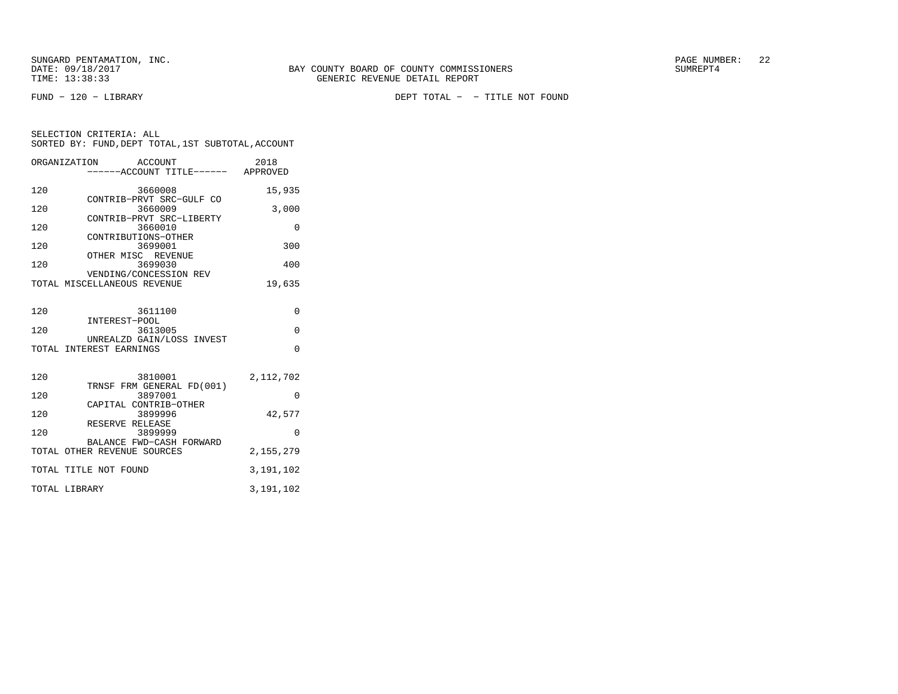FUND − 120 − LIBRARY DEPT TOTAL − − TITLE NOT FOUND

|     | ORGANIZATION<br><b>ACCOUNT</b>                       | 2018        |
|-----|------------------------------------------------------|-------------|
|     | ------ACCOUNT TITLE------ APPROVED                   |             |
|     |                                                      |             |
| 120 | 3660008                                              | 15,935      |
|     | CONTRIB-PRVT SRC-GULF CO                             |             |
| 120 | 3660009                                              | 3,000       |
|     | CONTRIB-PRVT SRC-LIBERTY                             |             |
| 120 | 3660010                                              | $\Omega$    |
|     | CONTRIBUTIONS-OTHER                                  |             |
| 120 | 3699001                                              | 300         |
|     | OTHER MISC REVENUE                                   |             |
| 120 | 3699030                                              | 400         |
|     | VENDING/CONCESSION REV                               |             |
|     | TOTAL MISCELLANEOUS REVENUE                          | 19,635      |
|     |                                                      |             |
|     |                                                      |             |
| 120 | 3611100                                              | $\Omega$    |
|     | INTEREST-POOL                                        |             |
| 120 | 3613005                                              | $\Omega$    |
|     | UNREALZD GAIN/LOSS INVEST<br>TOTAL INTEREST EARNINGS | $\Omega$    |
|     |                                                      |             |
|     |                                                      |             |
| 120 | 3810001                                              | 2,112,702   |
|     | TRNSF FRM GENERAL FD(001)                            |             |
| 120 | 3897001                                              | $\Omega$    |
|     | CAPITAL CONTRIB-OTHER                                |             |
| 120 | 3899996                                              | 42,577      |
|     | RESERVE RELEASE                                      |             |
| 120 | 3899999                                              | $\Omega$    |
|     | BALANCE FWD-CASH FORWARD                             |             |
|     | TOTAL OTHER REVENUE SOURCES                          | 2, 155, 279 |
|     |                                                      |             |
|     | TOTAL TITLE NOT FOUND                                | 3,191,102   |
|     |                                                      |             |
|     | TOTAL LIBRARY                                        | 3,191,102   |
|     |                                                      |             |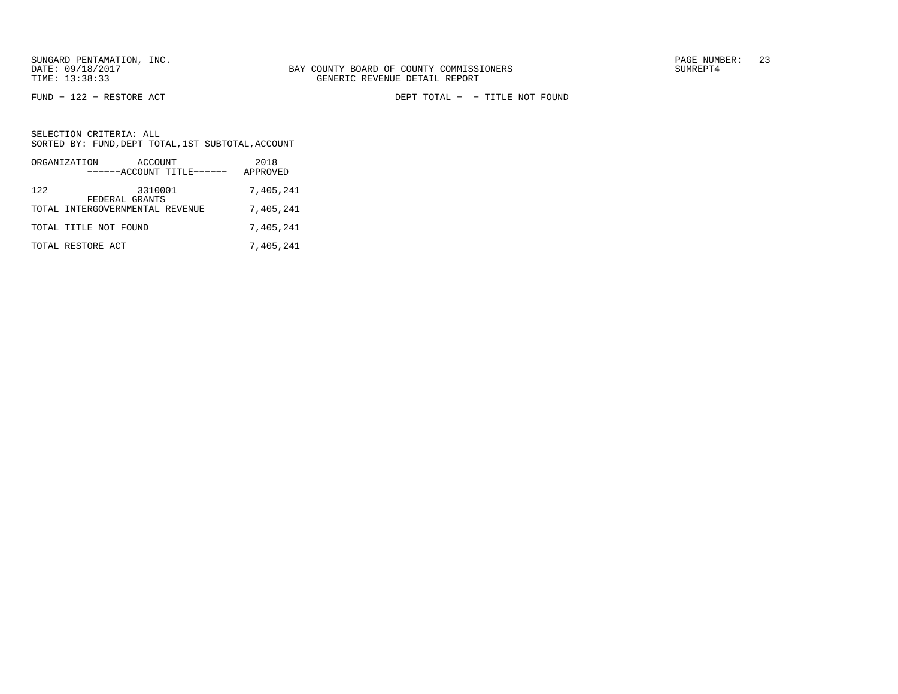FUND − 122 − RESTORE ACT DEPT TOTAL − − TITLE NOT FOUND

|     | ORGANIZATION                                      | ACCOUNT | ------ACCOUNT TITLE------ | 2018<br>APPROVED |  |
|-----|---------------------------------------------------|---------|---------------------------|------------------|--|
| 122 |                                                   | 3310001 |                           | 7,405,241        |  |
|     | FEDERAL GRANTS<br>TOTAL INTERGOVERNMENTAL REVENUE |         |                           | 7,405,241        |  |
|     | TOTAL TITLE NOT FOUND                             |         |                           | 7,405,241        |  |
|     | TOTAL RESTORE ACT                                 |         |                           | 7,405,241        |  |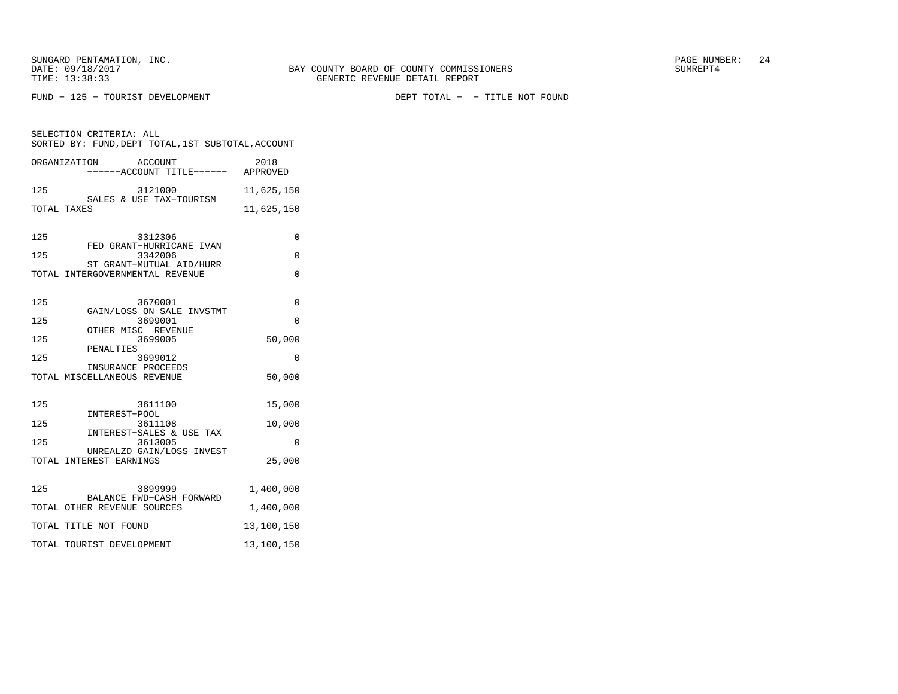SELECTION CRITERIA: ALL

FUND − 125 − TOURIST DEVELOPMENT DEPT TOTAL − − TITLE NOT FOUND

125 3121000 11,625,150 SALES & USE TAX−TOURISMTOTAL TAXES 11,625,150 125 3312306 0 FED GRANT−HURRICANE IVAN125 3342006 0 ST GRANT−MUTUAL AID/HURR TOTAL INTERGOVERNMENTAL REVENUE 0 125 3670001 0 GAIN/LOSS ON SALE INVSTMT125 3699001 0 OTHER MISC REVENUE 125 3699005 50,000 PENALTIES 125 3699012 0 INSURANCE PROCEEDSTOTAL MISCELLANEOUS REVENUE 50,000

 SORTED BY: FUND,DEPT TOTAL,1ST SUBTOTAL,ACCOUNTORGANIZATION ACCOUNT 2018−−−−−−ACCOUNT TITLE−−−−−− APPROVED

| 125 | 3611100                             | 15,000     |
|-----|-------------------------------------|------------|
|     | INTEREST-POOL                       |            |
| 125 | 3611108                             | 10,000     |
| 125 | INTEREST-SALES & USE TAX<br>3613005 | 0          |
|     | UNREALZD GAIN/LOSS INVEST           |            |
|     | TOTAL INTEREST EARNINGS             | 25,000     |
|     |                                     |            |
| 125 | 3899999                             | 1,400,000  |
|     | BALANCE FWD-CASH FORWARD            |            |
|     | TOTAL OTHER REVENUE SOURCES         | 1,400,000  |
|     | TOTAL TITLE NOT FOUND               | 13,100,150 |
|     | TOTAL TOURIST DEVELOPMENT           | 13,100,150 |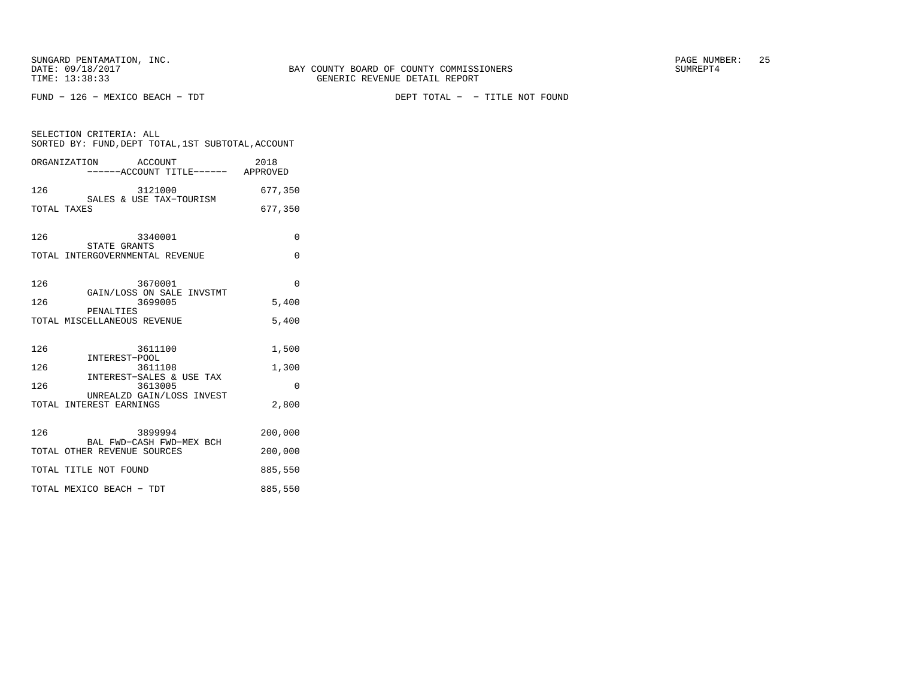FUND − 126 − MEXICO BEACH − TDT DEPT TOTAL − − TITLE NOT FOUND

| SELECTION CRITERIA: ALL<br>SORTED BY: FUND, DEPT TOTAL, 1ST SUBTOTAL, ACCOUNT |          |  |  |
|-------------------------------------------------------------------------------|----------|--|--|
| ORGANIZATION ACCOUNT                                                          |          |  |  |
| 126<br>3121000<br>SIZIOUO<br>SALES & USE TAX-TOURISM                          | 677,350  |  |  |
| TOTAL TAXES                                                                   | 677,350  |  |  |
| 126<br>3340001<br>STATE GRANTS                                                | $\Omega$ |  |  |
| TOTAL INTERGOVERNMENTAL REVENUE                                               | 0        |  |  |
| 126<br>3670001<br>GAIN/LOSS ON SALE INVSTMT                                   | $\Omega$ |  |  |
| 126<br>3699005<br>PENALTIES                                                   | 5,400    |  |  |
| TOTAL MISCELLANEOUS REVENUE                                                   | 5,400    |  |  |
| 126<br>3611100<br>INTEREST-POOL                                               | 1,500    |  |  |
| 126<br>3611108<br>INTEREST-SALES & USE TAX                                    | 1,300    |  |  |
| 126<br>3613005<br>UNREALZD GAIN/LOSS INVEST                                   | 0        |  |  |
| TOTAL INTEREST EARNINGS                                                       | 2,800    |  |  |
| 126<br>3899994<br>BAL FWD-CASH FWD-MEX BCH                                    | 200,000  |  |  |
| TOTAL OTHER REVENUE SOURCES                                                   | 200,000  |  |  |
| TOTAL TITLE NOT FOUND                                                         | 885,550  |  |  |
| TOTAL MEXICO BEACH - TDT                                                      | 885,550  |  |  |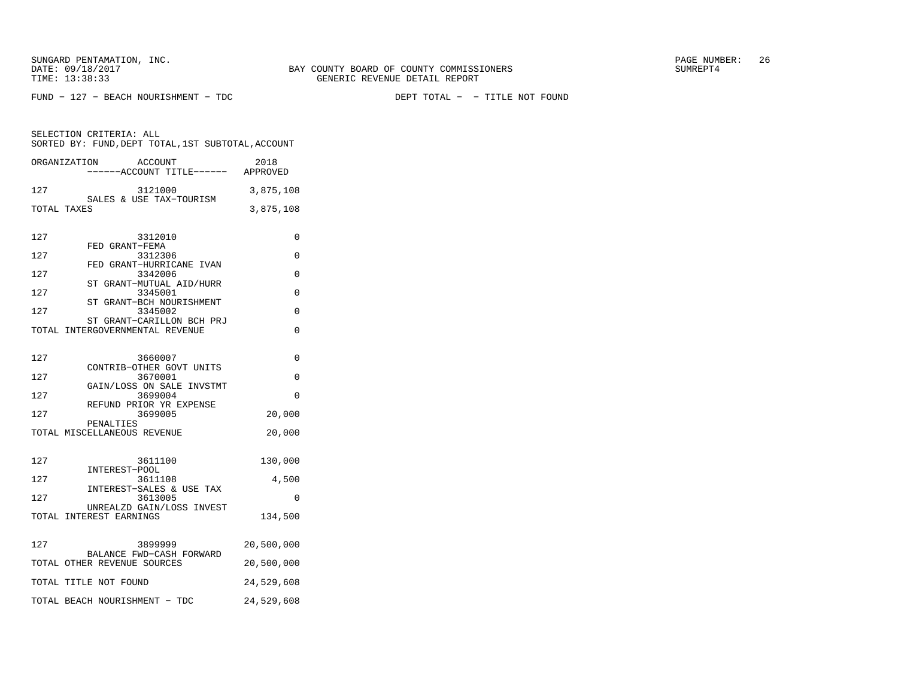FUND − 127 − BEACH NOURISHMENT − TDC DEPT TOTAL − − TITLE NOT FOUND

|     | ORGANIZATION<br>ACCOUNT<br>-----ACCOUNT TITLE------ APPROVED | 2018       |
|-----|--------------------------------------------------------------|------------|
| 127 | 3121000<br>SALES & USE TAX-TOURISM                           | 3,875,108  |
|     | TOTAL TAXES                                                  | 3,875,108  |
| 127 | 3312010                                                      | 0          |
| 127 | FED GRANT-FEMA<br>3312306                                    | 0          |
| 127 | FED GRANT-HURRICANE IVAN<br>3342006                          | 0          |
| 127 | ST GRANT-MUTUAL AID/HURR<br>3345001                          | 0          |
| 127 | ST GRANT-BCH NOURISHMENT<br>3345002                          | $\Omega$   |
|     | ST GRANT-CARILLON BCH PRJ<br>TOTAL INTERGOVERNMENTAL REVENUE | $\Omega$   |
|     |                                                              |            |
| 127 | 3660007<br>CONTRIB-OTHER GOVT UNITS                          | 0          |
| 127 | 3670001<br>GAIN/LOSS ON SALE INVSTMT                         | 0          |
| 127 | 3699004<br>REFUND PRIOR YR EXPENSE                           | 0          |
| 127 | 3699005<br>PENALTIES                                         | 20,000     |
|     | TOTAL MISCELLANEOUS REVENUE                                  | 20,000     |
| 127 | 3611100                                                      | 130,000    |
| 127 | INTEREST-POOL<br>3611108                                     | 4,500      |
| 127 | INTEREST-SALES & USE TAX<br>3613005                          | $\Omega$   |
|     | UNREALZD GAIN/LOSS INVEST<br>TOTAL INTEREST EARNINGS         | 134,500    |
|     |                                                              |            |
| 127 | 3899999<br>BALANCE FWD-CASH FORWARD                          | 20,500,000 |
|     | TOTAL OTHER REVENUE SOURCES                                  | 20,500,000 |
|     | TOTAL TITLE NOT FOUND                                        | 24,529,608 |
|     | TOTAL BEACH NOURISHMENT - TDC                                | 24,529,608 |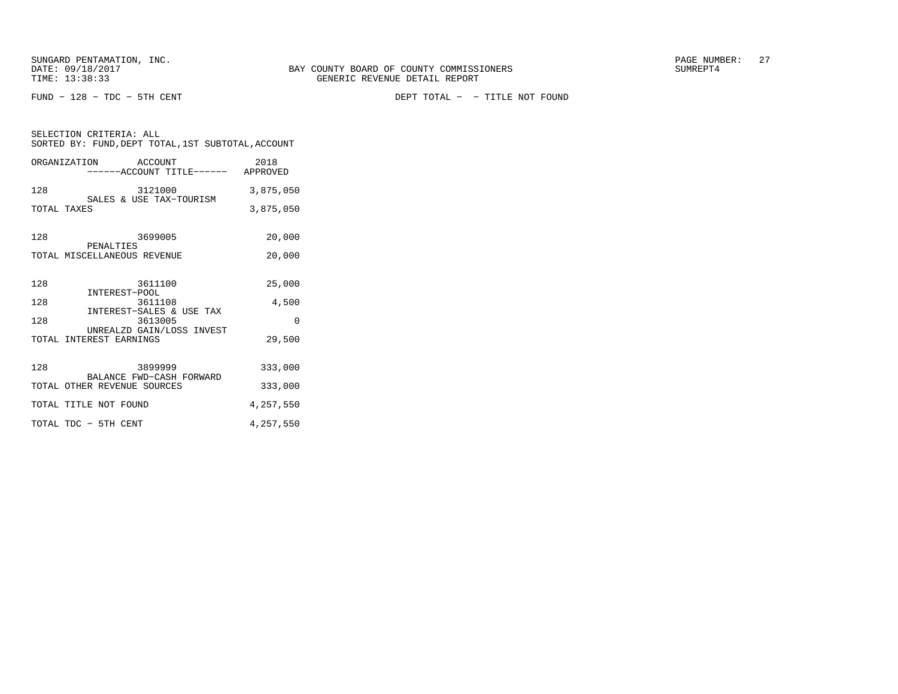SELECTION CRITERIA: ALL

FUND − 128 − TDC − 5TH CENT DEPT TOTAL − − TITLE NOT FOUND

| SORTED BY: FUND, DEPT TOTAL, 1ST SUBTOTAL, ACCOUNT         |           |
|------------------------------------------------------------|-----------|
| ORGANIZATION ACCOUNT<br>------ACCOUNT TITLE------ APPROVED | 2018      |
| 128<br>3121000<br>SALES & USE TAX-TOURISM                  | 3,875,050 |
| TOTAL TAXES                                                | 3,875,050 |
| 3699005<br>128<br>PENALTIES                                | 20,000    |
| TOTAL MISCELLANEOUS REVENUE                                | 20,000    |
| 3611100<br>128<br>INTEREST-POOL<br>36111                   | 25,000    |
| 128<br>3611108<br>INTEREST-SALES & USE TAX                 | 4,500     |
| 128<br>3613005<br>UNREALZD GAIN/LOSS INVEST                | $\Omega$  |
| TOTAL INTEREST EARNINGS                                    | 29,500    |
| 3899999<br>128<br>BALANCE FWD-CASH FORWARD                 | 333,000   |
| TOTAL OTHER REVENUE SOURCES                                | 333,000   |
| TOTAL TITLE NOT FOUND                                      | 4,257,550 |
| TOTAL TDC - 5TH CENT                                       | 4,257,550 |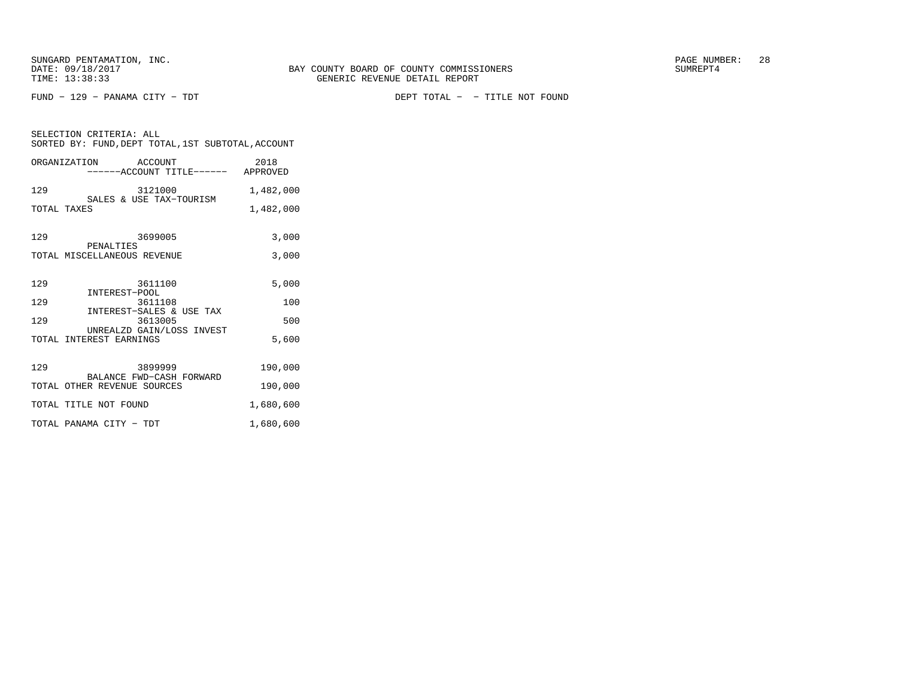SELECTION CRITERIA: ALL

FUND − 129 − PANAMA CITY − TDT DEPT TOTAL − − TITLE NOT FOUND

| SELECTION CRITERIA: ALL<br>SORTED BY: FUND, DEPT TOTAL, 1ST SUBTOTAL, ACCOUNT |                                                                       |           |  |
|-------------------------------------------------------------------------------|-----------------------------------------------------------------------|-----------|--|
|                                                                               | ORGANIZATION ACCOUNT<br>------ACCOUNT TITLE------ APPROVED            | 2018      |  |
| 129                                                                           | 3121000<br>3121000<br>SALES & USE TAX-TOURISM                         | 1,482,000 |  |
| TOTAL TAXES                                                                   |                                                                       | 1,482,000 |  |
| 129                                                                           | 3699005<br>PENALTIES                                                  | 3,000     |  |
|                                                                               | TOTAL MISCELLANEOUS REVENUE                                           | 3,000     |  |
| 129                                                                           | 3611100                                                               | 5,000     |  |
| 129                                                                           | INTEREST-POOL<br>INTEREST-POOL<br>3611108<br>INTEREST-SALES & USE TAX | 100       |  |
| 129                                                                           | 3613005                                                               | 500       |  |
|                                                                               | UNREALZD GAIN/LOSS INVEST<br>TOTAL INTEREST EARNINGS                  | 5,600     |  |
| 129                                                                           | 3899999                                                               | 190,000   |  |
|                                                                               | BALANCE FWD-CASH FORWARD<br>TOTAL OTHER REVENUE SOURCES               | 190,000   |  |
|                                                                               | TOTAL TITLE NOT FOUND                                                 | 1,680,600 |  |
|                                                                               | TOTAL PANAMA CITY - TDT                                               | 1,680,600 |  |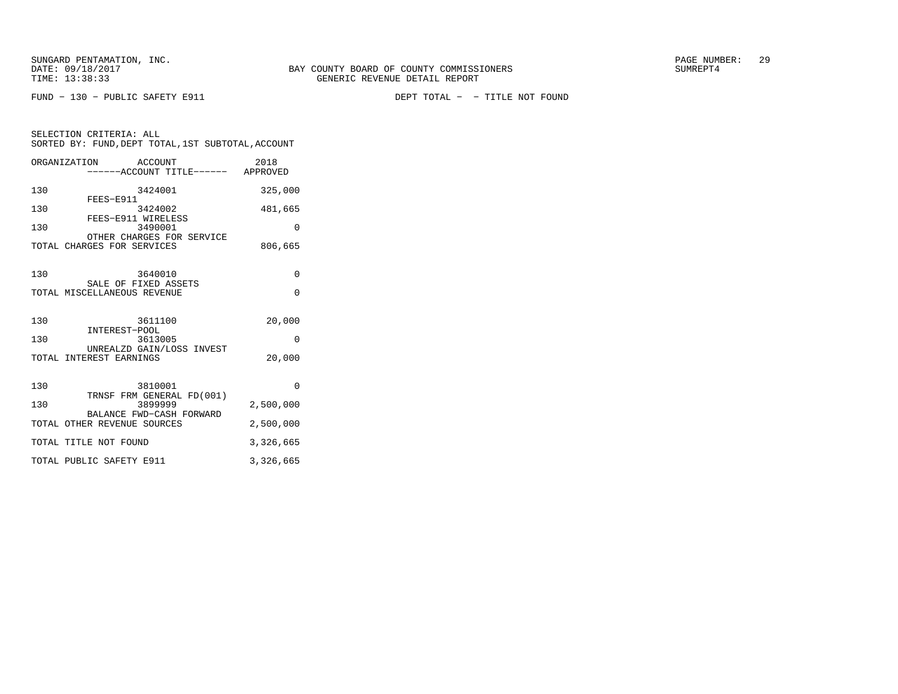SELECTION CRITERIA: ALL

FUND − 130 − PUBLIC SAFETY E911 DEPT TOTAL − − TITLE NOT FOUND

| ORGANIZATION | ACCOUNT<br>------ACCOUNT TITLE------ APPROVED                  | 2018                 |
|--------------|----------------------------------------------------------------|----------------------|
| 130          | 3424001<br>FEES-E911                                           | 325,000              |
| 130          | 3424002<br>FEES-E911 WIRELESS                                  | 481,665              |
| 130          | 3490001<br>OTHER CHARGES FOR SERVICE                           | 0                    |
|              | TOTAL CHARGES FOR SERVICES                                     | 806,665              |
| 130          | 3640010<br>SALE OF FIXED ASSETS<br>TOTAL MISCELLANEOUS REVENUE | $\Omega$<br>$\Omega$ |
| 130          | 3611100<br>INTEREST-POOL                                       | 20,000               |
| 130          | 3613005<br>UNREALZD GAIN/LOSS INVEST                           | $\Omega$             |
|              | TOTAL INTEREST EARNINGS                                        | 20,000               |
|              |                                                                |                      |

SORTED BY: FUND,DEPT TOTAL,1ST SUBTOTAL,ACCOUNT

| 130<br>3810001                                          |           |
|---------------------------------------------------------|-----------|
| TRNSF FRM GENERAL FD(001)<br>130<br>3899999             | 2,500,000 |
| BALANCE FWD-CASH FORWARD<br>TOTAL OTHER REVENUE SOURCES | 2,500,000 |
| TOTAL TITLE NOT FOUND                                   | 3,326,665 |
| TOTAL PUBLIC SAFETY E911                                | 3,326,665 |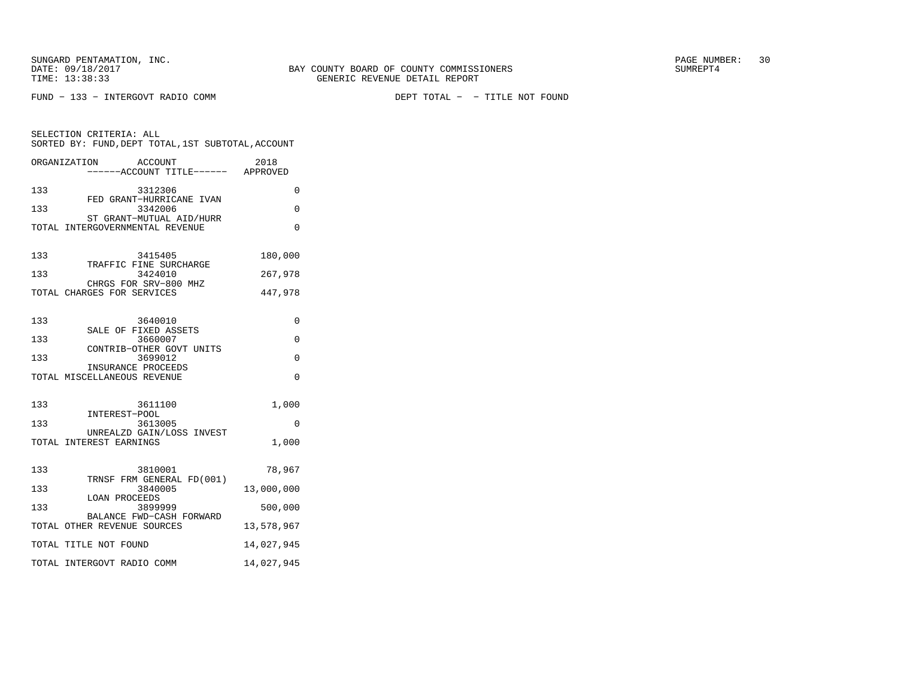FUND − 133 − INTERGOVT RADIO COMM DEPT TOTAL − − TITLE NOT FOUND

| SELECTION CRITERIA: ALL<br>SORTED BY: FUND, DEPT TOTAL, 1ST SUBTOTAL, ACCOUNT |            |
|-------------------------------------------------------------------------------|------------|
| ORGANIZATION<br>ACCOUNT<br>-----ACCOUNT TITLE------ APPROVED                  | 2018       |
| 133<br>3312306<br>FED GRANT-HURRICANE IVAN                                    | 0          |
| 133<br>3342006                                                                | 0          |
| ST GRANT-MUTUAL AID/HURR<br>TOTAL INTERGOVERNMENTAL REVENUE                   | 0          |
| 133<br>3415405                                                                | 180,000    |
| TRAFFIC FINE SURCHARGE<br>133<br>3424010                                      | 267,978    |
| CHRGS FOR SRV-800 MHZ<br>TOTAL CHARGES FOR SERVICES                           | 447,978    |
| 133<br>3640010<br>SALE OF FIXED ASSETS                                        | 0          |
| 133<br>3660007                                                                | 0          |
| CONTRIB-OTHER GOVT UNITS<br>133<br>3699012                                    | 0          |
| INSURANCE PROCEEDS<br>TOTAL MISCELLANEOUS REVENUE                             | 0          |
| 133<br>3611100<br>INTEREST-POOL                                               | 1,000      |
| 133<br>3613005<br>UNREALZD GAIN/LOSS INVEST                                   | 0          |
| TOTAL INTEREST EARNINGS                                                       | 1,000      |
| 133<br>3810001<br>TRNSF FRM GENERAL FD(001)                                   | 78,967     |
| 133<br>3840005<br><b>LOAN PROCEEDS</b>                                        | 13,000,000 |
| 133<br>3899999<br>BALANCE FWD-CASH FORWARD                                    | 500,000    |
| TOTAL OTHER REVENUE SOURCES                                                   | 13,578,967 |
| TOTAL TITLE NOT FOUND                                                         | 14,027,945 |
| TOTAL INTERGOVT RADIO COMM                                                    | 14,027,945 |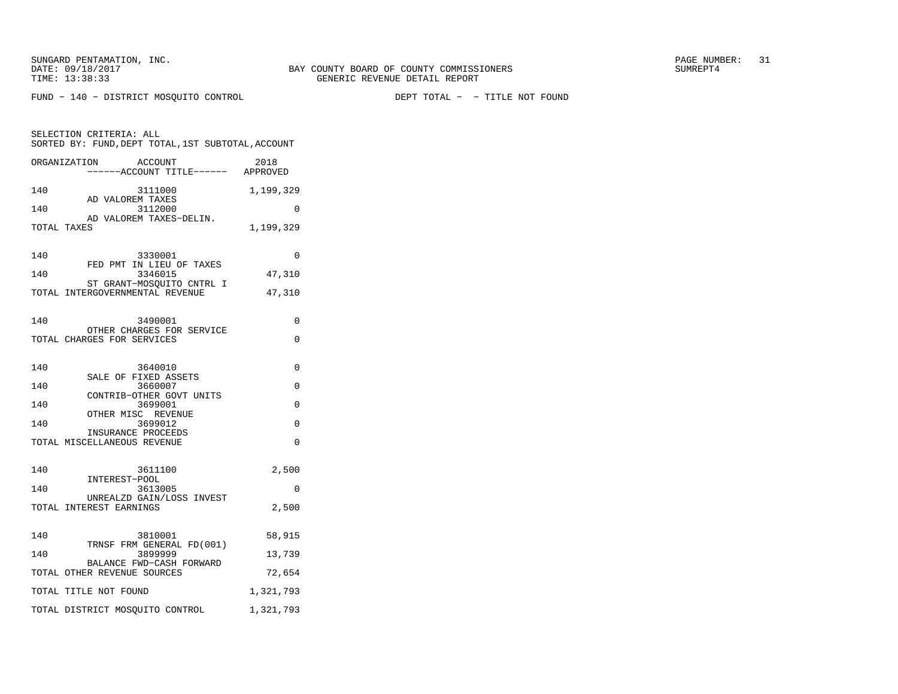SELECTION CRITERIA: ALL

FUND − 140 − DISTRICT MOSQUITO CONTROL DEPT TOTAL − − TITLE NOT FOUND

| SORTED BY: FUND, DEPT TOTAL, 1ST SUBTOTAL, ACCOUNT           |           |
|--------------------------------------------------------------|-----------|
| ORGANIZATION<br>ACCOUNT<br>-----ACCOUNT TITLE------ APPROVED | 2018      |
| 140<br>3111000<br>AD VALOREM TAXES                           | 1,199,329 |
| 140<br>3112000<br>AD VALOREM TAXES-DELIN.                    | 0         |
| TOTAL TAXES                                                  | 1,199,329 |
| 140<br>3330001                                               | $\Omega$  |
| FED PMT IN LIEU OF TAXES<br>140<br>3346015                   | 47,310    |
| ST GRANT-MOSQUITO CNTRL I<br>TOTAL INTERGOVERNMENTAL REVENUE | 47,310    |
|                                                              |           |
| 140<br>3490001                                               | 0         |
| OTHER CHARGES FOR SERVICE<br>TOTAL CHARGES FOR SERVICES      | 0         |
|                                                              |           |
| 140<br>3640010<br>SALE OF FIXED ASSETS                       | 0         |
| 140<br>3660007                                               | 0         |
| CONTRIB-OTHER GOVT UNITS<br>3699001<br>140                   | 0         |
| OTHER MISC REVENUE<br>140<br>3699012                         | 0         |
| INSURANCE PROCEEDS                                           |           |
| TOTAL MISCELLANEOUS REVENUE                                  | 0         |
| 140<br>3611100                                               | 2,500     |
| INTEREST-POOL<br>140<br>3613005                              | 0         |
| UNREALZD GAIN/LOSS INVEST<br>TOTAL INTEREST EARNINGS         | 2,500     |
|                                                              |           |
| 140<br>3810001<br>TRNSF FRM GENERAL FD(001)                  | 58,915    |
| 140<br>3899999                                               | 13,739    |
| BALANCE FWD-CASH FORWARD<br>TOTAL OTHER REVENUE SOURCES      | 72,654    |
| TOTAL TITLE NOT FOUND                                        | 1,321,793 |
| TOTAL DISTRICT MOSQUITO CONTROL                              | 1,321,793 |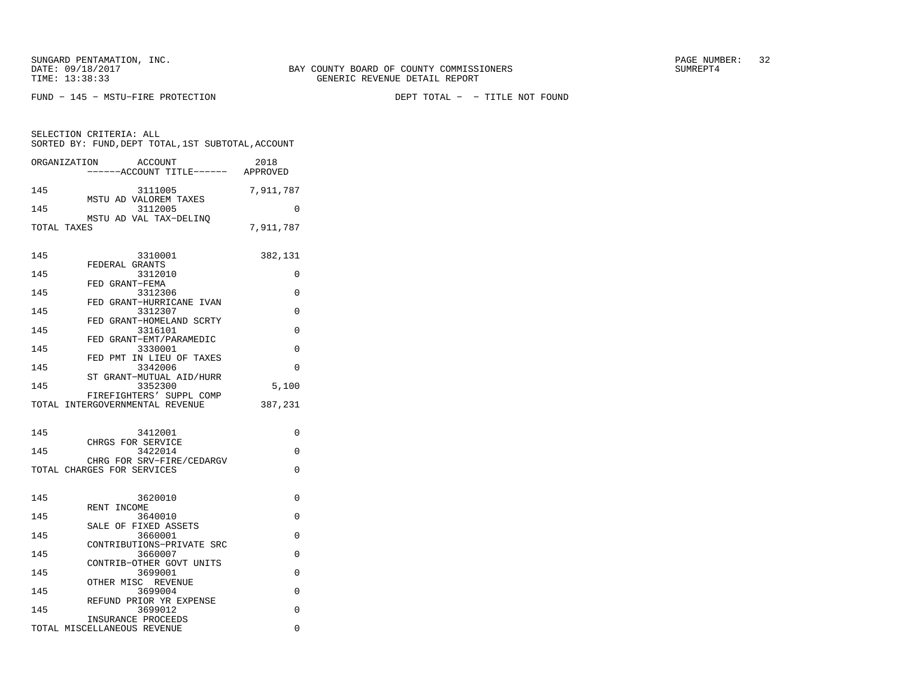SELECTION CRITERIA: ALL

FUND − 145 − MSTU−FIRE PROTECTION DEPT TOTAL − − TITLE NOT FOUND

 SORTED BY: FUND,DEPT TOTAL,1ST SUBTOTAL,ACCOUNTORGANIZATION ACCOUNT 2018−−−−−−ACCOUNT TITLE−−−−−− APPROVED

| 145         | 3111005                                        | 7,911,787 |
|-------------|------------------------------------------------|-----------|
| 145         | MSTU AD VALOREM TAXES<br>3112005               | $\Omega$  |
|             | MSTU AD VAL TAX-DELINO                         |           |
| TOTAL TAXES |                                                | 7,911,787 |
| 145         | 3310001                                        | 382,131   |
| 145         | FEDERAL GRANTS<br>3312010<br>FED GRANT-FEMA    | 0         |
| 145         | 3312306<br>FED GRANT-HURRICANE IVAN            | O         |
| 145         | 3312307<br>FED GRANT-HOMELAND SCRTY            | $\Omega$  |
| 145         | 3316101<br>FED GRANT-EMT/PARAMEDIC             | O         |
| 145         | 3330001<br>FED PMT IN LIEU OF TAXES            | 0         |
| 145         | 3342006<br>ST GRANT-MUTUAL AID/HURR            | O         |
| 145         | 3352300<br>FIREFIGHTERS' SUPPL COMP            | 5,100     |
|             | TOTAL INTERGOVERNMENTAL REVENUE                | 387,231   |
| 145         | 3412001<br>CHRGS FOR SERVICE                   | $\Omega$  |
| 145         | 3422014<br>CHRG FOR SRV-FIRE/CEDARGV           | 0         |
|             | TOTAL CHARGES FOR SERVICES                     | 0         |
| 145         | 3620010                                        | 0         |
| 145         | RENT INCOME<br>3640010<br>SALE OF FIXED ASSETS | O         |
| 145         | 3660001<br>CONTRIBUTIONS-PRIVATE SRC           | O         |
| 145         | 3660007<br>CONTRIB-OTHER GOVT UNITS            | O         |
| 145         | 3699001<br>OTHER MISC REVENUE                  | 0         |
| 145         | 3699004<br>REFUND PRIOR YR EXPENSE             | 0         |
| 145         | 3699012<br>INSURANCE PROCEEDS                  | 0         |
|             | TOTAL MISCELLANEOUS REVENUE                    | 0         |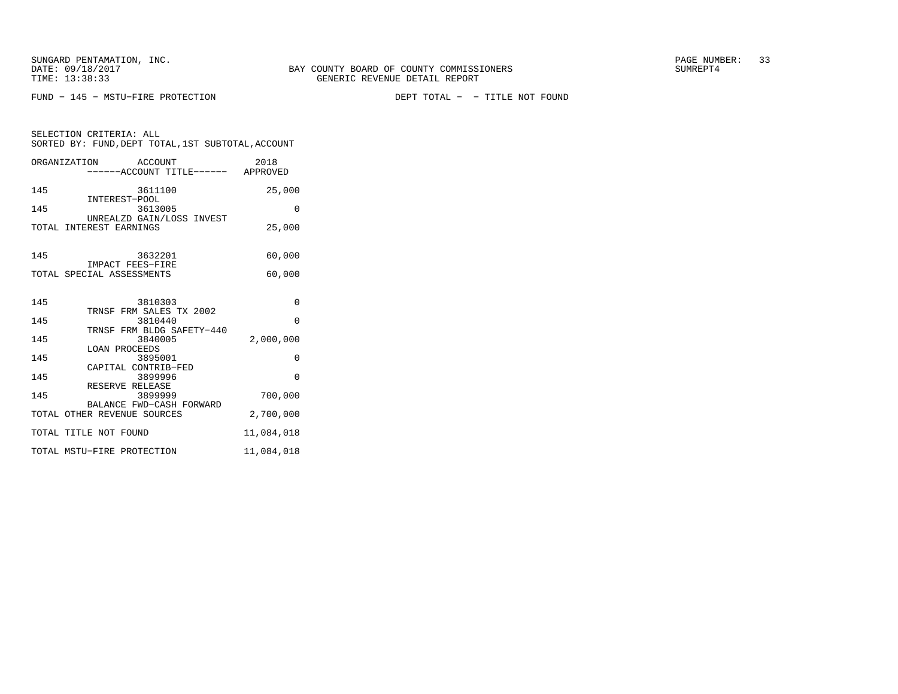SELECTION CRITERIA: ALL

FUND − 145 − MSTU−FIRE PROTECTION DEPT TOTAL − − TITLE NOT FOUND

| ORGANIZATION ACCOUNT<br>-----ACCOUNT TITLE------ APPROVED | 2018       |
|-----------------------------------------------------------|------------|
| 145<br>3611100                                            | 25,000     |
| INTEREST-POOL<br>145<br>3613005                           | $\Omega$   |
| UNREALZD GAIN/LOSS INVEST<br>TOTAL INTEREST EARNINGS      | 25,000     |
| 3632201<br>145<br>IMPACT FEES-FIRE                        | 60,000     |
| TOTAL SPECIAL ASSESSMENTS                                 | 60,000     |
| 145<br>3810303<br>TRNSF FRM SALES TX 2002                 | $\Omega$   |
| 145<br>3810440                                            | $\Omega$   |
| TRNSF FRM BLDG SAFETY-440<br>145<br>3840005               | 2,000,000  |
| LOAN PROCEEDS<br>145<br>3895001                           | 0          |
| CAPITAL CONTRIB-FED<br>145<br>3899996                     | $\Omega$   |
| RESERVE RELEASE<br>145<br>3899999                         | 700,000    |
| BALANCE FWD-CASH FORWARD<br>TOTAL OTHER REVENUE SOURCES   | 2,700,000  |
| TOTAL TITLE NOT FOUND                                     | 11,084,018 |
| TOTAL MSTU-FIRE PROTECTION                                | 11,084,018 |

SORTED BY: FUND,DEPT TOTAL,1ST SUBTOTAL,ACCOUNT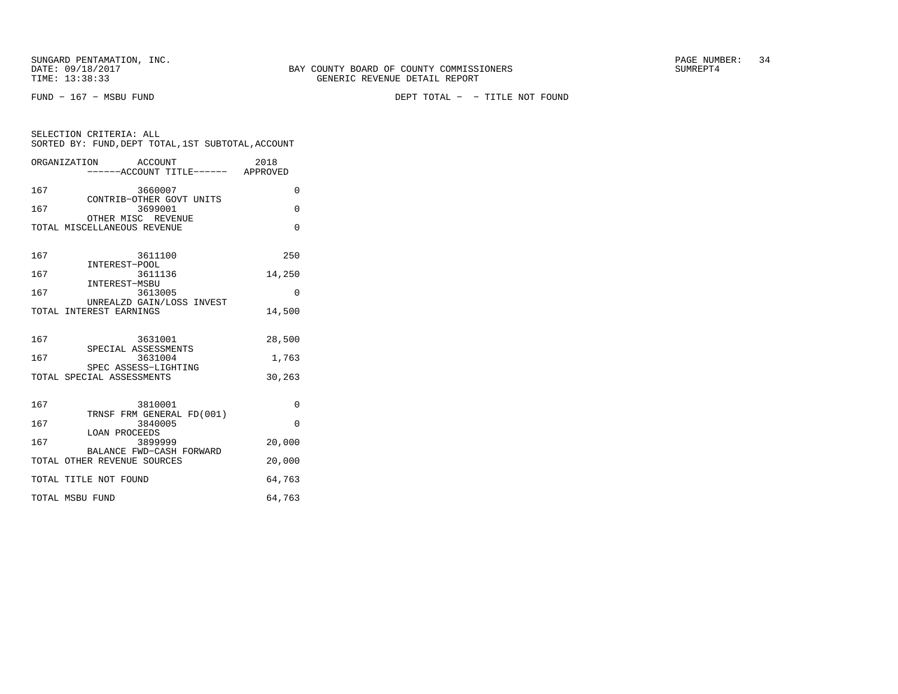FUND − 167 − MSBU FUND DEPT TOTAL − − TITLE NOT FOUND

| SELECTION CRITERIA: ALL<br>SORTED BY: FUND, DEPT TOTAL, 1ST SUBTOTAL, ACCOUNT |          |  |  |
|-------------------------------------------------------------------------------|----------|--|--|
| ORGANIZATION ACCOUNT<br>----ACCOUNT TITLE------ APPROVED                      | 2018     |  |  |
| 167<br>3660007<br>CONTRIB-OTHER GOVT UNITS                                    | $\Omega$ |  |  |
| 167<br>3699001<br>OTHER MISC REVENUE                                          | $\Omega$ |  |  |
| TOTAL MISCELLANEOUS REVENUE                                                   | $\Omega$ |  |  |
| 167<br>3611100<br>INTEREST-POOL                                               | 250      |  |  |
| 167<br>3611136                                                                | 14,250   |  |  |
| INTEREST-MSBU<br>167<br>3613005                                               | 0        |  |  |
| UNREALZD GAIN/LOSS INVEST<br>TOTAL INTEREST EARNINGS                          | 14,500   |  |  |
| 167<br>3631001                                                                | 28,500   |  |  |
| SPECIAL ASSESSMENTS<br>167<br>3631004                                         | 1,763    |  |  |
| SPEC ASSESS-LIGHTING<br>TOTAL SPECIAL ASSESSMENTS                             | 30,263   |  |  |
| 167<br>3810001<br>TRNSF FRM GENERAL FD(001)                                   | $\Omega$ |  |  |
| 167<br>3840005                                                                | $\Omega$ |  |  |
| <b>LOAN PROCEEDS</b><br>167<br>3899999                                        | 20,000   |  |  |
| BALANCE FWD-CASH FORWARD<br>TOTAL OTHER REVENUE SOURCES                       | 20,000   |  |  |
| TOTAL TITLE NOT FOUND                                                         | 64,763   |  |  |
| TOTAL MSBU FUND                                                               | 64,763   |  |  |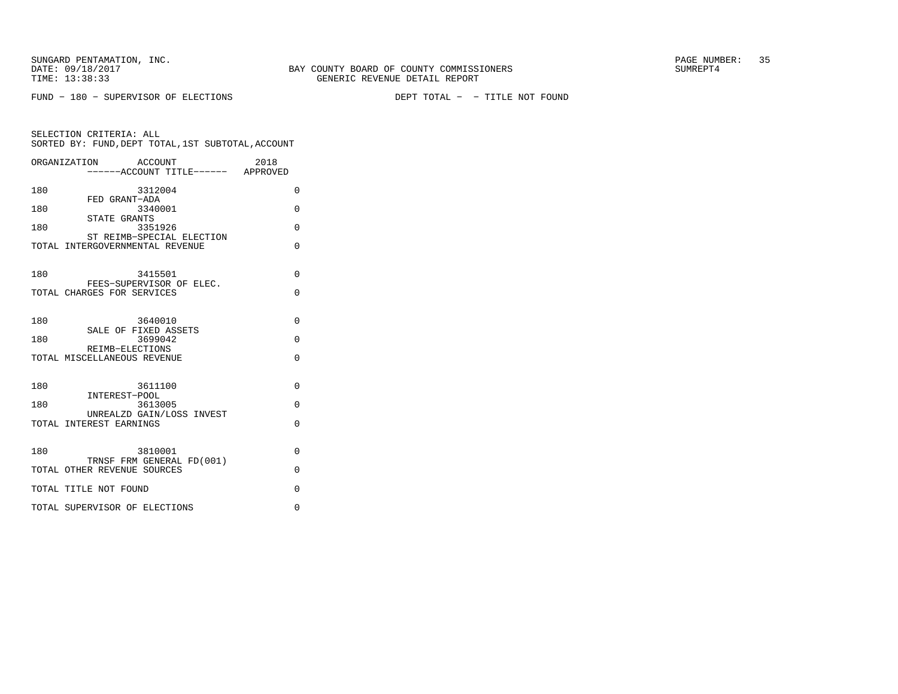FUND − 180 − SUPERVISOR OF ELECTIONS DEPT TOTAL − − TITLE NOT FOUND

|     | ORGANIZATION<br>ACCOUNT                                | 2018     |
|-----|--------------------------------------------------------|----------|
|     | ------ACCOUNT TITLE------ APPROVED                     |          |
| 180 | 3312004<br>FED GRANT-ADA                               | $\Omega$ |
| 180 | 3340001<br>STATE GRANTS                                | $\Omega$ |
| 180 | 3351926<br>ST REIMB-SPECIAL ELECTION                   | $\Omega$ |
|     | TOTAL INTERGOVERNMENTAL REVENUE                        | $\Omega$ |
| 180 | 3415501                                                | $\Omega$ |
|     | FEES-SUPERVISOR OF ELEC.<br>TOTAL CHARGES FOR SERVICES | $\Omega$ |
| 180 | 3640010                                                | $\Omega$ |
| 180 | SALE OF FIXED ASSETS<br>3699042                        | $\Omega$ |
|     | REIMB-ELECTIONS<br>TOTAL MISCELLANEOUS REVENUE         | $\Omega$ |
| 180 | 3611100<br>INTEREST-POOL                               | $\Omega$ |
| 180 | 3613005<br>UNREALZD GAIN/LOSS INVEST                   | $\Omega$ |
|     | TOTAL INTEREST EARNINGS                                | $\Omega$ |
| 180 | 3810001<br>TRNSF FRM GENERAL FD(001)                   | $\Omega$ |
|     | TOTAL OTHER REVENUE SOURCES                            | $\Omega$ |
|     | TOTAL TITLE NOT FOUND                                  | $\Omega$ |
|     | TOTAL SUPERVISOR OF ELECTIONS                          | $\Omega$ |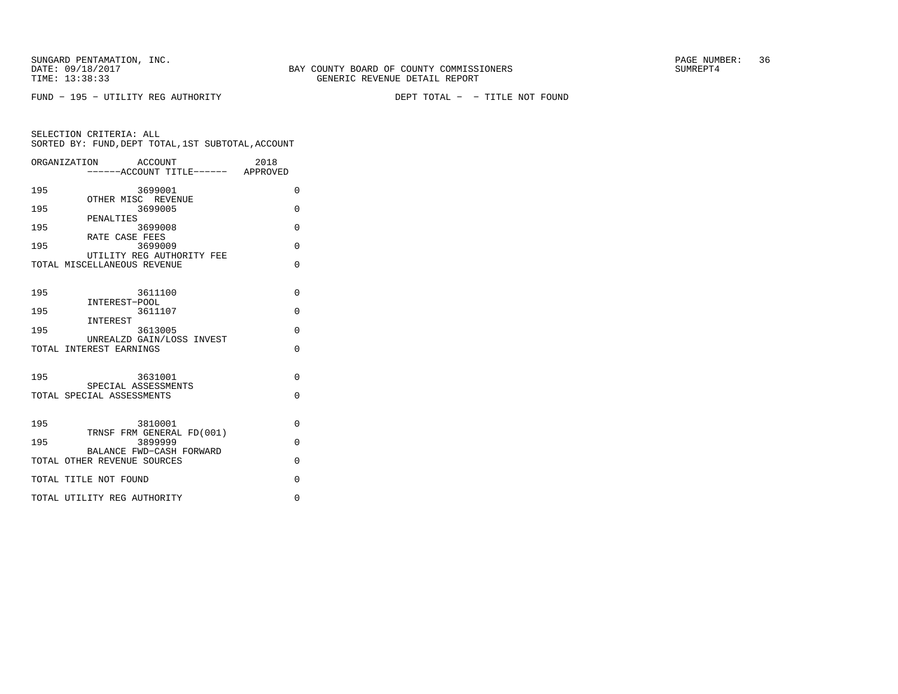FUND − 195 − UTILITY REG AUTHORITY DEPT TOTAL − − TITLE NOT FOUND

|     | ORGANIZATION<br>ACCOUNT<br>.<br>-----ACCOUNT TITLE------ APPROVED | 2018                 |
|-----|-------------------------------------------------------------------|----------------------|
| 195 | 3699001                                                           | $\Omega$             |
| 195 | OTHER MISC REVENUE<br>3699005                                     | $\Omega$             |
| 195 | PENALTIES<br>3699008                                              | $\Omega$             |
| 195 | RATE CASE FEES<br>3699009                                         | $\Omega$             |
|     | UTILITY REG AUTHORITY FEE<br>TOTAL MISCELLANEOUS REVENUE          | $\Omega$             |
| 195 | 3611100<br>INTEREST-POOL                                          | $\Omega$             |
| 195 | 3611107<br>INTEREST                                               | $\Omega$             |
| 195 | 3613005                                                           | 0                    |
|     | UNREALZD GAIN/LOSS INVEST<br>TOTAL INTEREST EARNINGS              | $\Omega$             |
| 195 | 3631001<br>SPECIAL ASSESSMENTS<br>TOTAL SPECIAL ASSESSMENTS       | $\Omega$<br>$\Omega$ |
|     |                                                                   |                      |
| 195 | 3810001<br>TRNSF FRM GENERAL FD(001)                              | $\Omega$             |
| 195 | 3899999<br>BALANCE FWD-CASH FORWARD                               | $\Omega$             |
|     | TOTAL OTHER REVENUE SOURCES                                       | $\Omega$             |
|     | TOTAL TITLE NOT FOUND                                             | $\Omega$             |
|     | TOTAL UTILITY REG AUTHORITY                                       | $\Omega$             |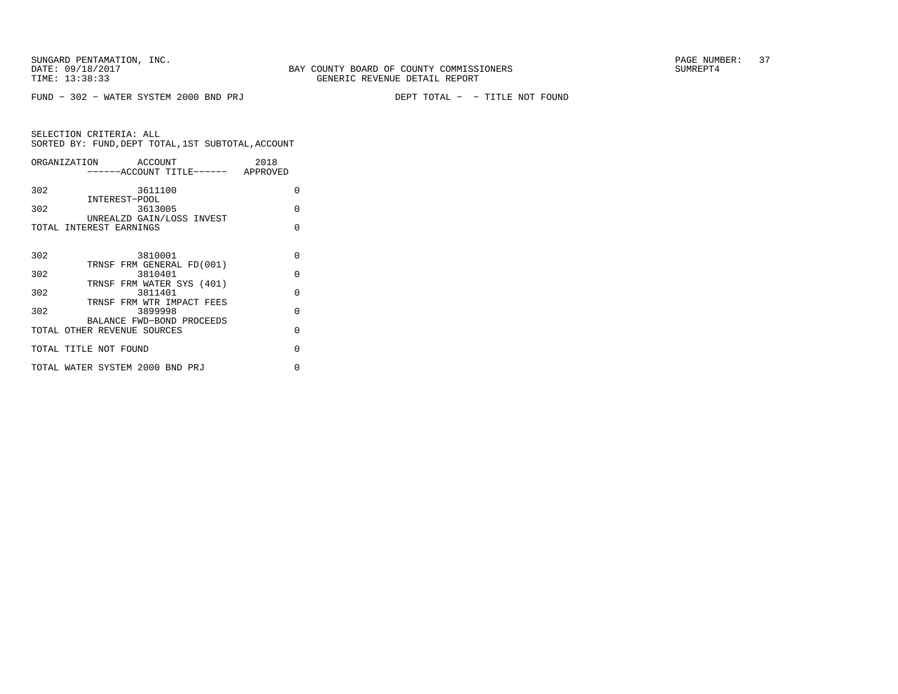|     | ORGANIZATION ACCOUNT                                  | 2018     |
|-----|-------------------------------------------------------|----------|
|     | ------ACCOUNT TITLE------ APPROVED                    |          |
| 302 | 3611100                                               | $\Omega$ |
| 302 | INTEREST-POOL<br>3613005<br>UNREALZD GAIN/LOSS INVEST | $\Omega$ |
|     | TOTAL INTEREST EARNINGS                               | O        |
|     |                                                       |          |
| 302 | 3810001                                               | O        |
| 302 | TRNSF FRM GENERAL FD(001)<br>3810401                  | $\Omega$ |
|     | TRNSF FRM WATER SYS (401)                             |          |
| 302 | 3811401                                               | $\Omega$ |
| 302 | TRNSF FRM WTR IMPACT FEES<br>3899998                  | O        |
|     | BALANCE FWD-BOND PROCEEDS                             |          |
|     | TOTAL OTHER REVENUE SOURCES                           | $\Omega$ |
|     | TOTAL TITLE NOT FOUND                                 | O        |
|     | TOTAL WATER SYSTEM 2000 BND PRJ                       | U        |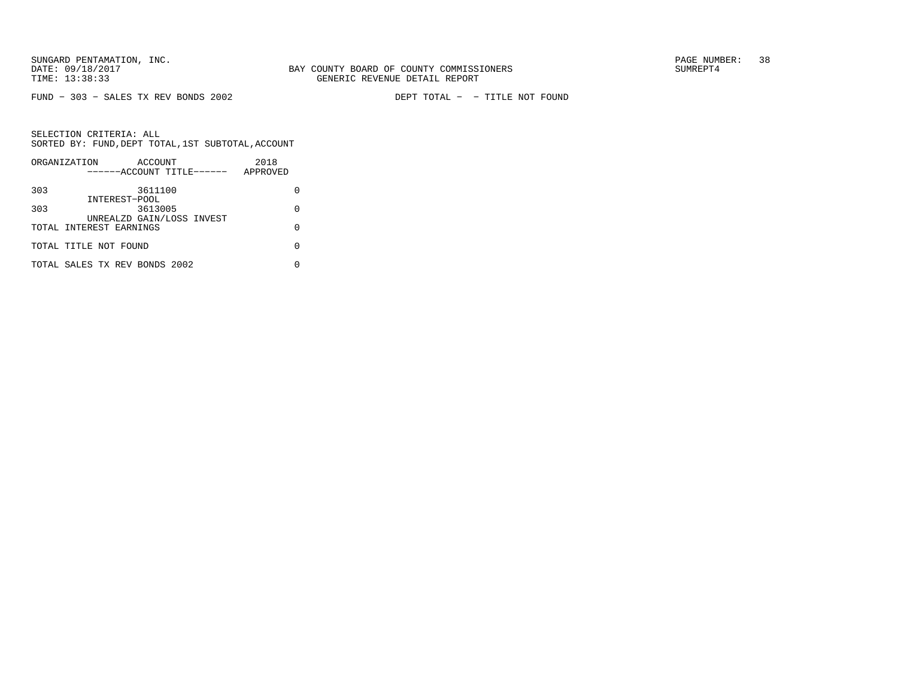FUND − 303 − SALES TX REV BONDS 2002 DEPT TOTAL − − TITLE NOT FOUND

|     | ORGANIZATION                  | ACCOUNT |                           | 2018     |   |
|-----|-------------------------------|---------|---------------------------|----------|---|
|     |                               |         | ------ACCOUNT TITLE------ | APPROVED |   |
| 303 |                               | 3611100 |                           |          |   |
|     | INTEREST-POOL                 |         |                           |          |   |
| 303 |                               | 3613005 |                           |          | O |
|     |                               |         | UNREALZD GAIN/LOSS INVEST |          |   |
|     | TOTAL INTEREST EARNINGS       |         |                           |          | U |
|     | TOTAL TITLE NOT FOUND         |         |                           |          | U |
|     | TOTAL SALES TX REV BONDS 2002 |         |                           |          |   |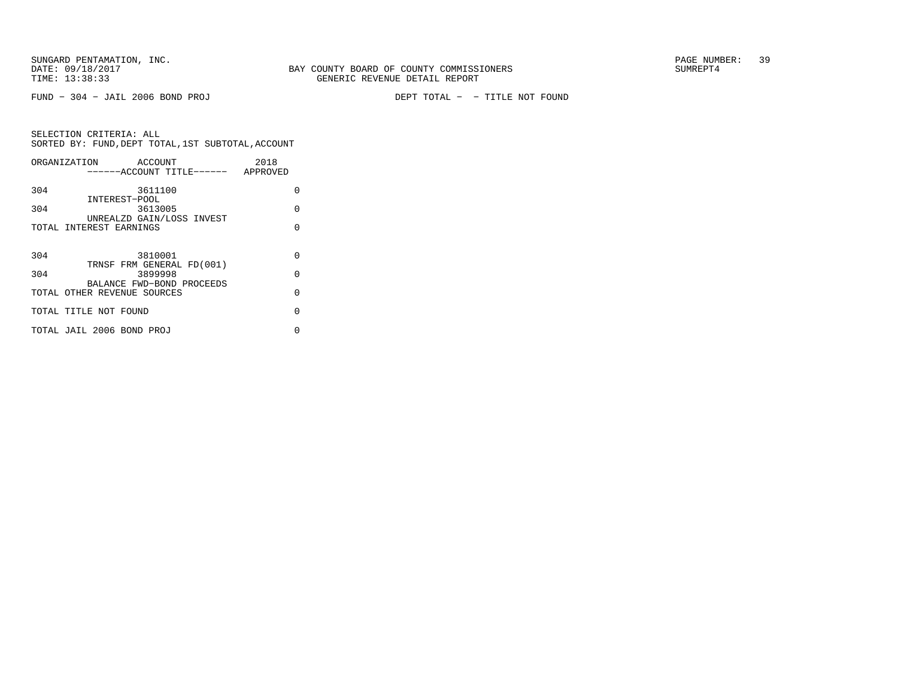FUND − 304 − JAIL 2006 BOND PROJ DEPT TOTAL − − TITLE NOT FOUND

|     | ORGANIZATION ACCOUNT               | 2018     |
|-----|------------------------------------|----------|
|     | ------ACCOUNT TITLE------ APPROVED |          |
| 304 | 3611100                            | U        |
|     | INTEREST-POOL                      |          |
| 304 | 3613005                            | O        |
|     | UNREALZD GAIN/LOSS INVEST          |          |
|     | TOTAL INTEREST EARNINGS            | U        |
|     |                                    |          |
| 304 | 3810001                            | $\Omega$ |
|     | TRNSF FRM GENERAL FD(001)          |          |
| 304 | 3899998                            | $\Omega$ |
|     | BALANCE FWD-BOND PROCEEDS          |          |
|     | TOTAL OTHER REVENUE SOURCES        | O        |
|     | TOTAL TITLE NOT FOUND              | O        |
|     |                                    |          |
|     | TOTAL JAIL 2006 BOND PROJ          | 0        |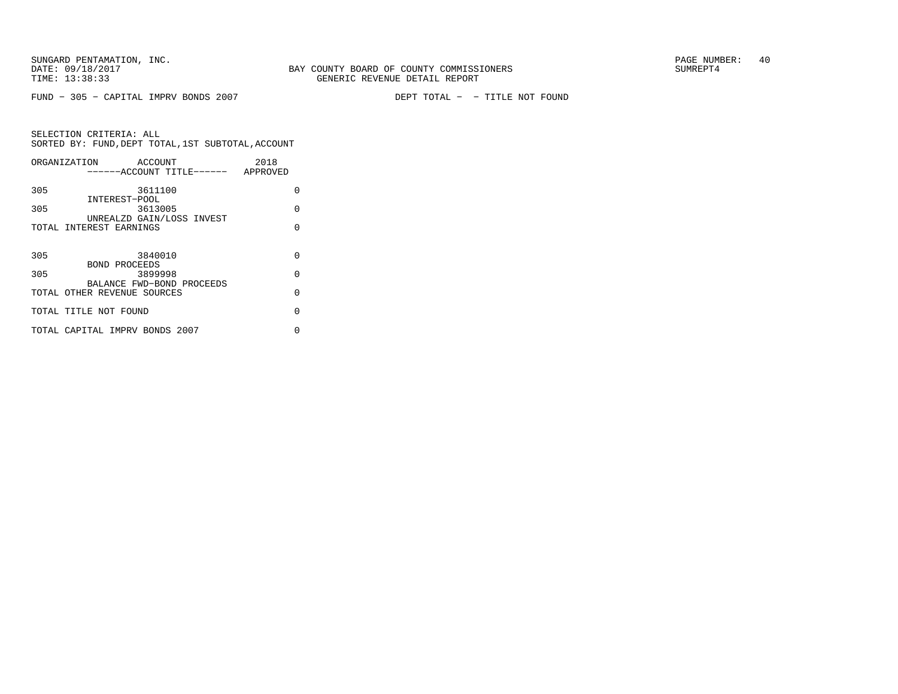FUND − 305 − CAPITAL IMPRV BONDS 2007 DEPT TOTAL − − TITLE NOT FOUND

|     | ORGANIZATION<br>ACCOUNT              | 2018     |
|-----|--------------------------------------|----------|
|     | ------ACCOUNT TITLE------ APPROVED   |          |
| 305 | 3611100                              | 0        |
| 305 | INTEREST-POOL<br>3613005             | O        |
|     | UNREALZD GAIN/LOSS INVEST            |          |
|     | TOTAL INTEREST EARNINGS              | U        |
|     |                                      |          |
| 305 | 3840010                              | O        |
|     | BOND PROCEEDS                        |          |
| 305 | 3899998<br>BALANCE FWD-BOND PROCEEDS | $\Omega$ |
|     | TOTAL OTHER REVENUE SOURCES          | $\Omega$ |
|     | TOTAL TITLE NOT FOUND                | $\Omega$ |
|     |                                      |          |
|     | TOTAL CAPITAL IMPRV BONDS 2007       | U        |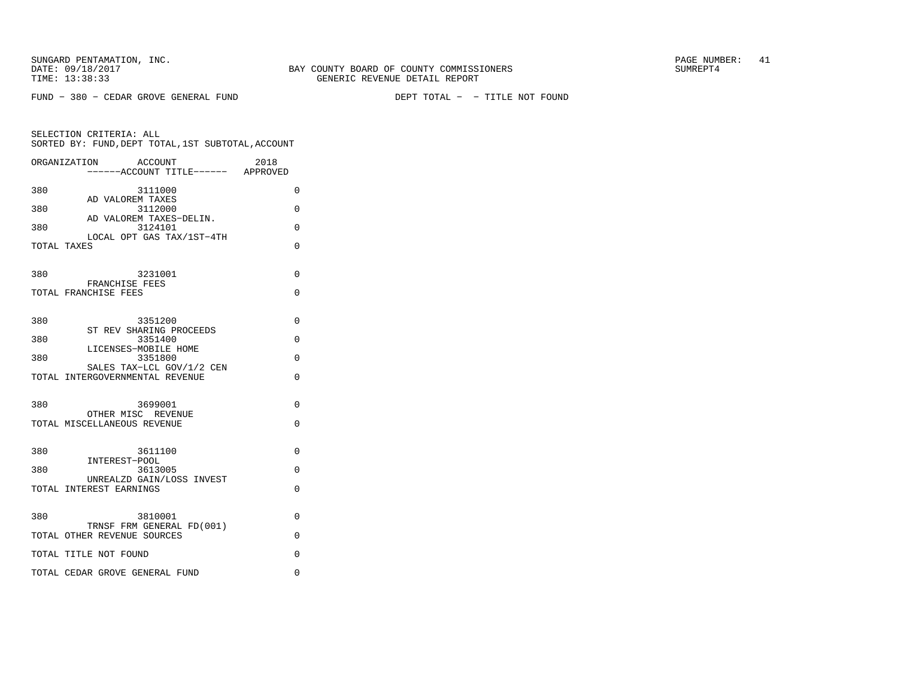|     | ORGANIZATION<br>ACCOUNT<br>-----ACCOUNT TITLE------ APPROVED | 2018     |
|-----|--------------------------------------------------------------|----------|
| 380 | 3111000                                                      | 0        |
| 380 | AD VALOREM TAXES<br>3112000                                  | 0        |
| 380 | AD VALOREM TAXES-DELIN.<br>3124101                           | 0        |
|     | LOCAL OPT GAS TAX/1ST-4TH<br>TOTAL TAXES                     | 0        |
|     |                                                              |          |
| 380 | 3231001<br>FRANCHISE FEES                                    | 0        |
|     | TOTAL FRANCHISE FEES                                         | 0        |
| 380 | 3351200                                                      | 0        |
| 380 | ST REV SHARING PROCEEDS<br>3351400                           | $\Omega$ |
| 380 | LICENSES-MOBILE HOME<br>3351800                              | 0        |
|     | SALES TAX-LCL GOV/1/2 CEN<br>TOTAL INTERGOVERNMENTAL REVENUE | 0        |
|     |                                                              |          |
| 380 | 3699001<br>OTHER MISC REVENUE                                | $\Omega$ |
|     | TOTAL MISCELLANEOUS REVENUE                                  | $\Omega$ |
| 380 | 3611100                                                      | $\Omega$ |
|     | INTEREST-POOL                                                |          |
| 380 | 3613005<br>UNREALZD GAIN/LOSS INVEST                         | 0        |
|     | TOTAL INTEREST EARNINGS                                      | 0        |
| 380 | 3810001                                                      | $\Omega$ |
|     | TRNSF FRM GENERAL FD(001)<br>TOTAL OTHER REVENUE SOURCES     | 0        |
|     | TOTAL TITLE NOT FOUND                                        | 0        |
|     | TOTAL CEDAR GROVE GENERAL FUND                               | 0        |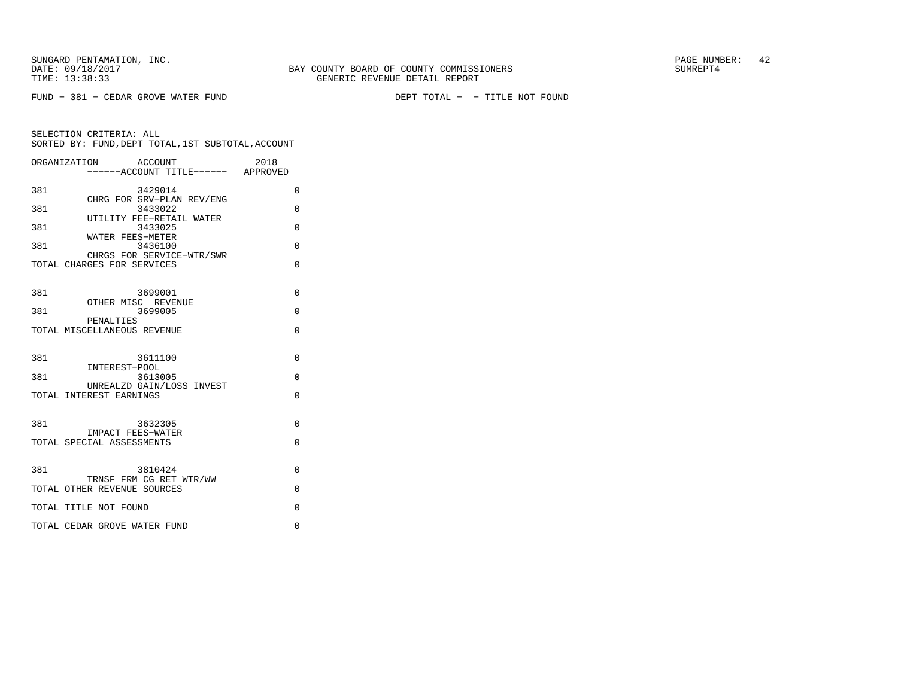FUND − 381 − CEDAR GROVE WATER FUND DEPT TOTAL − − TITLE NOT FOUND

| ORGANIZATION                 | ACCOUNT<br>------ACCOUNT TITLE------ APPROVED | 2018     |
|------------------------------|-----------------------------------------------|----------|
| 381                          | 3429014                                       | 0        |
| 381                          | CHRG FOR SRV-PLAN REV/ENG<br>3433022          | 0        |
| 381                          | UTILITY FEE-RETAIL WATER<br>3433025           | 0        |
| 381                          | WATER FEES-METER<br>3436100                   | $\Omega$ |
| TOTAL CHARGES FOR SERVICES   | CHRGS FOR SERVICE-WTR/SWR                     | $\Omega$ |
| 381                          | 3699001<br>OTHER MISC REVENUE                 | $\Omega$ |
| 381<br>PENALTIES             | 3699005                                       | $\Omega$ |
| TOTAL MISCELLANEOUS REVENUE  |                                               | $\Omega$ |
| 381<br>INTEREST-POOL         | 3611100                                       | $\Omega$ |
| 381                          | 3613005                                       | $\Omega$ |
| TOTAL INTEREST EARNINGS      | UNREALZD GAIN/LOSS INVEST                     | $\Omega$ |
| 381                          | 3632305                                       | $\Omega$ |
| TOTAL SPECIAL ASSESSMENTS    | IMPACT FEES-WATER                             | $\Omega$ |
| 381                          | 3810424                                       | $\Omega$ |
| TOTAL OTHER REVENUE SOURCES  | TRNSF FRM CG RET WTR/WW                       | $\Omega$ |
| TOTAL TITLE NOT FOUND        |                                               | $\Omega$ |
| TOTAL CEDAR GROVE WATER FUND |                                               | $\Omega$ |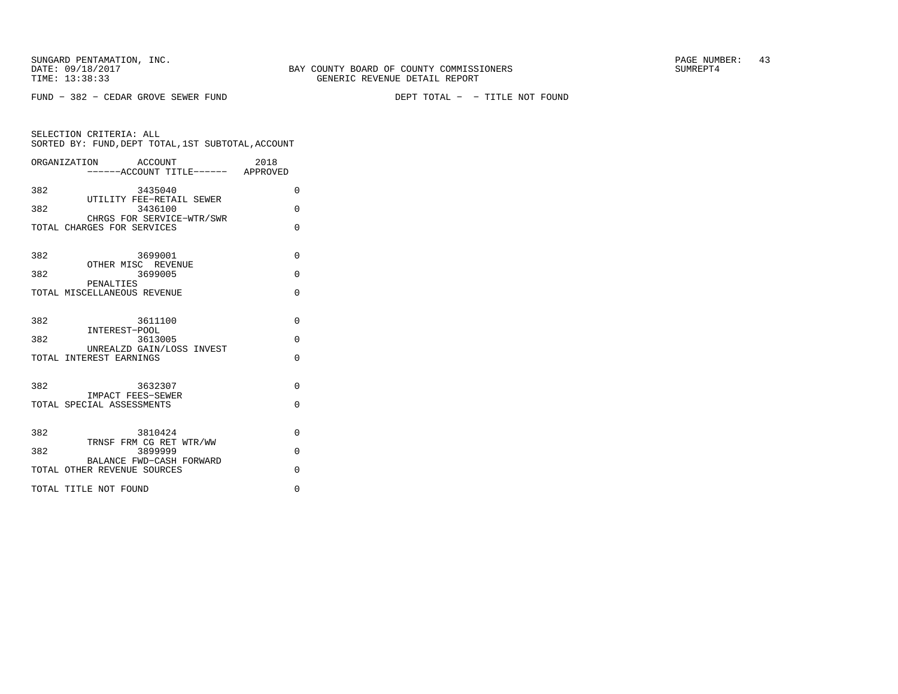FUND − 382 − CEDAR GROVE SEWER FUND DEPT TOTAL − − TITLE NOT FOUND

|     | ORGANIZATION ACCOUNT<br>-----ACCOUNT TITLE------ APPROVED | 2018     |
|-----|-----------------------------------------------------------|----------|
| 382 | 3435040                                                   | $\Omega$ |
| 382 | UTILITY FEE-RETAIL SEWER<br>3436100                       | $\Omega$ |
|     | CHRGS FOR SERVICE-WTR/SWR<br>TOTAL CHARGES FOR SERVICES   | $\Omega$ |
| 382 | 3699001                                                   | $\Omega$ |
| 382 | OTHER MISC REVENUE<br>3699005                             | $\Omega$ |
|     | PENALTIES<br>TOTAL MISCELLANEOUS REVENUE                  | $\Omega$ |
| 382 | 3611100                                                   | $\Omega$ |
| 382 | INTEREST-POOL<br>3613005                                  | $\Omega$ |
|     | UNREALZD GAIN/LOSS INVEST<br>TOTAL INTEREST EARNINGS      | $\Omega$ |
| 382 | 3632307                                                   | $\Omega$ |
|     | IMPACT FEES-SEWER<br>TOTAL SPECIAL ASSESSMENTS            | $\Omega$ |
| 382 | 3810424                                                   | $\Omega$ |
| 382 | TRNSF FRM CG RET WTR/WW<br>3899999                        | $\Omega$ |
|     | BALANCE FWD-CASH FORWARD<br>TOTAL OTHER REVENUE SOURCES   | $\Omega$ |
|     | TOTAL TITLE NOT FOUND                                     | $\Omega$ |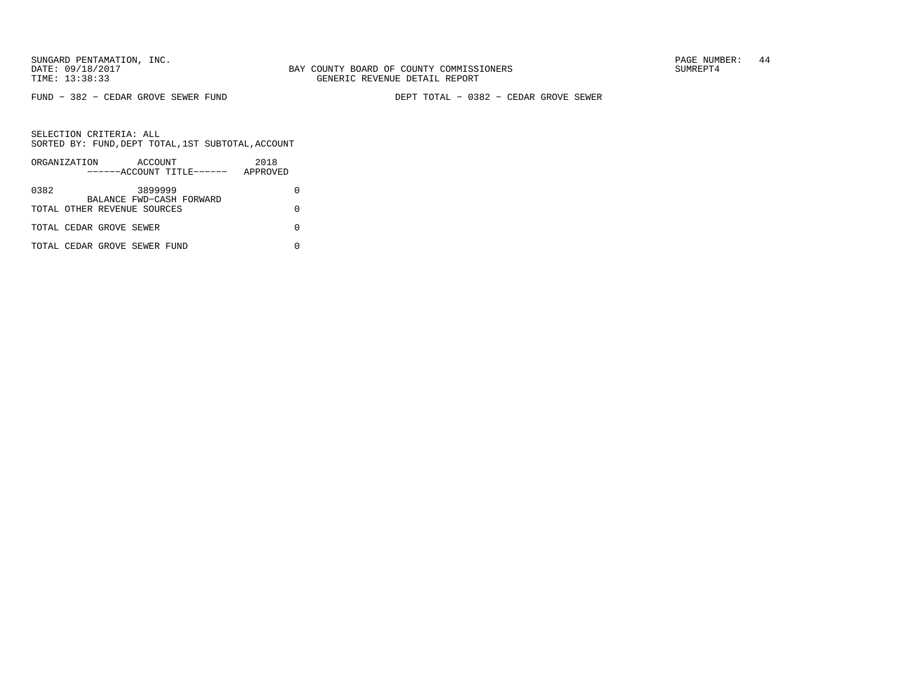SUNGARD PENTAMATION, INC.<br>
BAY COUNTY BOARD OF COUNTY COMMISSIONERS AND SUNREPT4 SUMREPT4

FUND − 382 − CEDAR GROVE SEWER FUND DEPT TOTAL − 0382 − CEDAR GROVE SEWER

|      | ORGANIZATION |                              | ACCOUNT | ------ACCOUNT TITLE------ | 2018<br>APPROVED |  |
|------|--------------|------------------------------|---------|---------------------------|------------------|--|
| 0382 |              |                              | 3899999 | BALANCE FWD-CASH FORWARD  |                  |  |
|      |              | TOTAL OTHER REVENUE SOURCES  |         |                           |                  |  |
|      |              | TOTAL CEDAR GROVE SEWER      |         |                           |                  |  |
|      |              | TOTAL CEDAR GROVE SEWER FUND |         |                           |                  |  |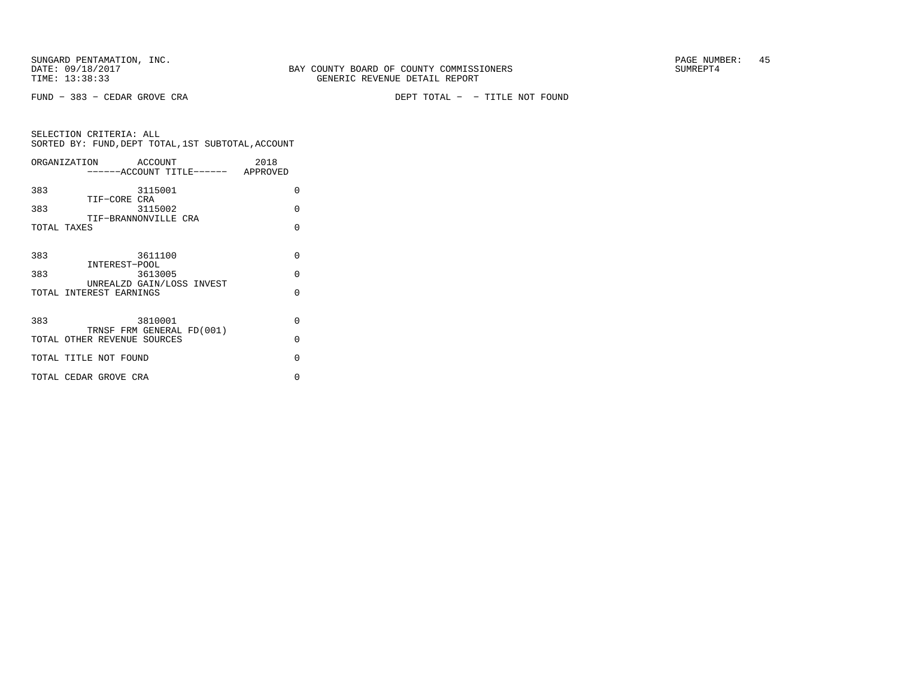FUND − 383 − CEDAR GROVE CRA DEPT TOTAL − − TITLE NOT FOUND

| ORGANIZATION                        | ACCOUNT |                                    | 2018 |          |
|-------------------------------------|---------|------------------------------------|------|----------|
|                                     |         | ------ACCOUNT TITLE------ APPROVED |      |          |
| 383                                 | 3115001 |                                    |      | $\Omega$ |
| TIF-CORE CRA<br>383                 | 3115002 |                                    |      | $\Omega$ |
| TIF-BRANNONVILLE CRA<br>TOTAL TAXES |         |                                    |      | $\Omega$ |
|                                     |         |                                    |      |          |
| 383                                 | 3611100 |                                    |      | $\Omega$ |
| INTEREST-POOL<br>383                | 3613005 |                                    |      | $\Omega$ |
| TOTAL INTEREST EARNINGS             |         | UNREALZD GAIN/LOSS INVEST          |      | $\Omega$ |
|                                     |         |                                    |      |          |
| 383                                 | 3810001 | TRNSF FRM GENERAL FD(001)          |      | $\Omega$ |
| TOTAL OTHER REVENUE SOURCES         |         |                                    |      | $\Omega$ |
| TOTAL TITLE NOT FOUND               |         |                                    |      | $\Omega$ |
| TOTAL CEDAR GROVE CRA               |         |                                    |      | O        |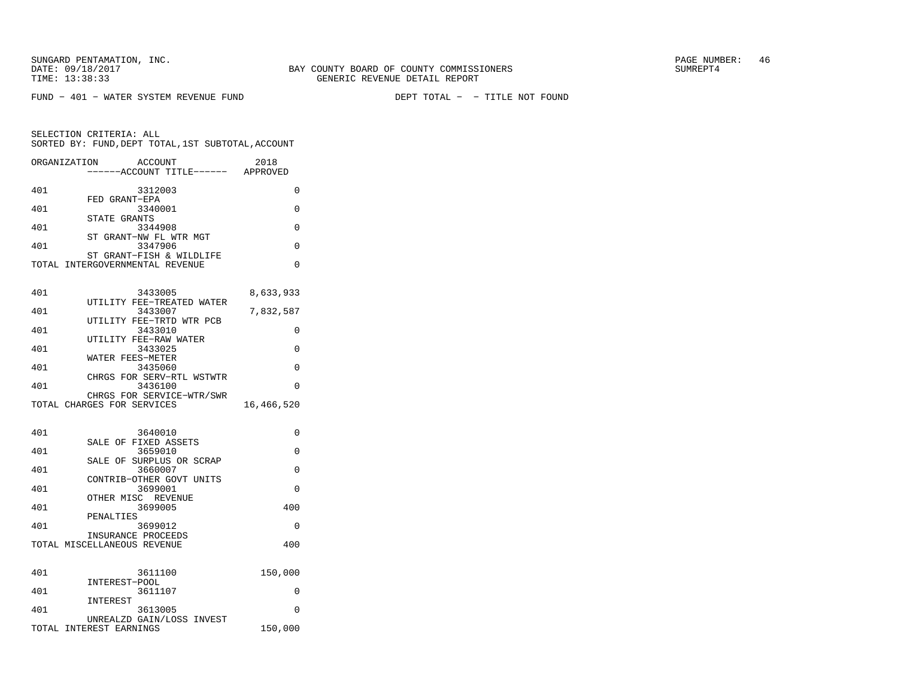| ORGANIZATION | <b>ACCOUNT</b><br>---ACCOUNT TITLE------ APPROVED           | 2018       |
|--------------|-------------------------------------------------------------|------------|
| 401          | 3312003                                                     | 0          |
| 401          | FED GRANT-EPA<br>3340001                                    | 0          |
| 401          | STATE GRANTS<br>3344908                                     | 0          |
| 401          | ST<br>GRANT-NW FL WTR MGT<br>3347906                        | $\Omega$   |
|              | ST GRANT-FISH & WILDLIFE<br>TOTAL INTERGOVERNMENTAL REVENUE | 0          |
| 401          | 3433005                                                     | 8,633,933  |
| 401          | UTILITY FEE-TREATED WATER<br>3433007                        | 7,832,587  |
| 401          | UTILITY FEE-TRTD WTR PCB<br>3433010                         | 0          |
| 401          | UTILITY FEE-RAW WATER<br>3433025                            | 0          |
| 401          | WATER FEES-METER<br>3435060                                 | 0          |
| 401          | CHRGS FOR SERV-RTL WSTWTR<br>3436100                        | $\Omega$   |
|              | CHRGS FOR SERVICE-WTR/SWR<br>TOTAL CHARGES FOR SERVICES     | 16,466,520 |
|              |                                                             |            |
| 401          | 3640010<br>SALE OF FIXED ASSETS                             | 0          |
| 401          | 3659010<br>SALE OF SURPLUS OR SCRAP                         | 0          |
| 401          | 3660007<br>CONTRIB-OTHER GOVT UNITS                         | 0          |
| 401          | 3699001<br>OTHER MISC REVENUE                               | $\Omega$   |
| 401          | 3699005                                                     | 400        |
| 401          | PENALTIES<br>3699012                                        | $\Omega$   |
|              | INSURANCE PROCEEDS<br>TOTAL MISCELLANEOUS REVENUE           | 400        |
| 401          | 3611100                                                     | 150,000    |
| 401          | INTEREST-POOL<br>3611107                                    | 0          |
| 401          | INTEREST<br>3613005                                         | 0          |
|              | UNREALZD GAIN/LOSS INVEST<br>TOTAL INTEREST EARNINGS        | 150,000    |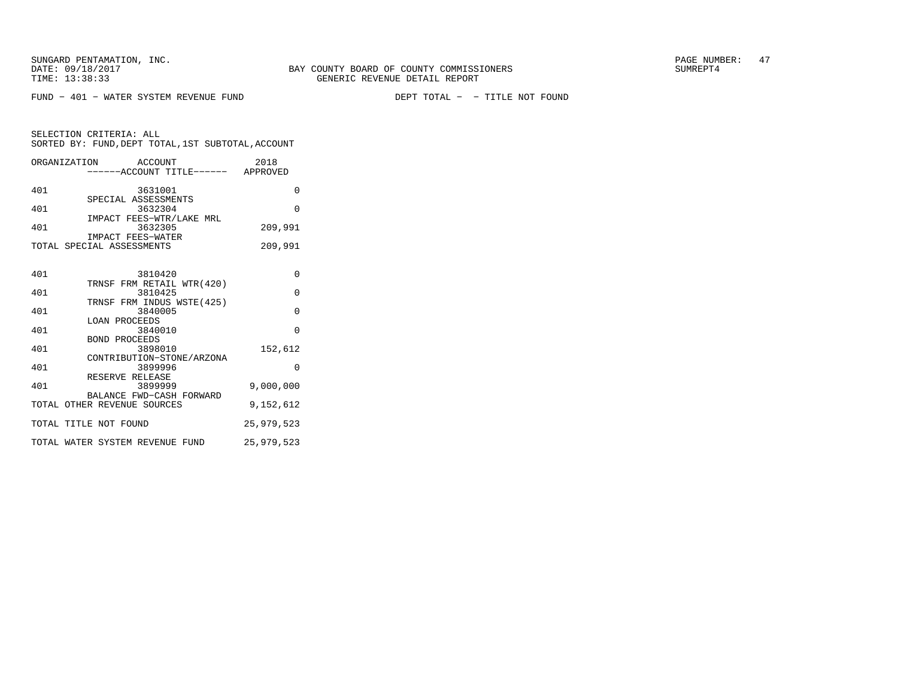FUND − 401 − WATER SYSTEM REVENUE FUND DEPT TOTAL − − TITLE NOT FOUND

SELECTION CRITERIA: ALLSORTED BY: FUND,DEPT TOTAL,1ST SUBTOTAL,ACCOUNT

LOAN PROCEEDS

BOND PROCEEDS

RESERVE RELEASE

| ORGANIZATION | ACCOUNT<br>-----ACCOUNT TITLE------            | 2018<br>APPROVED |
|--------------|------------------------------------------------|------------------|
| 401          | 3631001                                        | 0                |
| 401          | SPECIAL ASSESSMENTS<br>3632304                 | $\Omega$         |
| 401          | IMPACT FEES-WTR/LAKE MRL<br>3632305            | 209,991          |
|              | IMPACT FEES-WATER<br>TOTAL SPECIAL ASSESSMENTS | 209,991          |
|              |                                                |                  |
| 401          | 3810420<br>TRNSF FRM RETAIL WTR(420)           | $\Omega$         |
| 401          | 3810425                                        | $\Omega$         |
| 401          | TRNSF FRM INDUS WSTE(425)<br>3840005           | 0                |

401 3840010 0

 401 3898010 152,612 CONTRIBUTION−STONE/ARZONA401 3899996 0

3899999 401 3899999 9,000,000 BALANCE FWD−CASH FORWARDTOTAL OTHER REVENUE SOURCES 9,152,612 TOTAL TITLE NOT FOUND 25,979,523 TOTAL WATER SYSTEM REVENUE FUND 25,979,523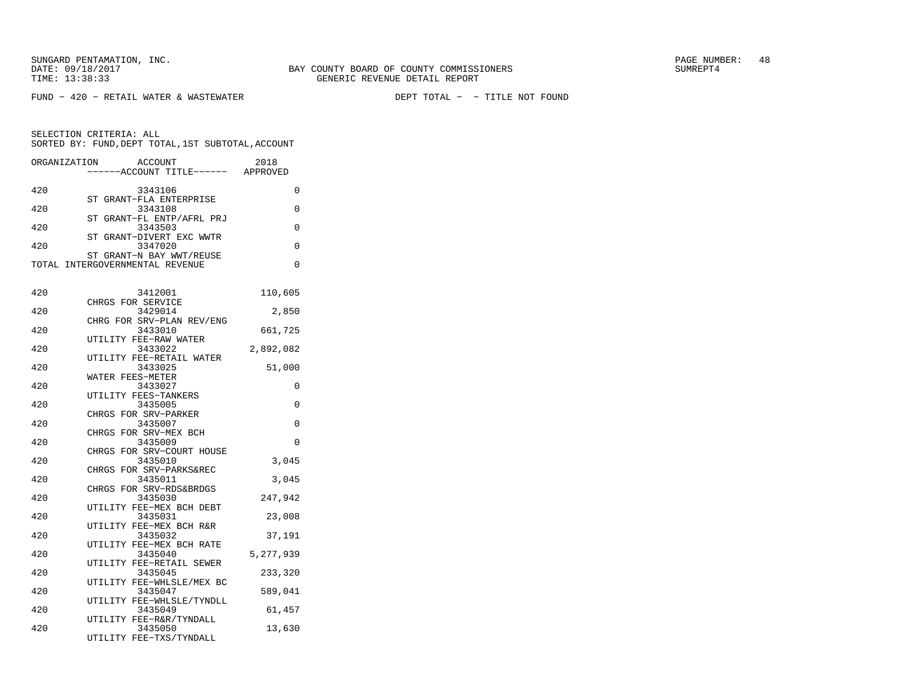FUND − 420 − RETAIL WATER & WASTEWATER DEPT TOTAL − − TITLE NOT FOUND

| ORGANIZATION |                  | ACCOUNT                              | 2018      |
|--------------|------------------|--------------------------------------|-----------|
|              |                  | ---ACCOUNT TITLE------ APPROVED      |           |
| 420          |                  | 3343106                              | 0         |
|              |                  | ST GRANT-FLA ENTERPRISE              |           |
| 420          |                  | 3343108                              | 0         |
|              |                  | ST GRANT-FL ENTP/AFRL PRJ            |           |
| 420          |                  | 3343503                              | 0         |
| 420          |                  | ST GRANT-DIVERT EXC WWTR<br>3347020  | 0         |
|              |                  | ST GRANT-N BAY WWT/REUSE             |           |
|              |                  | TOTAL INTERGOVERNMENTAL REVENUE      | $\Omega$  |
|              |                  |                                      |           |
|              |                  |                                      |           |
| 420          |                  | 3412001<br>CHRGS FOR SERVICE         | 110,605   |
| 420          |                  | 3429014                              | 2,850     |
|              |                  | CHRG FOR SRV-PLAN REV/ENG            |           |
| 420          |                  | 3433010                              | 661,725   |
|              |                  | UTILITY FEE-RAW WATER                |           |
| 420          |                  | 3433022                              | 2,892,082 |
|              |                  | UTILITY FEE-RETAIL WATER             |           |
| 420          | WATER FEES-METER | 3433025                              | 51,000    |
| 420          |                  | 3433027                              | 0         |
|              |                  | UTILITY FEES-TANKERS                 |           |
| 420          |                  | 3435005                              | 0         |
|              |                  | CHRGS FOR SRV-PARKER                 |           |
| 420          |                  | 3435007                              | 0         |
|              |                  | CHRGS FOR SRV-MEX BCH                |           |
| 420          |                  | 3435009<br>CHRGS FOR SRV-COURT HOUSE | $\Omega$  |
| 420          |                  | 3435010                              | 3,045     |
|              |                  | CHRGS FOR SRV-PARKS&REC              |           |
| 420          |                  | 3435011                              | 3,045     |
|              |                  | CHRGS FOR SRV-RDS&BRDGS              |           |
| 420          |                  | 3435030                              | 247,942   |
| 420          |                  | UTILITY FEE-MEX BCH DEBT<br>3435031  | 23,008    |
|              |                  | UTILITY FEE-MEX BCH R&R              |           |
| 420          |                  | 3435032                              | 37,191    |
|              |                  | UTILITY FEE-MEX BCH RATE             |           |
| 420          |                  | 3435040                              | 5,277,939 |
|              |                  | UTILITY FEE-RETAIL SEWER             |           |
| 420          |                  | 3435045                              | 233,320   |
| 420          |                  | UTILITY FEE-WHLSLE/MEX BC<br>3435047 | 589,041   |
|              |                  | UTILITY FEE-WHLSLE/TYNDLL            |           |
| 420          |                  | 3435049                              | 61,457    |
|              |                  | UTILITY FEE-R&R/TYNDALL              |           |
| 420          |                  | 3435050                              | 13,630    |
|              |                  | UTILITY FEE-TXS/TYNDALL              |           |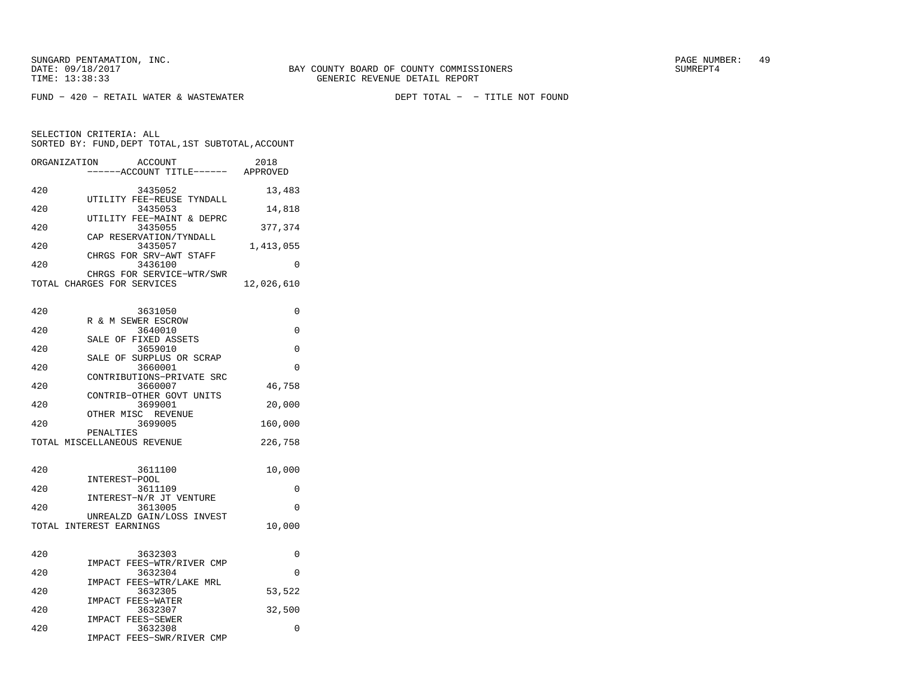FUND − 420 − RETAIL WATER & WASTEWATER DEPT TOTAL − − TITLE NOT FOUND

| ORGANIZATION               |               | ACCOUNT<br>----ACCOUNT TITLE------ APPROVED | 2018       |
|----------------------------|---------------|---------------------------------------------|------------|
| 420                        |               | 3435052                                     | 13,483     |
| 420                        |               | UTILITY FEE-REUSE TYNDALL<br>3435053        | 14,818     |
| 420                        |               | UTILITY FEE-MAINT & DEPRC<br>3435055        | 377,374    |
| 420                        |               | CAP RESERVATION/TYNDALL<br>3435057          | 1,413,055  |
| 420                        |               | CHRGS FOR SRV-AWT STAFF<br>3436100          | 0          |
| TOTAL CHARGES FOR SERVICES |               | CHRGS FOR SERVICE-WTR/SWR                   | 12,026,610 |
| 420                        |               | 3631050<br>R & M SEWER ESCROW               | 0          |
| 420                        |               | 3640010                                     | 0          |
| 420                        |               | SALE OF FIXED ASSETS<br>3659010             | 0          |
| 420                        | SALE OF       | SURPLUS OR SCRAP<br>3660001                 | 0          |
| 420                        |               | CONTRIBUTIONS-PRIVATE SRC<br>3660007        | 46,758     |
| 420                        |               | CONTRIB-OTHER GOVT UNITS<br>3699001         | 20,000     |
| 420                        |               | OTHER MISC REVENUE<br>3699005               | 160,000    |
|                            | PENALTIES     | TOTAL MISCELLANEOUS REVENUE                 | 226,758    |
| 420                        | INTEREST-POOL | 3611100                                     | 10,000     |
| 420                        |               | 3611109                                     | 0          |
| 420                        |               | INTEREST-N/R JT VENTURE<br>3613005          | 0          |
| TOTAL INTEREST EARNINGS    |               | UNREALZD GAIN/LOSS INVEST                   | 10,000     |
| 420                        |               | 3632303                                     | 0          |
| 420                        |               | IMPACT FEES-WTR/RIVER CMP<br>3632304        | 0          |
| 420                        | IMPACT        | FEES-WTR/LAKE MRL<br>3632305                | 53,522     |
| 420                        |               | IMPACT FEES-WATER<br>3632307                | 32,500     |
| 420                        |               | IMPACT FEES-SEWER<br>3632308                | 0          |
|                            | IMPACT        | FEES-SWR/RIVER CMP                          |            |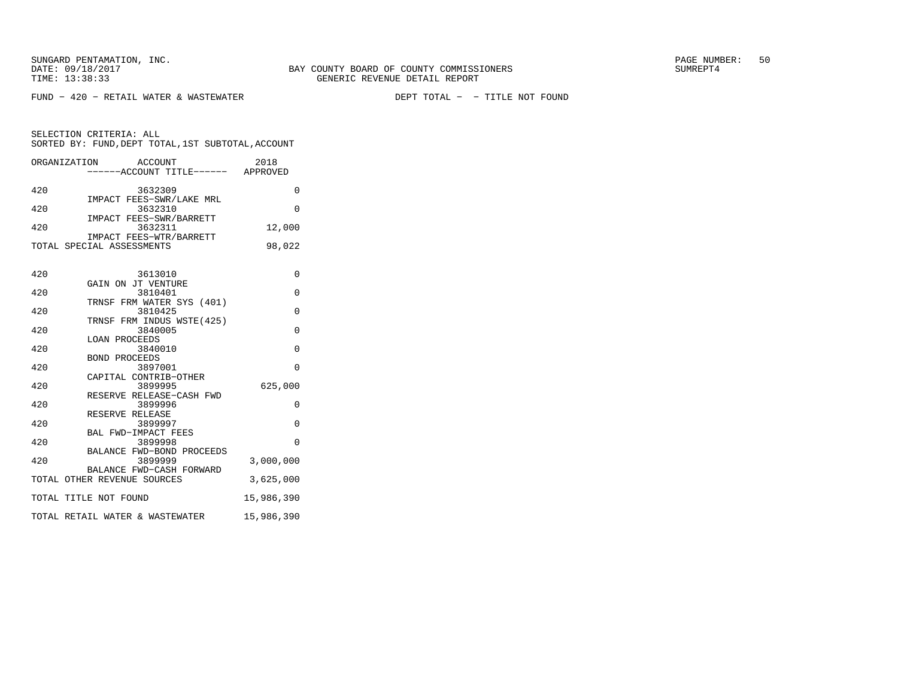FUND − 420 − RETAIL WATER & WASTEWATER DEPT TOTAL − − TITLE NOT FOUND

| ORGANIZATION ACCOUNT<br>------ACCOUNT TITLE------ APPROVED | 2018           |
|------------------------------------------------------------|----------------|
| 420<br>3632309                                             | $\Omega$       |
| IMPACT FEES-SWR/LAKE MRL<br>420<br>3632310                 | $\Omega$       |
| IMPACT FEES-SWR/BARRETT<br>420<br>3632311                  | 12,000         |
| IMPACT FEES-WTR/BARRETT<br>TOTAL SPECIAL ASSESSMENTS       | 98,022         |
| 420<br>3613010                                             | $\Omega$       |
| GAIN ON JT VENTURE<br>420<br>3810401                       | 0              |
| TRNSF FRM WATER SYS (401)<br>420<br>3810425                | $\Omega$       |
| TRNSF FRM INDUS WSTE(425)<br>420<br>3840005                | $\overline{0}$ |
| <b>LOAN PROCEEDS</b><br>420<br>3840010                     | $\mathbf 0$    |
| <b>BOND PROCEEDS</b><br>420                                | $\Omega$       |
| 3897001<br>CAPITAL CONTRIB-OTHER                           |                |
| 420<br>3899995<br>RESERVE RELEASE-CASH FWD                 | 625,000        |
| 420<br>3899996<br>RESERVE RELEASE                          | 0              |
| 420<br>3899997<br>BAL FWD-IMPACT FEES                      | $\overline{0}$ |
| 420<br>3899998<br>BALANCE FWD-BOND PROCEEDS                | $\Omega$       |
| 420<br>3899999<br>BALANCE FWD-CASH FORWARD                 | 3,000,000      |
| TOTAL OTHER REVENUE SOURCES                                | 3,625,000      |
| TOTAL TITLE NOT FOUND                                      | 15,986,390     |
| TOTAL RETAIL WATER & WASTEWATER                            | 15,986,390     |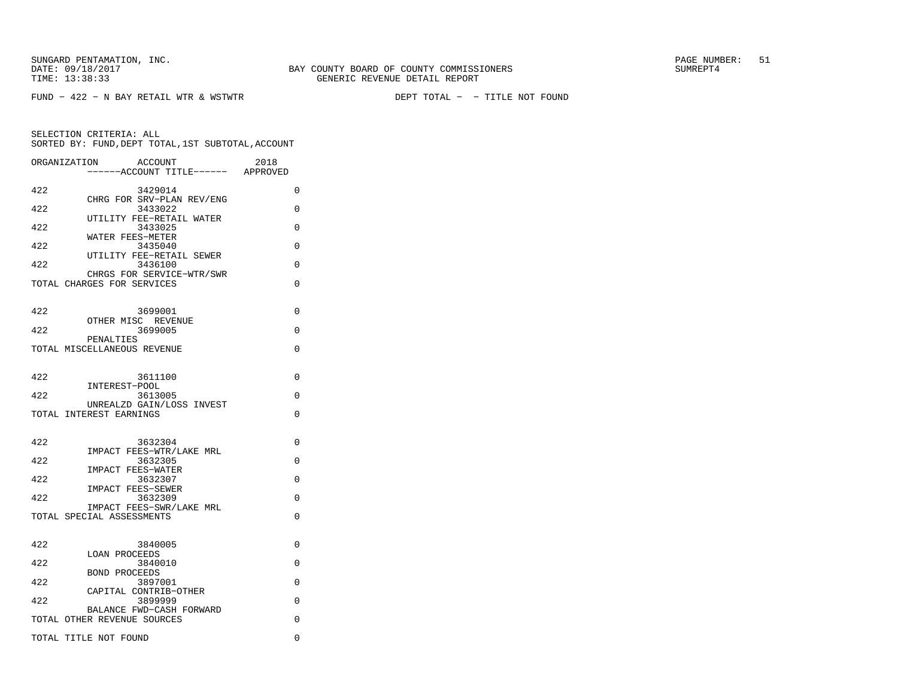FUND − 422 − N BAY RETAIL WTR & WSTWTR DEPT TOTAL − − TITLE NOT FOUND

|     | ORGANIZATION<br>ACCOUNT<br>----ACCOUNT TITLE------ APPROVED | 2018     |
|-----|-------------------------------------------------------------|----------|
| 422 | 3429014                                                     | 0        |
| 422 | CHRG FOR SRV-PLAN REV/ENG<br>3433022                        | $\Omega$ |
| 422 | UTILITY FEE-RETAIL WATER<br>3433025                         | 0        |
| 422 | WATER FEES-METER<br>3435040                                 | 0        |
| 422 | UTILITY FEE-RETAIL SEWER<br>3436100                         | 0        |
|     | CHRGS FOR SERVICE-WTR/SWR<br>TOTAL CHARGES FOR SERVICES     | 0        |
|     |                                                             |          |
| 422 | 3699001<br>OTHER MISC REVENUE                               | $\Omega$ |
| 422 | 3699005                                                     | 0        |
|     | PENALTIES<br>TOTAL MISCELLANEOUS REVENUE                    | 0        |
|     |                                                             |          |
| 422 | 3611100<br>INTEREST-POOL                                    | $\Omega$ |
| 422 | 3613005<br>UNREALZD GAIN/LOSS INVEST                        | 0        |
|     | TOTAL INTEREST EARNINGS                                     | $\Omega$ |
| 422 | 3632304                                                     | $\Omega$ |
| 422 | IMPACT FEES-WTR/LAKE MRL<br>3632305                         | $\Omega$ |
| 422 | <b>IMPACT FEES-WATER</b><br>3632307                         | $\Omega$ |
| 422 | IMPACT FEES-SEWER<br>3632309                                | $\Omega$ |
|     | IMPACT FEES-SWR/LAKE MRL<br>TOTAL SPECIAL ASSESSMENTS       | $\Omega$ |
|     |                                                             |          |
| 422 | 3840005<br><b>LOAN PROCEEDS</b>                             | $\Omega$ |
| 422 | 3840010<br><b>BOND PROCEEDS</b>                             | $\Omega$ |
| 422 | 3897001<br>CAPITAL CONTRIB-OTHER                            | $\Omega$ |
| 422 | 3899999                                                     | 0        |
|     | BALANCE FWD-CASH FORWARD<br>TOTAL OTHER REVENUE SOURCES     | 0        |
|     | TOTAL TITLE NOT FOUND                                       | 0        |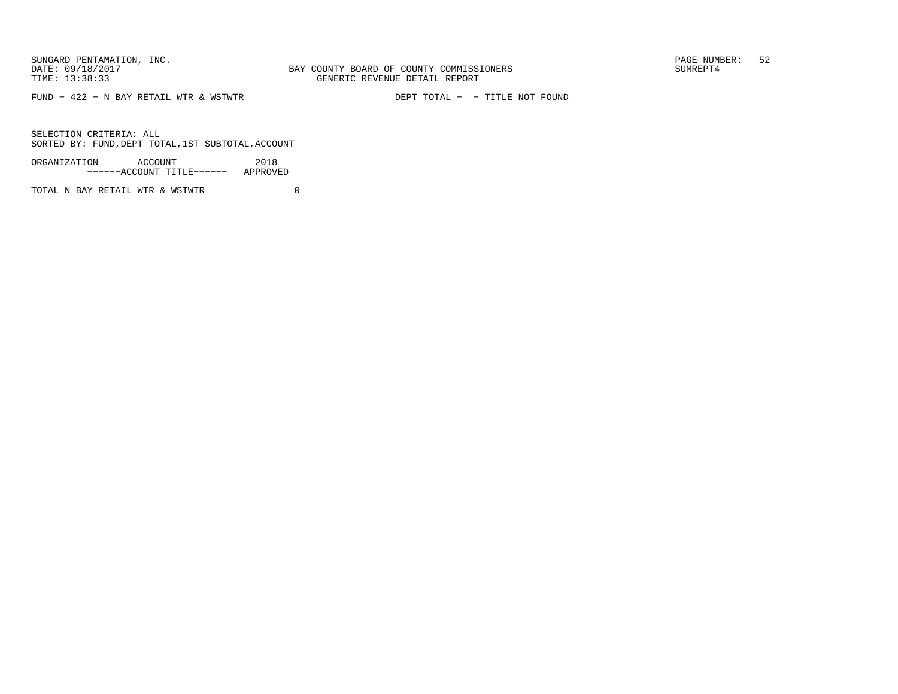FUND − 422 − N BAY RETAIL WTR & WSTWTR DEPT TOTAL − − TITLE NOT FOUND

SELECTION CRITERIA: ALLSORTED BY: FUND,DEPT TOTAL,1ST SUBTOTAL,ACCOUNT

ORGANIZATION ACCOUNT 2018−−−−−−ACCOUNT TITLE−−−−−− APPROVED

TOTAL N BAY RETAIL WTR & WSTWTR  $0$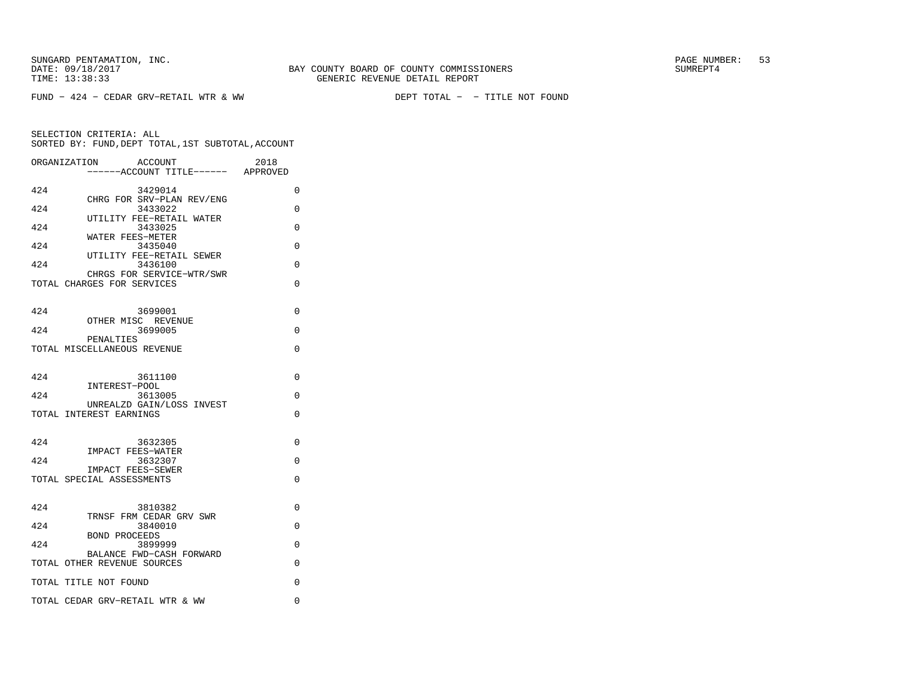FUND − 424 − CEDAR GRV−RETAIL WTR & WW DEPT TOTAL − − TITLE NOT FOUND

|     | ORGANIZATION<br>ACCOUNT<br>------ACCOUNT TITLE------ APPROVED | 2018     |
|-----|---------------------------------------------------------------|----------|
| 424 | 3429014                                                       | $\Omega$ |
| 424 | CHRG FOR SRV-PLAN REV/ENG<br>3433022                          | 0        |
| 424 | UTILITY FEE-RETAIL WATER<br>3433025                           | $\Omega$ |
| 424 | WATER FEES-METER<br>3435040                                   | $\Omega$ |
| 424 | UTILITY FEE-RETAIL SEWER<br>3436100                           | $\Omega$ |
|     | CHRGS FOR SERVICE-WTR/SWR                                     | $\Omega$ |
|     | TOTAL CHARGES FOR SERVICES                                    |          |
| 424 | 3699001                                                       | 0        |
| 424 | OTHER MISC REVENUE<br>3699005                                 | 0        |
|     | PENALTIES<br>TOTAL MISCELLANEOUS REVENUE                      | $\Omega$ |
|     |                                                               |          |
| 424 | 3611100                                                       | 0        |
| 424 | INTEREST-POOL<br>3613005                                      | $\Omega$ |
|     | UNREALZD GAIN/LOSS INVEST<br>TOTAL INTEREST EARNINGS          | $\Omega$ |
|     |                                                               |          |
| 424 | 3632305<br>IMPACT FEES-WATER                                  | $\Omega$ |
| 424 | 3632307<br><b>IMPACT FEES-SEWER</b>                           | $\Omega$ |
|     | TOTAL SPECIAL ASSESSMENTS                                     | $\Omega$ |
|     |                                                               |          |
| 424 | 3810382<br>TRNSF FRM CEDAR GRV SWR                            | 0        |
| 424 | 3840010<br><b>BOND PROCEEDS</b>                               | $\Omega$ |
| 424 | 3899999<br>BALANCE FWD-CASH FORWARD                           | $\Omega$ |
|     | TOTAL OTHER REVENUE SOURCES                                   | $\Omega$ |
|     | TOTAL TITLE NOT FOUND                                         | $\Omega$ |
|     | TOTAL CEDAR GRV-RETAIL WTR & WW                               | 0        |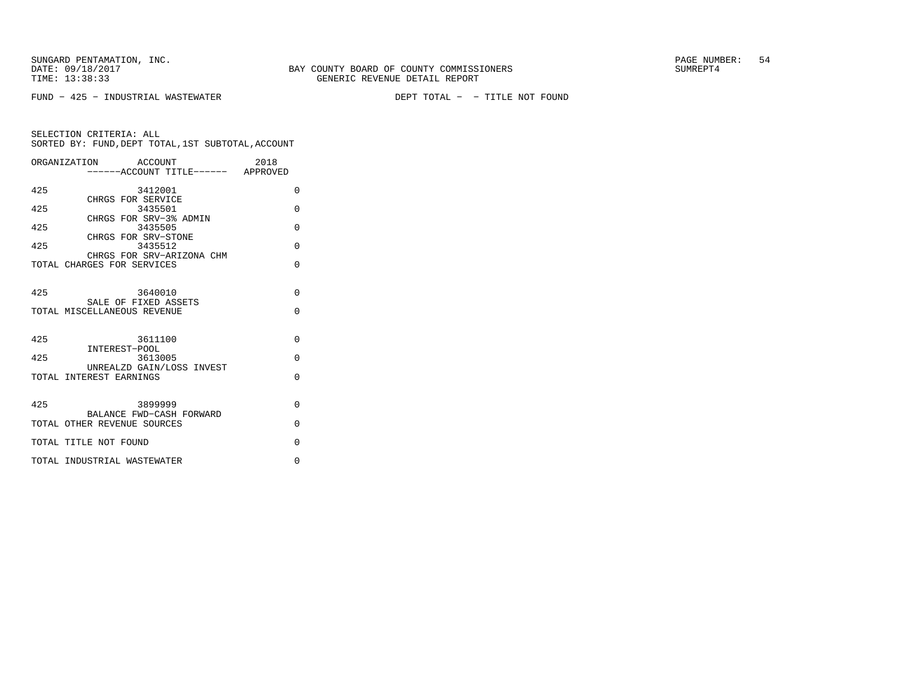FUND − 425 − INDUSTRIAL WASTEWATER DEPT TOTAL − − TITLE NOT FOUND

|     | ORGANIZATION ACCOUNT                                    | 2018     |
|-----|---------------------------------------------------------|----------|
|     | -----ACCOUNT TITLE------ APPROVED                       |          |
| 425 | 3412001                                                 | $\Omega$ |
| 425 | CHRGS FOR SERVICE<br>3435501                            | $\Omega$ |
|     | CHRGS FOR SRV-3% ADMIN                                  |          |
| 425 | 3435505<br>CHRGS FOR SRV-STONE                          | $\Omega$ |
| 425 | 3435512                                                 | $\Omega$ |
|     | CHRGS FOR SRV-ARIZONA CHM                               |          |
|     | TOTAL CHARGES FOR SERVICES                              | $\Omega$ |
|     |                                                         |          |
| 425 | 3640010<br>SALE OF FIXED ASSETS                         | $\Omega$ |
|     | TOTAL MISCELLANEOUS REVENUE                             | $\Omega$ |
|     |                                                         |          |
| 425 | 3611100                                                 | $\Omega$ |
| 425 | INTEREST-POOL<br>3613005                                | $\Omega$ |
|     | UNREALZD GAIN/LOSS INVEST                               |          |
|     | TOTAL INTEREST EARNINGS                                 | $\Omega$ |
|     |                                                         |          |
| 425 | 3899999                                                 | $\Omega$ |
|     | BALANCE FWD-CASH FORWARD<br>TOTAL OTHER REVENUE SOURCES | $\Omega$ |
|     |                                                         |          |
|     | TOTAL TITLE NOT FOUND                                   | $\Omega$ |
|     | TOTAL INDUSTRIAL WASTEWATER                             | $\Omega$ |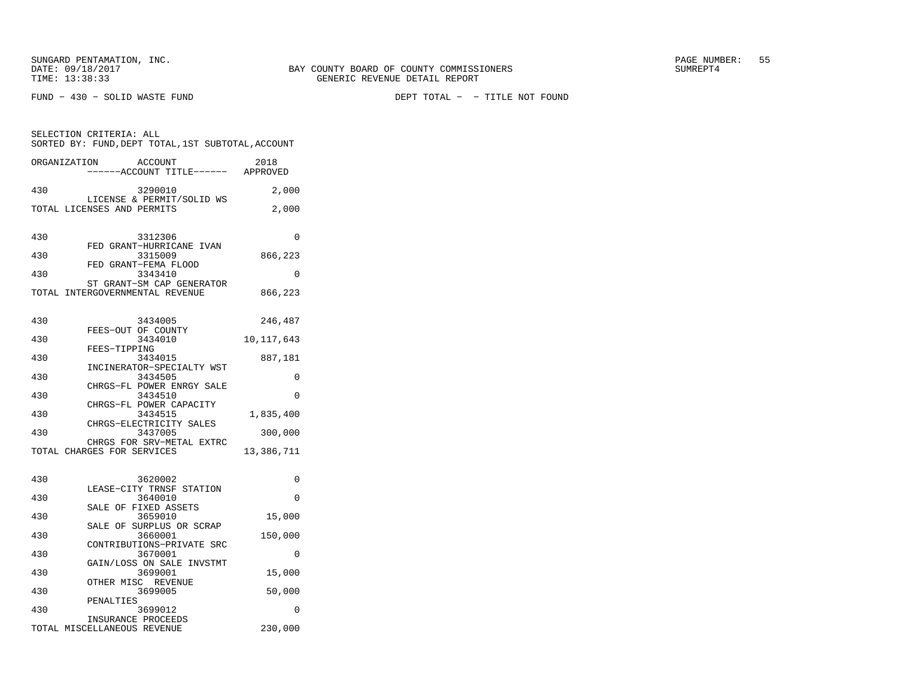FUND − 430 − SOLID WASTE FUND DEPT TOTAL − − TITLE NOT FOUND

| SELECTION CRITERIA: ALL<br>SORTED BY: FUND, DEPT TOTAL, 1ST SUBTOTAL, ACCOUNT |                                                              |              |  |  |
|-------------------------------------------------------------------------------|--------------------------------------------------------------|--------------|--|--|
| ORGANIZATION                                                                  | ACCOUNT<br>----ACCOUNT TITLE------ APPROVED                  | 2018         |  |  |
| 430                                                                           | 3290010                                                      | 2,000        |  |  |
|                                                                               | LICENSE & PERMIT/SOLID WS<br>TOTAL LICENSES AND PERMITS      | 2,000        |  |  |
| 430                                                                           | 3312306                                                      | 0            |  |  |
| 430                                                                           | FED GRANT-HURRICANE IVAN<br>3315009                          | 866,223      |  |  |
| 430                                                                           | FED GRANT-FEMA FLOOD<br>3343410                              | $\Omega$     |  |  |
|                                                                               | ST GRANT-SM CAP GENERATOR<br>TOTAL INTERGOVERNMENTAL REVENUE | 866,223      |  |  |
| 430                                                                           | 3434005                                                      | 246,487      |  |  |
| 430                                                                           | FEES-OUT OF COUNTY<br>3434010                                | 10, 117, 643 |  |  |
| 430                                                                           | FEES-TIPPING<br>3434015                                      | 887,181      |  |  |
| 430                                                                           | INCINERATOR-SPECIALTY WST<br>3434505                         | $\Omega$     |  |  |
| 430                                                                           | CHRGS-FL POWER ENRGY SALE<br>3434510                         | $\Omega$     |  |  |
| 430                                                                           | CHRGS-FL POWER CAPACITY<br>3434515                           | 1,835,400    |  |  |
| 430                                                                           | CHRGS-ELECTRICITY SALES<br>3437005                           | 300,000      |  |  |
|                                                                               | CHRGS FOR SRV-METAL EXTRC<br>TOTAL CHARGES FOR SERVICES      | 13,386,711   |  |  |
| 430                                                                           | 3620002                                                      | 0            |  |  |
| 430                                                                           | LEASE-CITY TRNSF STATION<br>3640010                          | $\Omega$     |  |  |
| 430                                                                           | SALE OF FIXED ASSETS<br>3659010                              | 15,000       |  |  |
| 430                                                                           | SALE OF SURPLUS OR SCRAP<br>3660001                          | 150,000      |  |  |
| 430                                                                           | CONTRIBUTIONS-PRIVATE SRC<br>3670001                         | 0            |  |  |
| 430                                                                           | GAIN/LOSS ON SALE INVSTMT<br>3699001                         | 15,000       |  |  |
| 430                                                                           | OTHER MISC REVENUE<br>3699005                                | 50,000       |  |  |
| 430                                                                           | PENALTIES<br>3699012                                         | $\Omega$     |  |  |
|                                                                               | INSURANCE PROCEEDS<br>TOTAL MISCELLANEOUS REVENUE            | 230,000      |  |  |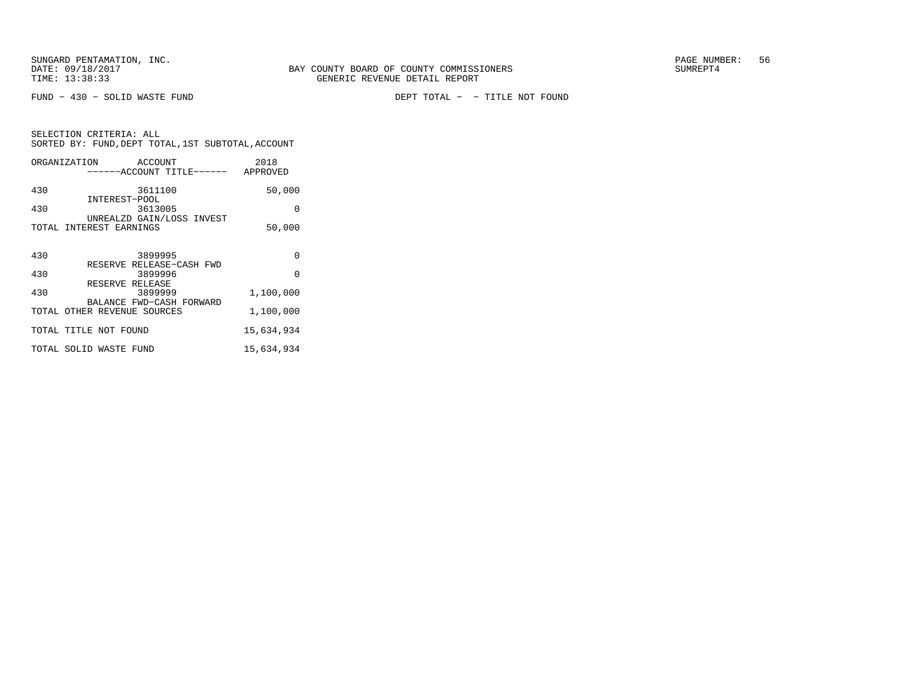SELECTION CRITERIA: ALL

FUND − 430 − SOLID WASTE FUND DEPT TOTAL − − TITLE NOT FOUND

| SELECTION CRITERIA: ALL |               |                                      | SORTED BY: FUND, DEPT TOTAL, 1ST SUBTOTAL, ACCOUNT |
|-------------------------|---------------|--------------------------------------|----------------------------------------------------|
| ORGANIZATION            |               | ACCOUNT<br>------ACCOUNT TITLE------ | 2018<br>APPROVED                                   |
| 430                     | INTEREST-POOL | 3611100                              | 50,000                                             |
| 430                     |               | 3613005<br>UNREALZD GAIN/LOSS INVEST |                                                    |

| TOTAL INTEREST EARNINGS                                       | 50,000     |
|---------------------------------------------------------------|------------|
| 3899995<br>430                                                | 0          |
| RESERVE RELEASE-CASH FWD<br>430<br>3899996                    | O          |
| RESERVE RELEASE<br>430<br>3899999<br>BALANCE FWD-CASH FORWARD | 1,100,000  |
| TOTAL OTHER REVENUE SOURCES                                   | 1,100,000  |
| TOTAL TITLE NOT FOUND                                         | 15,634,934 |
| TOTAL SOLID WASTE FUND                                        | 15,634,934 |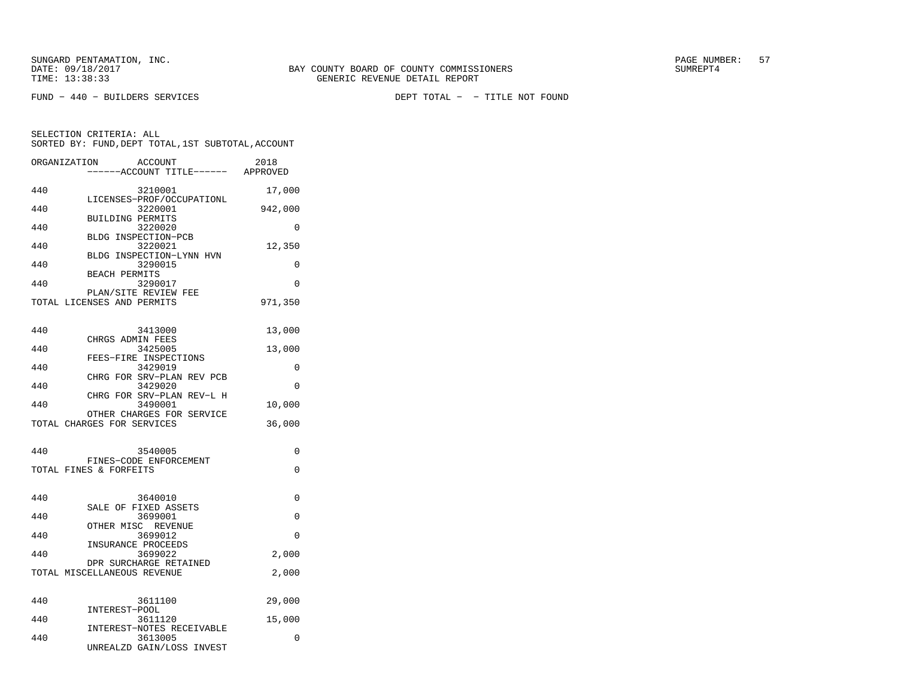SELECTION CRITERIA: ALL

FUND − 440 − BUILDERS SERVICES DEPT TOTAL − − TITLE NOT FOUND

 SORTED BY: FUND,DEPT TOTAL,1ST SUBTOTAL,ACCOUNTORGANIZATION ACCOUNT 2018 $2018$ −−−−−−ACCOUNT TITLE−−−−−− APPROVED

|     | ------ACCOUNI IIILE------            | <b>APPROVED</b> |
|-----|--------------------------------------|-----------------|
| 440 | 3210001                              | 17,000          |
| 440 | LICENSES-PROF/OCCUPATIONL<br>3220001 | 942,000         |
|     | <b>BUILDING PERMITS</b>              |                 |
| 440 | 3220020<br>BLDG INSPECTION-PCB       | 0               |
| 440 | 3220021                              | 12,350          |
| 440 | BLDG INSPECTION-LYNN HVN<br>3290015  | $\Omega$        |
| 440 | <b>BEACH PERMITS</b><br>3290017      | 0               |
|     | PLAN/SITE REVIEW FEE                 |                 |
|     | TOTAL LICENSES AND PERMITS           | 971,350         |
| 440 | 3413000                              | 13,000          |
|     | CHRGS ADMIN FEES                     |                 |
| 440 | 3425005<br>FEES-FIRE INSPECTIONS     | 13,000          |
| 440 | 3429019                              | 0               |
| 440 | CHRG FOR SRV-PLAN REV PCB<br>3429020 | 0               |
|     | CHRG FOR SRV-PLAN REV-L H            |                 |
| 440 | 3490001<br>OTHER CHARGES FOR SERVICE | 10,000          |
|     | TOTAL CHARGES FOR SERVICES           | 36,000          |
|     |                                      |                 |
| 440 | 3540005<br>FINES-CODE ENFORCEMENT    | 0               |
|     | TOTAL FINES & FORFEITS               | 0               |
|     |                                      |                 |
| 440 | 3640010                              | 0               |
| 440 | SALE OF FIXED ASSETS<br>3699001      | 0               |
| 440 | OTHER MISC REVENUE<br>3699012        | 0               |
|     | INSURANCE PROCEEDS                   |                 |
| 440 | 3699022<br>DPR SURCHARGE RETAINED    | 2,000           |
|     | TOTAL MISCELLANEOUS REVENUE          | 2,000           |
|     |                                      |                 |
| 440 | 3611100                              | 29,000          |
| 440 | INTEREST-POOL<br>3611120             | 15,000          |
|     | INTEREST-NOTES RECEIVABLE            |                 |
| 440 | 3613005<br>UNREALZD GAIN/LOSS INVEST | 0               |
|     |                                      |                 |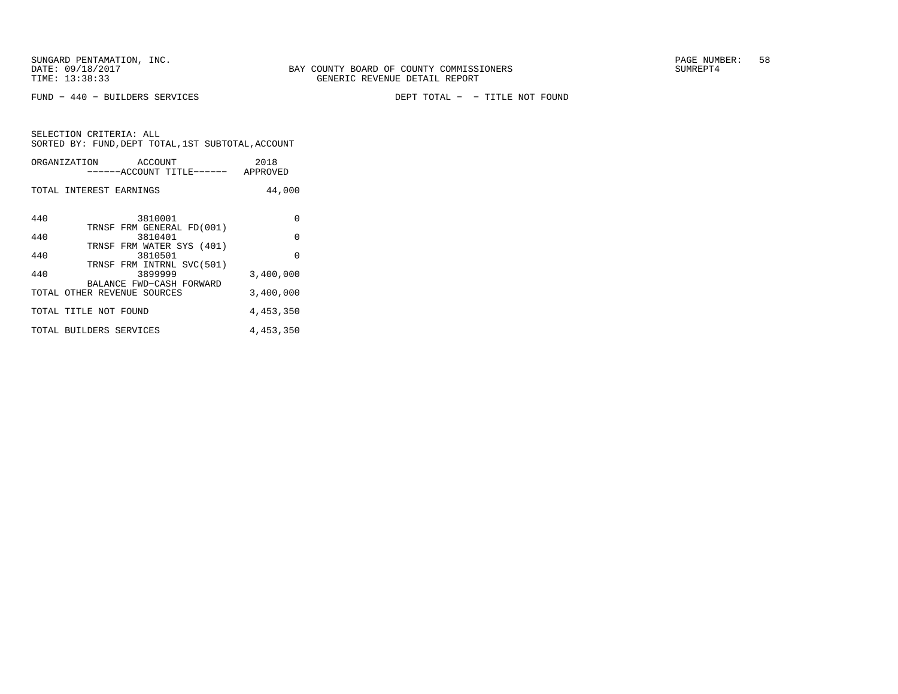FUND − 440 − BUILDERS SERVICES DEPT TOTAL − − TITLE NOT FOUND

|     | ORGANIZATION<br>ACCOUNT<br>------ACCOUNT TITLE------    | 2018<br>APPROVED |
|-----|---------------------------------------------------------|------------------|
|     | TOTAL INTEREST EARNINGS                                 | 44,000           |
| 440 | 3810001                                                 | $\Omega$         |
| 440 | TRNSF FRM GENERAL FD(001)<br>3810401                    | $\Omega$         |
| 440 | TRNSF FRM WATER SYS (401)<br>3810501                    | $\Omega$         |
| 440 | TRNSF FRM INTRNL SVC(501)<br>3899999                    | 3,400,000        |
|     | BALANCE FWD-CASH FORWARD<br>TOTAL OTHER REVENUE SOURCES | 3,400,000        |
|     | TOTAL TITLE NOT FOUND                                   | 4,453,350        |
|     | TOTAL BUILDERS SERVICES                                 | 4,453,350        |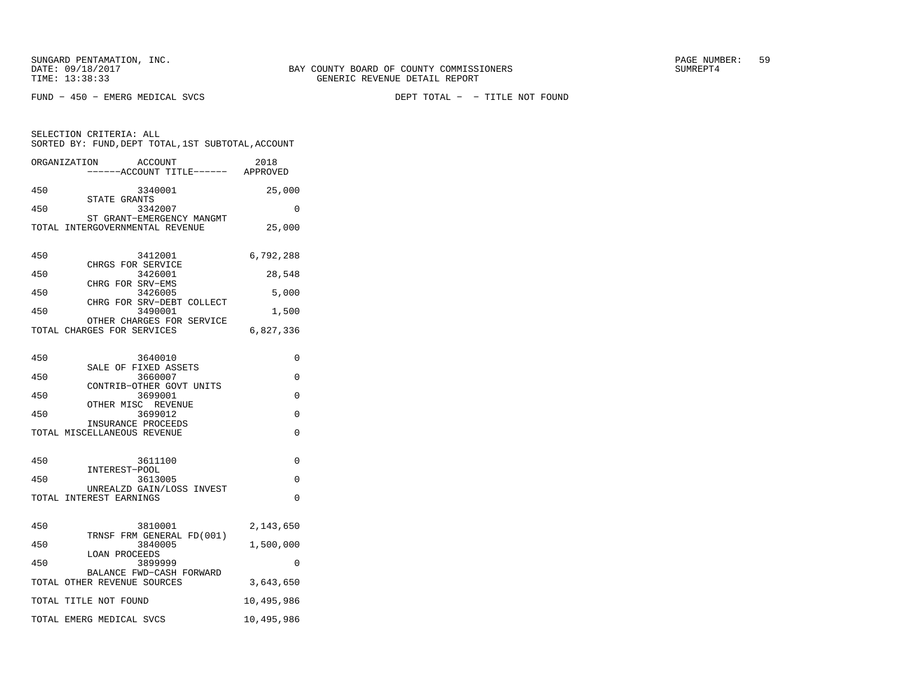FUND − 450 − EMERG MEDICAL SVCS DEPT TOTAL − − TITLE NOT FOUND

| SELECTION CRITERIA: ALL<br>SORTED BY: FUND, DEPT TOTAL, 1ST SUBTOTAL, ACCOUNT |            |  |  |  |
|-------------------------------------------------------------------------------|------------|--|--|--|
| ORGANIZATION<br>ACCOUNT<br>-----ACCOUNT TITLE------ APPROVED                  | 2018       |  |  |  |
| 450<br>3340001<br>STATE GRANTS                                                | 25,000     |  |  |  |
| 3342007<br>450                                                                | 0          |  |  |  |
| ST GRANT-EMERGENCY MANGMT<br>TOTAL INTERGOVERNMENTAL REVENUE                  | 25,000     |  |  |  |
| 450<br>3412001<br>CHRGS FOR SERVICE                                           | 6,792,288  |  |  |  |
| 450<br>3426001                                                                | 28,548     |  |  |  |
| CHRG FOR SRV-EMS<br>3426005<br>450                                            | 5,000      |  |  |  |
| CHRG FOR SRV-DEBT COLLECT<br>450<br>3490001                                   | 1,500      |  |  |  |
| OTHER CHARGES FOR SERVICE<br>TOTAL CHARGES FOR SERVICES                       | 6,827,336  |  |  |  |
| 450<br>3640010                                                                | 0          |  |  |  |
| SALE OF FIXED ASSETS<br>450<br>3660007                                        | $\Omega$   |  |  |  |
| CONTRIB-OTHER GOVT UNITS<br>450<br>3699001                                    | 0          |  |  |  |
| OTHER MISC REVENUE<br>450<br>3699012                                          | 0          |  |  |  |
| INSURANCE PROCEEDS<br>TOTAL MISCELLANEOUS REVENUE                             | 0          |  |  |  |
|                                                                               |            |  |  |  |
| 450<br>3611100<br>INTEREST-POOL                                               | 0          |  |  |  |
| 3613005<br>450<br>UNREALZD GAIN/LOSS INVEST                                   | 0          |  |  |  |
| TOTAL INTEREST EARNINGS                                                       | 0          |  |  |  |
| 450<br>3810001                                                                | 2,143,650  |  |  |  |
| TRNSF FRM GENERAL FD(001)<br>450<br>3840005                                   | 1,500,000  |  |  |  |
| <b>LOAN PROCEEDS</b><br>3899999<br>450                                        | $\Omega$   |  |  |  |
| BALANCE FWD-CASH FORWARD<br>TOTAL OTHER REVENUE SOURCES                       | 3,643,650  |  |  |  |
| TOTAL TITLE NOT FOUND                                                         | 10,495,986 |  |  |  |
| TOTAL EMERG MEDICAL SVCS                                                      | 10,495,986 |  |  |  |
|                                                                               |            |  |  |  |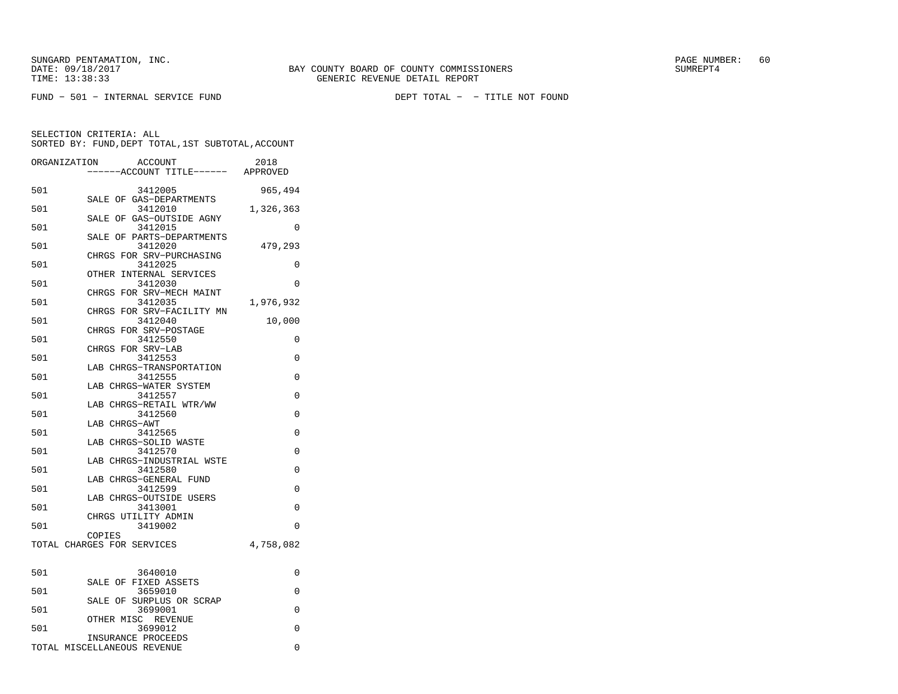FUND − 501 − INTERNAL SERVICE FUND DEPT TOTAL − − TITLE NOT FOUND

SELECTION CRITERIA: ALL

|              | SORTED BY: FUND, DEPT TOTAL, 1ST SUBTOTAL, ACCOUNT |           |
|--------------|----------------------------------------------------|-----------|
| ORGANIZATION | ACCOUNT<br>-----ACCOUNT TITLE------ APPROVED       | 2018      |
| 501          | 3412005                                            | 965,494   |
|              | SALE OF GAS-DEPARTMENTS                            |           |
| 501          | 3412010<br>SALE OF GAS-OUTSIDE AGNY                | 1,326,363 |
| 501          | 3412015                                            | $\Omega$  |
| 501          | SALE OF PARTS-DEPARTMENTS<br>3412020               | 479,293   |
|              | CHRGS FOR SRV-PURCHASING                           |           |
| 501          | 3412025<br>OTHER INTERNAL SERVICES                 | $\Omega$  |
| 501          | 3412030                                            | 0         |
| 501          | CHRGS FOR SRV-MECH MAINT<br>3412035                | 1,976,932 |
|              | CHRGS FOR SRV-FACILITY MN                          |           |
| 501          | 3412040<br>CHRGS FOR SRV-POSTAGE                   | 10,000    |
| 501          | 3412550                                            | 0         |
| 501          | CHRGS FOR SRV-LAB<br>3412553                       | 0         |
|              | LAB CHRGS-TRANSPORTATION                           |           |
| 501          | 3412555                                            | 0         |
| 501          | LAB CHRGS-WATER SYSTEM<br>3412557                  | $\Omega$  |
|              | LAB CHRGS-RETAIL WTR/WW                            |           |
| 501          | 3412560                                            | $\Omega$  |
| 501          | LAB CHRGS-AWT<br>3412565                           | 0         |
|              | LAB CHRGS-SOLID WASTE                              |           |
| 501          | 3412570                                            | 0         |
| 501          | LAB CHRGS-INDUSTRIAL WSTE<br>3412580               | 0         |
|              | LAB CHRGS-GENERAL FUND                             |           |
| 501          | 3412599<br>LAB CHRGS-OUTSIDE USERS                 | 0         |
| 501          | 3413001                                            | 0         |
|              | CHRGS UTILITY ADMIN                                |           |
| 501          | 3419002<br>COPIES                                  | 0         |
|              | TOTAL CHARGES FOR SERVICES                         | 4,758,082 |
|              |                                                    |           |
| 501          | 3640010                                            | 0         |
|              | SALE OF FIXED ASSETS                               |           |
| 501          | 3659010<br>SALE OF SURPLUS OR SCRAP                | $\Omega$  |
| 501          | 3699001                                            | 0         |
| 501          | OTHER MISC REVENUE<br>3699012                      | 0         |
|              | INSURANCE PROCEEDS                                 |           |
|              | TOTAL MISCELLANEOUS REVENUE                        | 0         |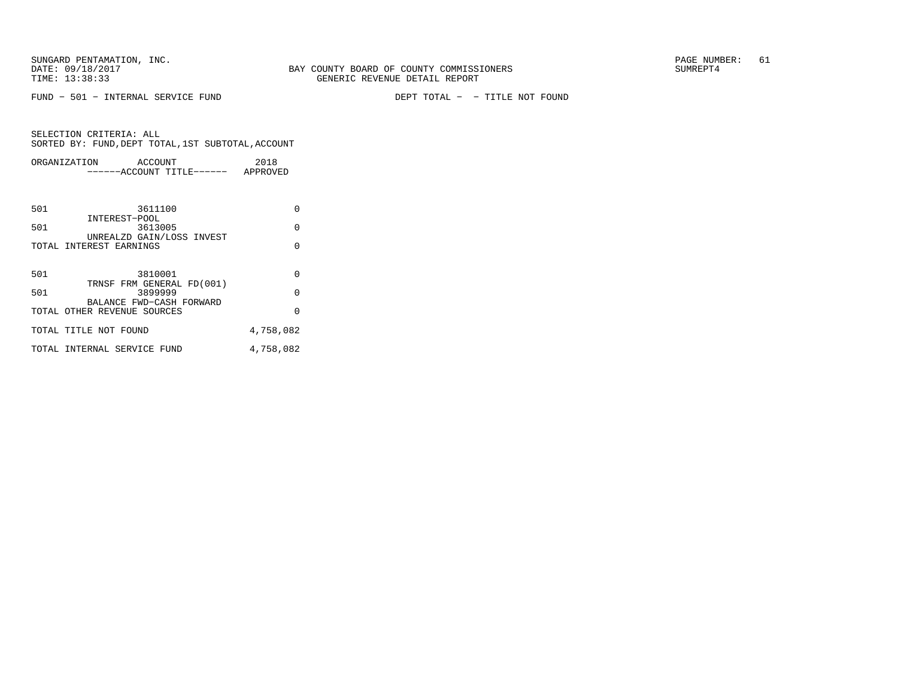FUND − 501 − INTERNAL SERVICE FUND DEPT TOTAL − − TITLE NOT FOUND

|     | ORGANIZATION<br>ACCOUNT<br>------ACCOUNT TITLE------ APPROVED | 2018      |  |
|-----|---------------------------------------------------------------|-----------|--|
|     |                                                               |           |  |
| 501 | 3611100<br>INTEREST-POOL                                      | 0         |  |
| 501 | 3613005<br>UNREALZD GAIN/LOSS INVEST                          | $\Omega$  |  |
|     | TOTAL INTEREST EARNINGS                                       | $\Omega$  |  |
|     |                                                               |           |  |
| 501 | 3810001<br>TRNSF FRM GENERAL FD(001)                          | $\Omega$  |  |
| 501 | 3899999                                                       | $\Omega$  |  |
|     | BALANCE FWD-CASH FORWARD<br>TOTAL OTHER REVENUE SOURCES       | $\Omega$  |  |
|     | TOTAL TITLE NOT FOUND                                         | 4,758,082 |  |
|     | TOTAL INTERNAL SERVICE FUND                                   | 4,758,082 |  |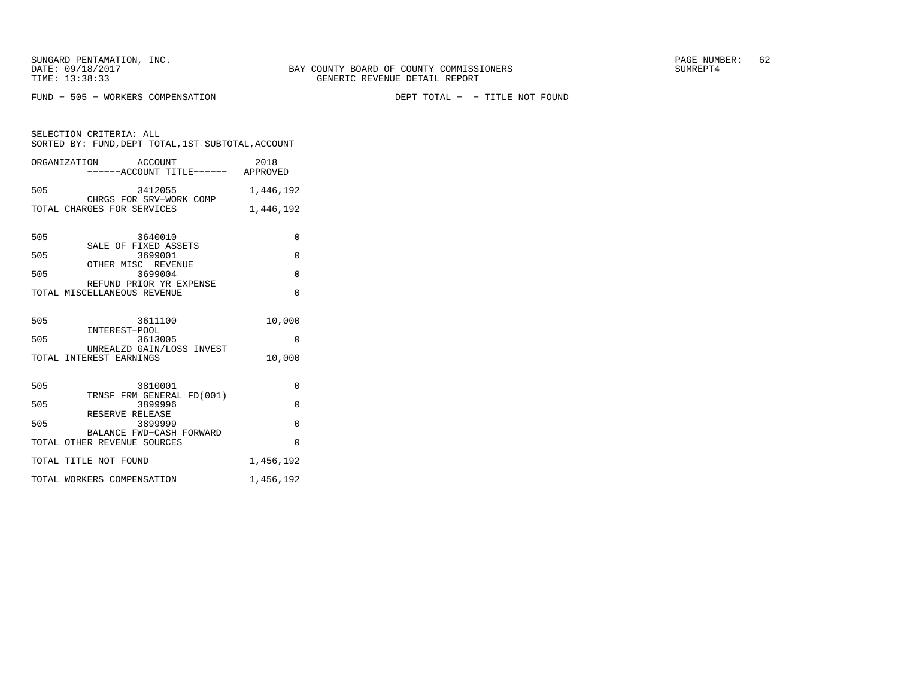FUND − 505 − WORKERS COMPENSATION DEPT TOTAL − − TITLE NOT FOUND

SELECTION CRITERIA: ALL SORTED BY: FUND,DEPT TOTAL,1ST SUBTOTAL,ACCOUNTORGANIZATION ACCOUNT 2018

|     | ------ACCOUNT TITLE------ APPROVED                      |           |
|-----|---------------------------------------------------------|-----------|
| 505 | 3412055<br>CHRGS FOR SRV-WORK COMP                      | 1,446,192 |
|     | TOTAL CHARGES FOR SERVICES                              | 1,446,192 |
| 505 | 3640010                                                 | $\Omega$  |
| 505 | SALE OF FIXED ASSETS<br>3699001                         | $\Omega$  |
| 505 | OTHER MISC REVENUE<br>3699004                           | 0         |
|     | REFUND PRIOR YR EXPENSE<br>TOTAL MISCELLANEOUS REVENUE  | $\Omega$  |
| 505 | 3611100<br>INTEREST-POOL                                | 10,000    |
| 505 | 3613005<br>UNREALZD GAIN/LOSS INVEST                    | $\Omega$  |
|     | TOTAL INTEREST EARNINGS                                 | 10,000    |
| 505 | 3810001                                                 | $\Omega$  |
| 505 | TRNSF FRM GENERAL FD(001)<br>3899996                    | $\Omega$  |
| 505 | RESERVE RELEASE<br>3899999                              | $\Omega$  |
|     | BALANCE FWD-CASH FORWARD<br>TOTAL OTHER REVENUE SOURCES | $\Omega$  |
|     | TOTAL TITLE NOT FOUND                                   | 1,456,192 |
|     | TOTAL WORKERS COMPENSATION                              | 1,456,192 |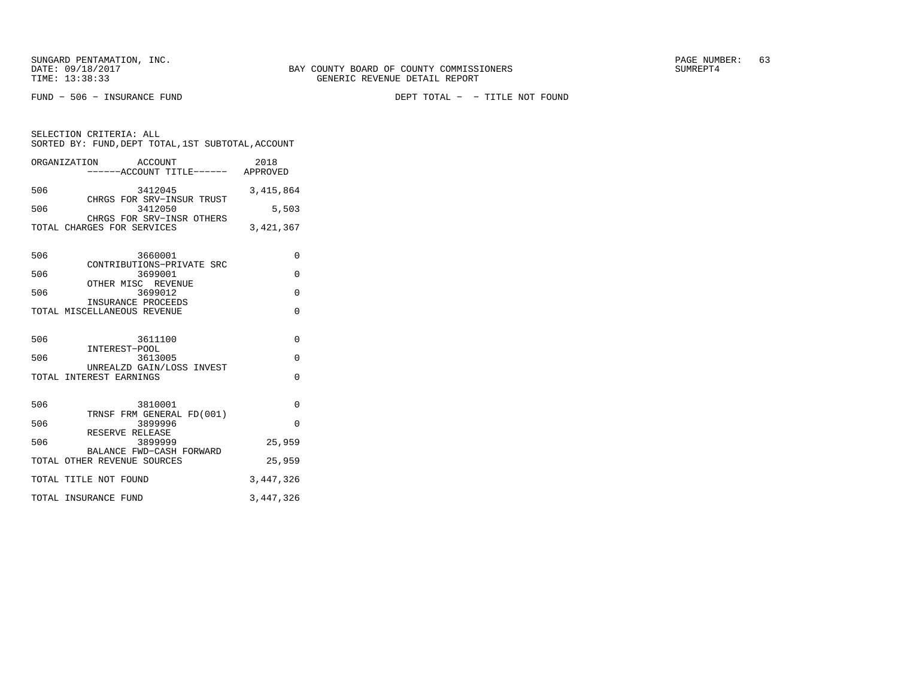SELECTION CRITERIA: ALL

FUND − 506 − INSURANCE FUND DEPT TOTAL − − TITLE NOT FOUND

|     | ORGANIZATION ACCOUNT<br>-----ACCOUNT TITLE------ APPROVED | 2018        |  |  |  |
|-----|-----------------------------------------------------------|-------------|--|--|--|
|     | 506<br>3412045<br>CHRGS FOR SRV-INSUR TRUST               | 3,415,864   |  |  |  |
| 506 | 3412050<br>CHRGS FOR SRV-INSR OTHERS                      | 5,503       |  |  |  |
|     | TOTAL CHARGES FOR SERVICES                                | 3,421,367   |  |  |  |
| 506 | 3660001<br>CONTRIBUTIONS-PRIVATE SRC                      | $\Omega$    |  |  |  |
| 506 | 3699001<br>OTHER MISC REVENUE                             | $\Omega$    |  |  |  |
| 506 | 3699012                                                   | $\Omega$    |  |  |  |
|     | INSURANCE PROCEEDS<br>TOTAL MISCELLANEOUS REVENUE         | $\Omega$    |  |  |  |
|     | 506<br>3611100                                            | 0           |  |  |  |
| 506 | INTEREST-POOL<br>3613005                                  | $\Omega$    |  |  |  |
|     | UNREALZD GAIN/LOSS INVEST<br>TOTAL INTEREST EARNINGS      | $\Omega$    |  |  |  |
| 506 | 3810001<br>TRNSF FRM GENERAL FD(001)                      | $\mathbf 0$ |  |  |  |
| 506 | 3899996                                                   | $\Omega$    |  |  |  |
| 506 | RESERVE RELEASE<br>3899999                                | 25,959      |  |  |  |
|     | BALANCE FWD-CASH FORWARD<br>TOTAL OTHER REVENUE SOURCES   | 25,959      |  |  |  |
|     | TOTAL TITLE NOT FOUND<br>3,447,326                        |             |  |  |  |
|     | 3,447,326<br>TOTAL INSURANCE FUND                         |             |  |  |  |

SORTED BY: FUND,DEPT TOTAL,1ST SUBTOTAL,ACCOUNT